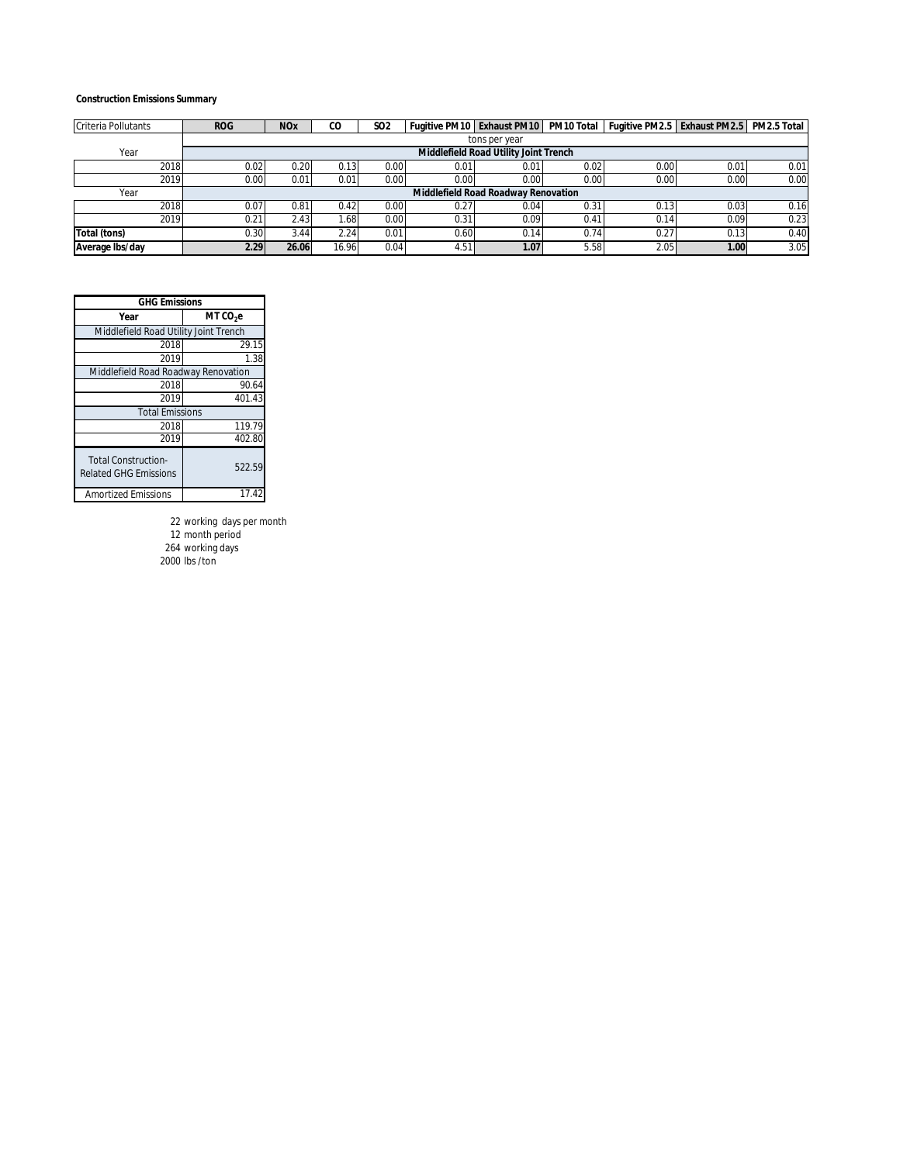#### **Construction Emissions Summary**

| Criteria Pollutants | <b>ROG</b> | <b>NO<sub>x</sub></b> | CO               | <b>SO2</b> |       |                                       |      | Fugitive PM10 Exhaust PM10 PM10 Total Fugitive PM2.5 Exhaust PM2.5 PM2.5 Total |               |      |
|---------------------|------------|-----------------------|------------------|------------|-------|---------------------------------------|------|--------------------------------------------------------------------------------|---------------|------|
|                     |            |                       |                  |            |       | tons per year                         |      |                                                                                |               |      |
| Year                |            |                       |                  |            |       | Middlefield Road Utility Joint Trench |      |                                                                                |               |      |
| 2018                | 0.02       | 0.20                  | 0.13             | 0.00       | 0.01  | 0.01                                  | 0.02 | 0.00                                                                           | $0.0^{\circ}$ | 0.01 |
| 2019                | 0.00       | 0.01                  | 0.01             | 0.00       | 0.001 | 0.00                                  | 0.00 | 0.00                                                                           | 0.00          | 0.00 |
| Year                |            |                       |                  |            |       | Middlefield Road Roadway Renovation   |      |                                                                                |               |      |
| 2018                | 0.07       | 0.81                  | 0.42             | 0.00       | 0.27  | 0.04                                  | 0.31 | 0.13                                                                           | 0.03          | 0.16 |
| 2019                | 0.21       | 2.43                  | .68 <sub>1</sub> | 0.00       | 0.31  | 0.09                                  | 0.41 | 0.14                                                                           | 0.09          | 0.23 |
| Total (tons)        | 0.30       | 3.44                  | 2.24             | 0.01       | 0.60  | 0.14                                  | 0.74 | 0.27                                                                           | 0.13          | 0.40 |
| Average Ibs/day     | 2.29       | 26.06                 | 16.96            | 0.04       | 4.51  | 1.07                                  | 5.58 | 2.05                                                                           | 1.00          | 3.05 |

| <b>GHG Emissions</b>                                       |                      |  |  |  |  |  |
|------------------------------------------------------------|----------------------|--|--|--|--|--|
| Year                                                       | MT CO <sub>2</sub> e |  |  |  |  |  |
| Middlefield Road Utility Joint Trench                      |                      |  |  |  |  |  |
| 2018                                                       | 29.15                |  |  |  |  |  |
| 2019                                                       | 1.38                 |  |  |  |  |  |
| Middlefield Road Roadway Renovation                        |                      |  |  |  |  |  |
| 2018                                                       | 90.64                |  |  |  |  |  |
| 2019                                                       | 401.43               |  |  |  |  |  |
| <b>Total Emissions</b>                                     |                      |  |  |  |  |  |
| 2018                                                       | 119.79               |  |  |  |  |  |
| 2019                                                       | 402.80               |  |  |  |  |  |
| <b>Total Construction-</b><br><b>Related GHG Emissions</b> | 522.59               |  |  |  |  |  |
| <b>Amortized Emissions</b>                                 | 17.42                |  |  |  |  |  |

 working days per month month period working days 2000 lbs /ton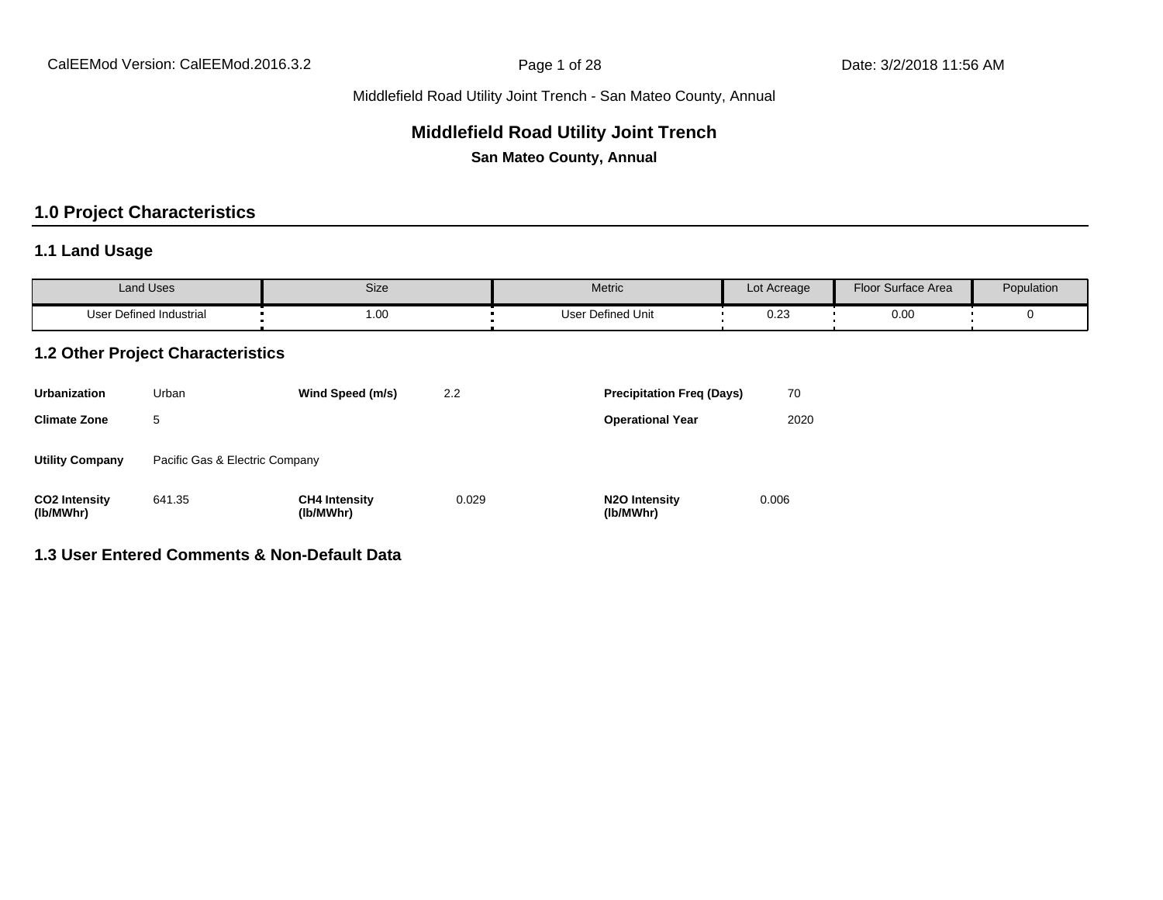# **Middlefield Road Utility Joint Trench**

**San Mateo County, Annual**

# **1.0 Project Characteristics**

### **1.1 Land Usage**

| <b>Land Uses</b>           | Size | Metric                 | Lot Acreage  | Floor Surface Area | Population |
|----------------------------|------|------------------------|--------------|--------------------|------------|
| Defined Industrial<br>User | 1.00 | Defined Unit<br>Jser ' | 0.00<br>∪.∠ა | 0.00               |            |

### **1.2 Other Project Characteristics**

| <b>Urbanization</b>               | Urban                          | Wind Speed (m/s)                  | 2.2   | <b>Precipitation Freg (Days)</b>        | 70    |
|-----------------------------------|--------------------------------|-----------------------------------|-------|-----------------------------------------|-------|
| <b>Climate Zone</b>               | 5                              |                                   |       | <b>Operational Year</b>                 | 2020  |
| <b>Utility Company</b>            | Pacific Gas & Electric Company |                                   |       |                                         |       |
| <b>CO2 Intensity</b><br>(lb/MWhr) | 641.35                         | <b>CH4 Intensity</b><br>(lb/MWhr) | 0.029 | N <sub>2</sub> O Intensity<br>(lb/MWhr) | 0.006 |

### **1.3 User Entered Comments & Non-Default Data**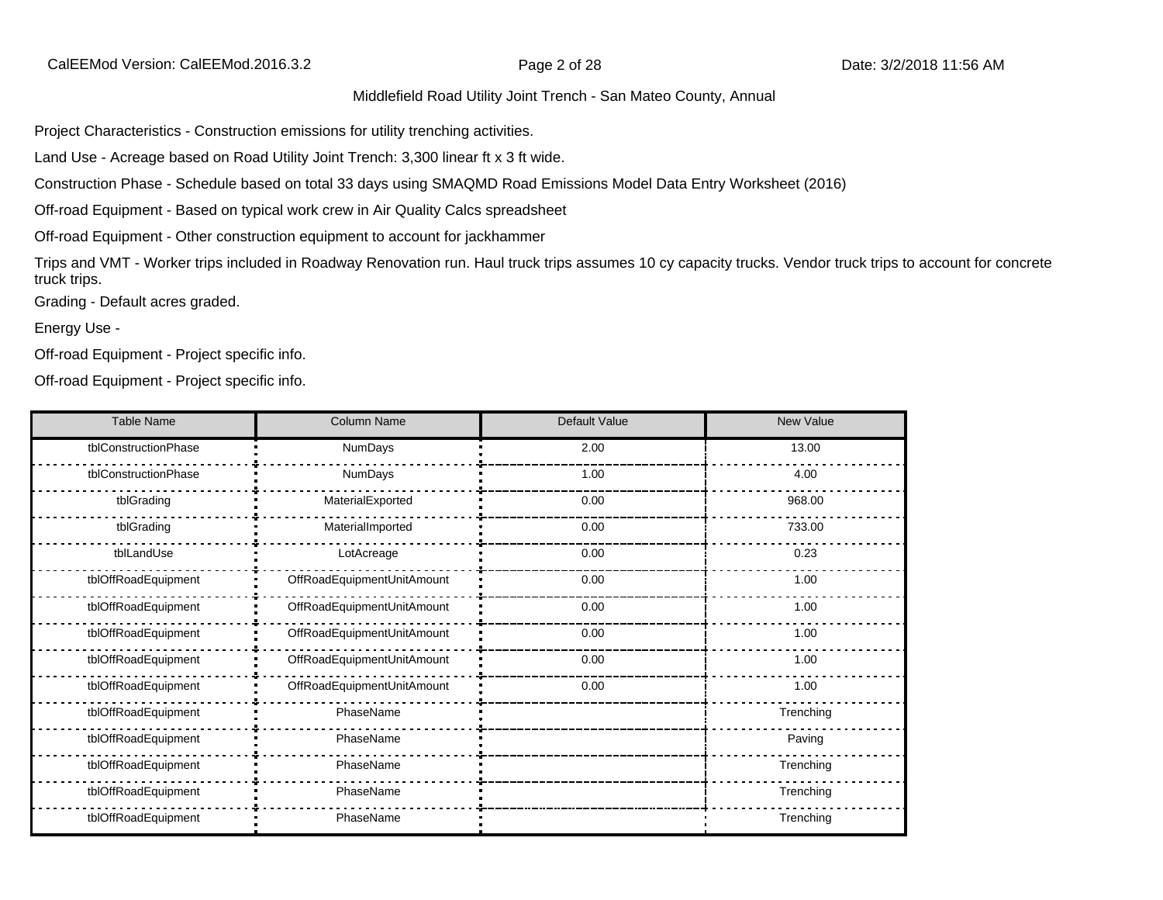Project Characteristics - Construction emissions for utility trenching activities.

Land Use - Acreage based on Road Utility Joint Trench: 3,300 linear ft x 3 ft wide.

Construction Phase - Schedule based on total 33 days using SMAQMD Road Emissions Model Data Entry Worksheet (2016)

Off-road Equipment - Based on typical work crew in Air Quality Calcs spreadsheet

Off-road Equipment - Other construction equipment to account for jackhammer

Trips and VMT - Worker trips included in Roadway Renovation run. Haul truck trips assumes 10 cy capacity trucks. Vendor truck trips to account for concrete truck trips.

Grading - Default acres graded.

Energy Use -

Off-road Equipment - Project specific info.

Off-road Equipment - Project specific info.

| <b>Table Name</b>    | <b>Column Name</b>         | Default Value | New Value |
|----------------------|----------------------------|---------------|-----------|
| tblConstructionPhase | NumDays                    | 2.00          | 13.00     |
| tblConstructionPhase | NumDays                    | 1.00          | 4.00      |
| tblGrading           | MaterialExported           | 0.00          | 968.00    |
| tblGrading           | MaterialImported           | 0.00          | 733.00    |
| tblLandUse           | LotAcreage                 | 0.00          | 0.23      |
| tblOffRoadEquipment  | OffRoadEquipmentUnitAmount | 0.00          | 1.00      |
| tblOffRoadEquipment  | OffRoadEquipmentUnitAmount | 0.00          | 1.00      |
| tblOffRoadEquipment  | OffRoadEquipmentUnitAmount | 0.00          | 1.00      |
| tblOffRoadEquipment  | OffRoadEquipmentUnitAmount | 0.00          | 1.00      |
| tblOffRoadEquipment  | OffRoadEquipmentUnitAmount | 0.00          | 1.00      |
| tblOffRoadEquipment  | PhaseName                  |               | Trenching |
| tblOffRoadEquipment  | PhaseName                  |               | Paving    |
| tblOffRoadEquipment  | PhaseName                  |               | Trenching |
| tblOffRoadEquipment  | PhaseName                  |               | Trenching |
| tblOffRoadEquipment  | PhaseName                  |               | Trenching |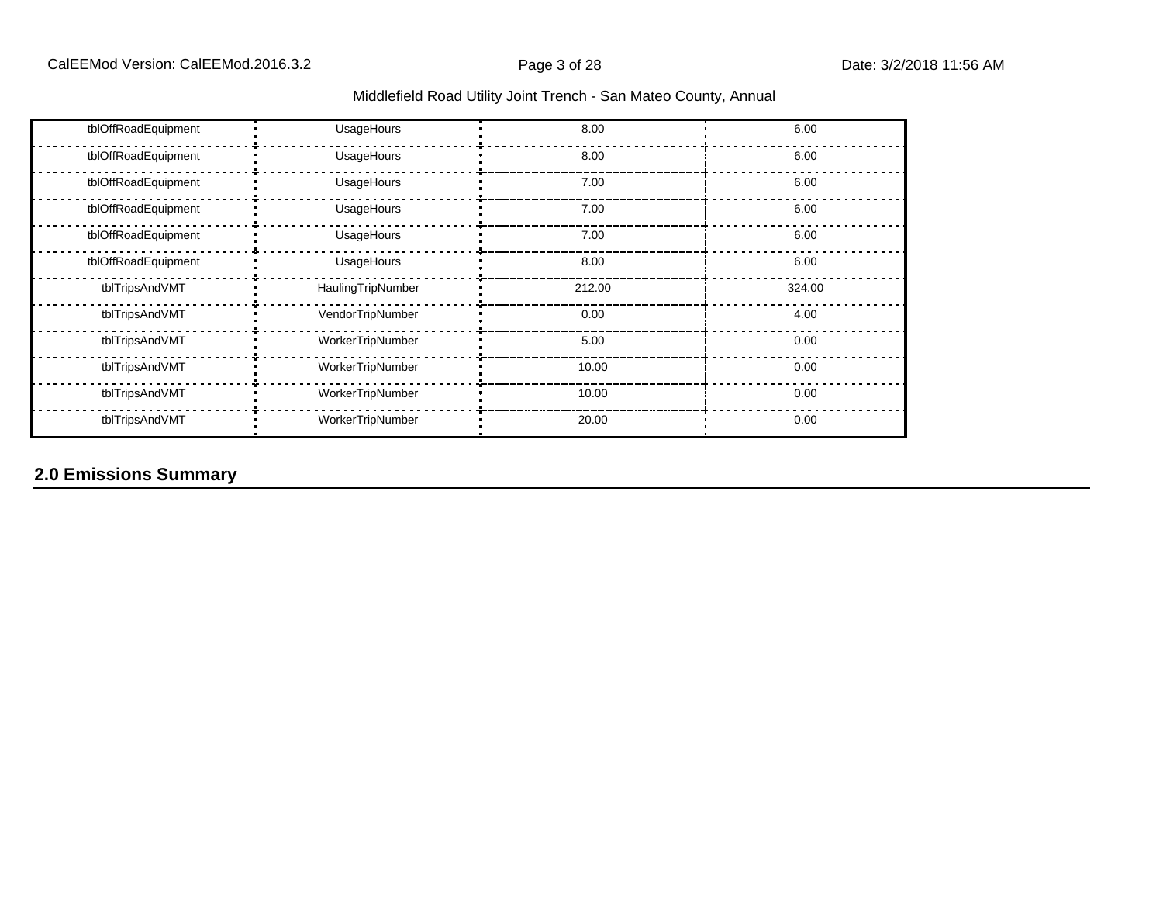| tblOffRoadEquipment | UsageHours        | 8.00   | 6.00   |
|---------------------|-------------------|--------|--------|
| tblOffRoadEquipment | UsageHours        | 8.00   | 6.00   |
| tblOffRoadEquipment | UsageHours        | 7.00   | 6.00   |
| tblOffRoadEquipment | UsageHours        | 7.00   | 6.00   |
| tblOffRoadEquipment | UsageHours        | 7.00   | 6.00   |
| tblOffRoadEquipment | UsageHours        | 8.00   | 6.00   |
| tblTripsAndVMT      | HaulingTripNumber | 212.00 | 324.00 |
| tblTripsAndVMT      | VendorTripNumber  | 0.00   | 4.00   |
| tblTripsAndVMT      | WorkerTripNumber  | 5.00   | 0.00   |
| tblTripsAndVMT      | WorkerTripNumber  | 10.00  | 0.00   |
| tblTripsAndVMT      | WorkerTripNumber  | 10.00  | 0.00   |
| tblTripsAndVMT      | WorkerTripNumber  | 20.00  | 0.00   |

# **2.0 Emissions Summary**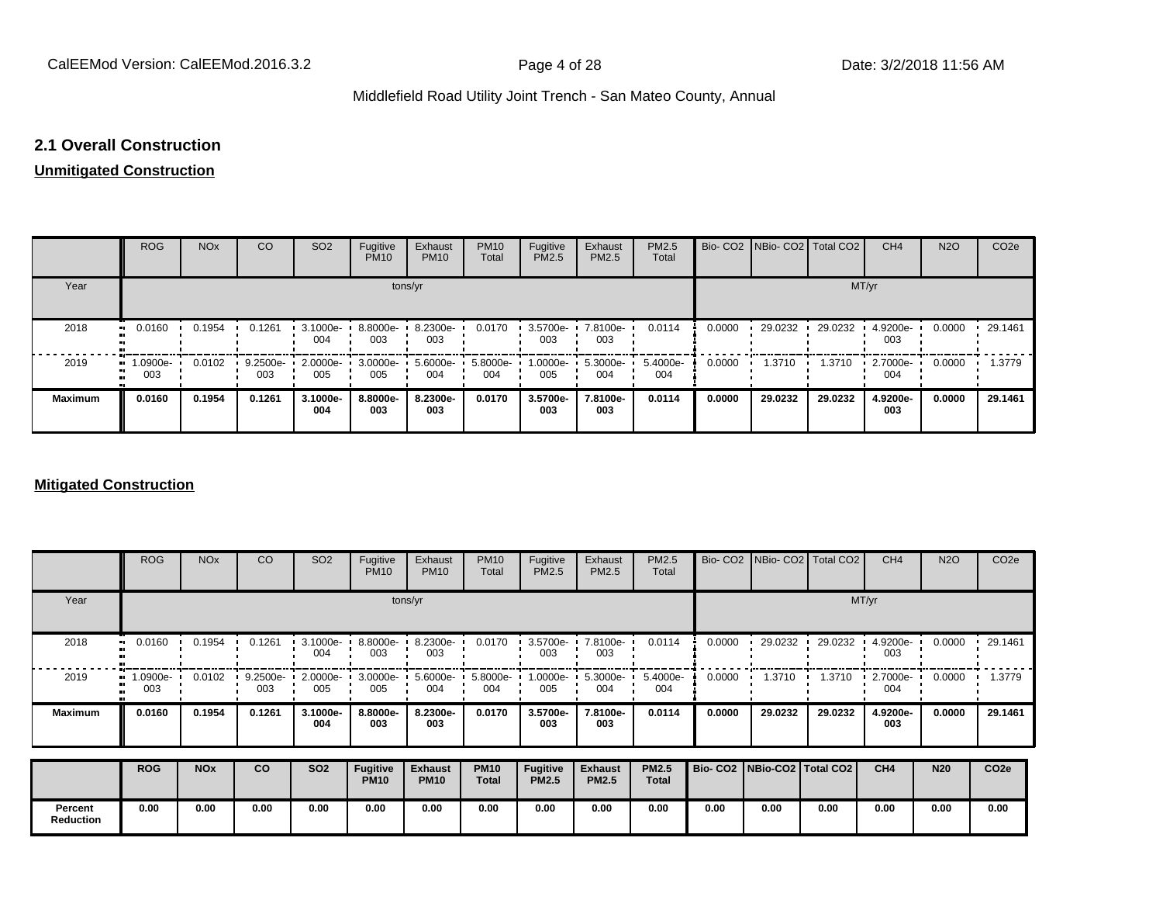### **2.1 Overall Construction**

# **Unmitigated Construction**

|                | <b>ROG</b>                     | <b>NO<sub>x</sub></b> | CO              | SO <sub>2</sub> | Fugitive<br><b>PM10</b> | Exhaust<br><b>PM10</b> | <b>PM10</b><br>Total | Fugitive<br>PM2.5 | Exhaust<br>PM2.5 | <b>PM2.5</b><br>Total |        | Bio- CO2   NBio- CO2   Total CO2 |         | CH <sub>4</sub> | <b>N2O</b> | CO <sub>2e</sub> |
|----------------|--------------------------------|-----------------------|-----------------|-----------------|-------------------------|------------------------|----------------------|-------------------|------------------|-----------------------|--------|----------------------------------|---------|-----------------|------------|------------------|
| Year           |                                |                       |                 |                 | tons/yr                 |                        |                      |                   |                  |                       |        |                                  |         | MT/yr           |            |                  |
| 2018           | 0.0160                         | 0.1954                | 0.1261          | 3.1000e-<br>004 | 8.8000e-<br>003         | 8.2300e-<br>003        | 0.0170               | 3.5700e-<br>003   | 7.8100e-<br>003  | 0.0114                | 0.0000 | 29.0232                          | 29.0232 | 4.9200e-<br>003 | 0.0000     | 29.1461          |
| 2019<br>       | $\blacksquare$ 1.0900e-<br>003 | 0.0102                | 9.2500e-<br>003 | 2.0000e-<br>005 | 3.0000e-<br>005         | 5.6000e-<br>004        | 5.8000e-<br>004      | 1.0000e-<br>005   | 5.3000e-<br>004  | 5.4000e-<br>004       | 0.0000 | 1.3710                           | 1.3710  | 2.7000e-<br>004 | 0.0000     | 1.3779           |
| <b>Maximum</b> | 0.0160                         | 0.1954                | 0.1261          | 3.1000e-<br>004 | 8.8000e-<br>003         | 8.2300e-<br>003        | 0.0170               | 3.5700e-<br>003   | 7.8100e-<br>003  | 0.0114                | 0.0000 | 29.0232                          | 29.0232 | 4.9200e-<br>003 | 0.0000     | 29.1461          |

### **Mitigated Construction**

|                             | <b>ROG</b>     | <b>NO<sub>x</sub></b> | CO                | SO <sub>2</sub>     | Fugitive<br><b>PM10</b>        | Exhaust<br><b>PM10</b>        | <b>PM10</b><br>Total        | Fugitive<br>PM2.5               | Exhaust<br>PM2.5               | PM2.5<br>Total               |                                 |         | Bio- CO2   NBio- CO2   Total CO2 | CH <sub>4</sub>    | <b>N2O</b> | CO <sub>2e</sub> |
|-----------------------------|----------------|-----------------------|-------------------|---------------------|--------------------------------|-------------------------------|-----------------------------|---------------------------------|--------------------------------|------------------------------|---------------------------------|---------|----------------------------------|--------------------|------------|------------------|
| Year                        |                |                       |                   |                     | tons/yr                        | MT/yr                         |                             |                                 |                                |                              |                                 |         |                                  |                    |            |                  |
| 2018                        | 0.0160<br>     | 0.1954                | 0.1261            | $-3.1000e -$<br>004 | 8.8000e-<br>003                | 8.2300e-<br>003               | 0.0170                      | 3.5700e-<br>003                 | 7.8100e-<br>003                | 0.0114                       | 0.0000                          | 29.0232 | 29.0232                          | 4.9200e-<br>003    | 0.0000     | 29.1461          |
| 2019                        | .0900e-<br>003 | 0.0102                | $9.2500e-$<br>003 | 2.0000e-<br>005     | 3.0000e-<br>005                | $5.6000e - 1$<br>004          | $5.8000e -$<br>004          | 1.0000e-<br>005                 | $5.3000e -$<br>004             | 5.4000e-<br>004              | 0.0000                          | 1.3710  | 1.3710                           | $2.7000e -$<br>004 | 0.0000     | 1.3779           |
| <b>Maximum</b>              | 0.0160         | 0.1954                | 0.1261            | 3.1000e-<br>004     | 8.8000e-<br>003                | 8.2300e-<br>003               | 0.0170                      | 3.5700e-<br>003                 | 7.8100e-<br>003                | 0.0114                       | 0.0000                          | 29.0232 | 29.0232                          | 4.9200e-<br>003    | 0.0000     | 29.1461          |
|                             | <b>ROG</b>     | <b>NO<sub>x</sub></b> | <b>CO</b>         | <b>SO2</b>          | <b>Fugitive</b><br><b>PM10</b> | <b>Exhaust</b><br><b>PM10</b> | <b>PM10</b><br><b>Total</b> | <b>Fugitive</b><br><b>PM2.5</b> | <b>Exhaust</b><br><b>PM2.5</b> | <b>PM2.5</b><br><b>Total</b> | Bio- CO2   NBio-CO2   Total CO2 |         |                                  | CH <sub>4</sub>    | <b>N20</b> | CO <sub>2e</sub> |
| Percent<br><b>Reduction</b> | 0.00           | 0.00                  | 0.00              | 0.00                | 0.00                           | 0.00                          | 0.00                        | 0.00                            | 0.00                           | 0.00                         | 0.00                            | 0.00    | 0.00                             | 0.00               | 0.00       | 0.00             |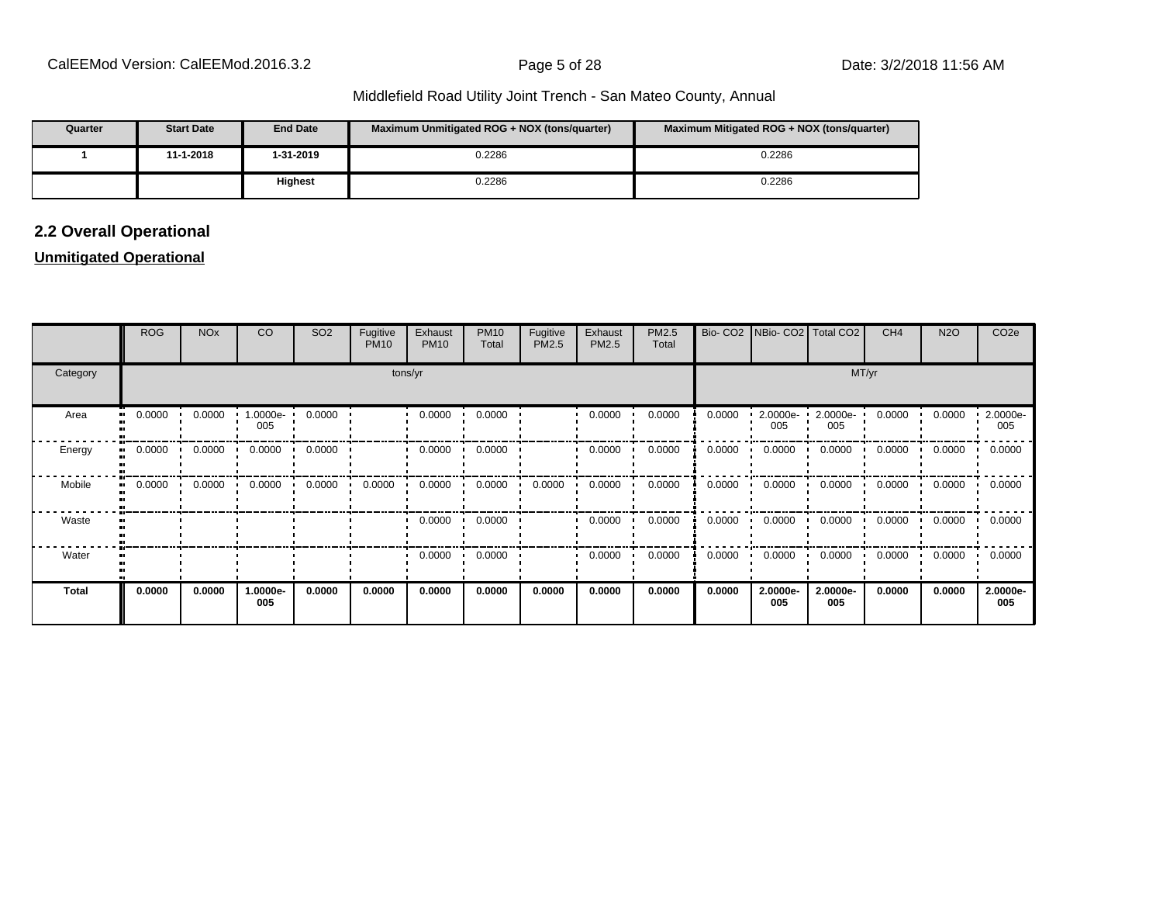| Quarter | <b>Start Date</b> | <b>End Date</b> | Maximum Unmitigated ROG + NOX (tons/quarter) | Maximum Mitigated ROG + NOX (tons/quarter) |
|---------|-------------------|-----------------|----------------------------------------------|--------------------------------------------|
|         | 11-1-2018         | 1-31-2019       | 0.2286                                       | 0.2286                                     |
|         |                   | <b>Highest</b>  | 0.2286                                       | 0.2286                                     |

# **2.2 Overall Operational**

### **Unmitigated Operational**

|              | <b>ROG</b> | <b>NO<sub>x</sub></b> | CO              | SO <sub>2</sub> | Fugitive<br><b>PM10</b> | Exhaust<br><b>PM10</b> | <b>PM10</b><br>Total | Fugitive<br>PM2.5 | Exhaust<br>PM2.5 | PM2.5<br>Total |        | Bio- CO2   NBio- CO2   Total CO2 |                 | CH <sub>4</sub> | <b>N2O</b> | CO <sub>2</sub> e |  |  |  |
|--------------|------------|-----------------------|-----------------|-----------------|-------------------------|------------------------|----------------------|-------------------|------------------|----------------|--------|----------------------------------|-----------------|-----------------|------------|-------------------|--|--|--|
| Category     | tons/yr    |                       |                 |                 |                         |                        |                      |                   |                  |                |        | MT/yr                            |                 |                 |            |                   |  |  |  |
| Area         | 0.0000     | 0.0000                | 1.0000e-<br>005 | 0.0000          |                         | 0.0000                 | 0.0000               |                   | 0.0000           | 0.0000         | 0.0000 | 2.0000e-<br>005                  | 2.0000e-<br>005 | 0.0000          | 0.0000     | 2.0000e-<br>005   |  |  |  |
| Energy       | 0.0000     | 0.0000                | 0.0000          | 0.0000          |                         | 0.0000                 | 0.0000               |                   | 0.0000           | 0.0000         | 0.0000 | 0.0000                           | 0.0000          | 0.0000          | 0.0000     | 0.0000            |  |  |  |
| Mobile       | 0.0000     | 0.0000                | 0.0000          | 0.0000          | 0.0000                  | 0.0000                 | 0.0000               | 0.0000            | 0.0000           | 0.0000         | 0.0000 | 0.0000                           | 0.0000<br>. .   | 0.0000          | 0.0000     | 0.0000            |  |  |  |
| Waste        |            |                       |                 |                 |                         | 0.0000                 | 0.0000               |                   | 0.0000           | 0.0000         | 0.0000 | 0.0000                           | 0.0000          | 0.0000          | 0.0000     | 0.0000            |  |  |  |
| Water        |            |                       |                 |                 |                         | 0.0000                 | 0.0000               |                   | 0.0000           | 0.0000         | 0.0000 | 0.0000                           | 0.0000          | 0.0000          | 0.0000     | 0.0000            |  |  |  |
| <b>Total</b> | 0.0000     | 0.0000                | 1.0000e-<br>005 | 0.0000          | 0.0000                  | 0.0000                 | 0.0000               | 0.0000            | 0.0000           | 0.0000         | 0.0000 | 2.0000e-<br>005                  | 2.0000e-<br>005 | 0.0000          | 0.0000     | 2.0000e-<br>005   |  |  |  |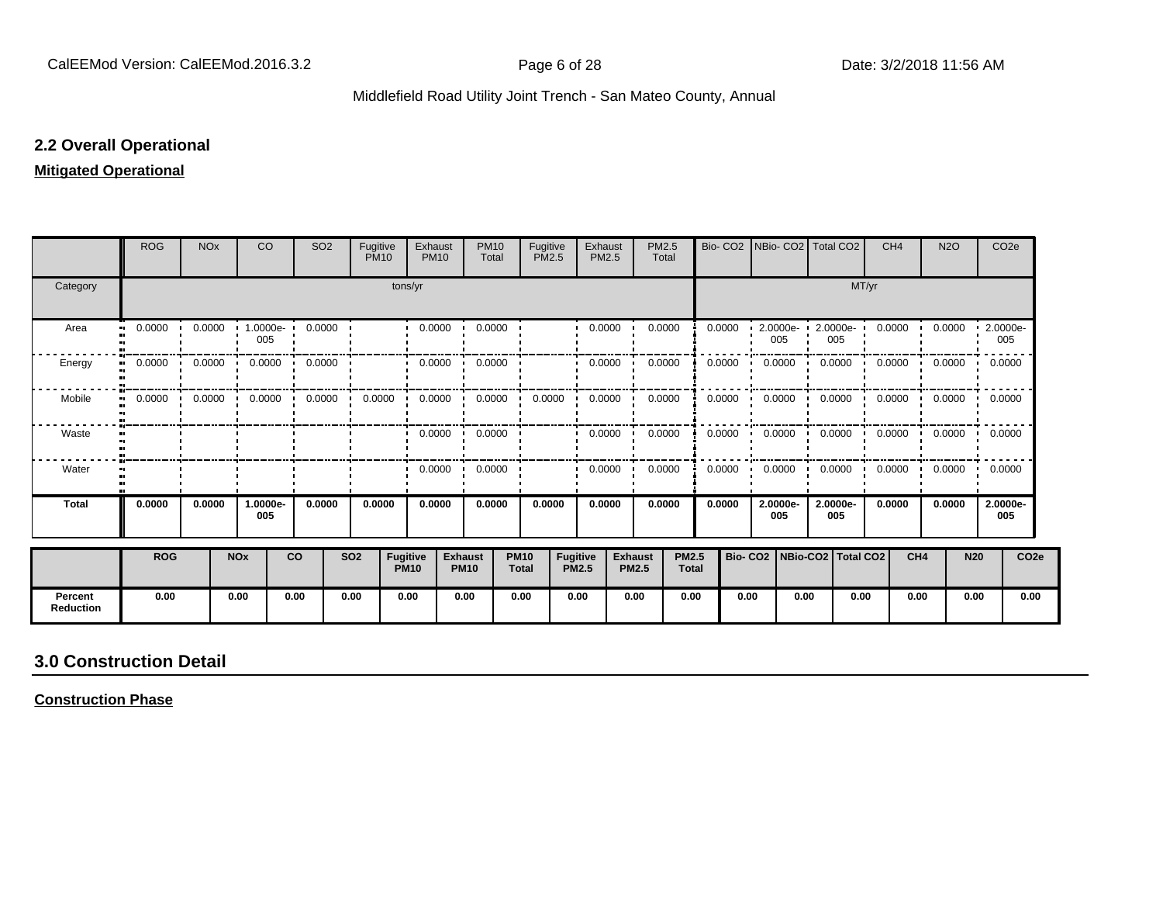### **2.2 Overall Operational**

### **Mitigated Operational**

|                             | <b>ROG</b>          | <b>NO<sub>x</sub></b> |                            | CO              | SO <sub>2</sub> | Fugitive<br><b>PM10</b> |                         | Exhaust<br><b>PM10</b> | <b>PM10</b><br>Total          | Fugitive                    | <b>PM2.5</b>                    | Exhaust<br>PM2.5 | PM2.5<br>Total                 |                              | Bio-CO <sub>2</sub> |                                 |                         | NBio- CO2   Total CO2 |      | CH <sub>4</sub> | <b>N2O</b>        |                 | CO <sub>2</sub> e |
|-----------------------------|---------------------|-----------------------|----------------------------|-----------------|-----------------|-------------------------|-------------------------|------------------------|-------------------------------|-----------------------------|---------------------------------|------------------|--------------------------------|------------------------------|---------------------|---------------------------------|-------------------------|-----------------------|------|-----------------|-------------------|-----------------|-------------------|
| Category                    |                     |                       |                            |                 |                 |                         | tons/yr                 |                        |                               |                             |                                 |                  |                                |                              | MT/yr               |                                 |                         |                       |      |                 |                   |                 |                   |
| Area                        | 0.0000<br>$\bullet$ | 0.0000                | $\blacksquare$             | 1.0000e-<br>005 | 0.0000          |                         |                         | 0.0000                 | 0.0000                        |                             |                                 | 0.0000           |                                | 0.0000                       | 0.0000              |                                 | $2.0000e - 1$<br>005    | 2.0000e-<br>005       |      | 0.0000          | 0.0000            | 2.0000e-        | 005               |
| Energy                      | 0.0000              | 0.0000                |                            | 0.0000<br>- 11  | 0.0000          |                         |                         | 0.0000                 | 0.0000                        |                             |                                 | 0.0000           | 0.0000                         |                              | 0.0000              |                                 | 0.0000                  | 0.0000                |      | 0.0000          | 0.0000            | 0.0000          |                   |
| Mobile                      | 0.0000              |                       | $0.0000$ $0.0000$ $0.0000$ |                 | 0.0000          | 0.0000                  |                         | 0.0000                 | 0.0000<br>$\cdot$             | 0.0000                      |                                 | 0.0000           | 0.0000                         |                              | 0.0000              |                                 | $0.0000$ $\blacksquare$ | 0.0000                |      |                 | $0.0000$ 0.0000   | 0.0000          |                   |
| Waste                       |                     |                       |                            |                 |                 |                         |                         | 0.0000                 | 0.0000<br>$\cdot$             |                             |                                 | 0.0000           |                                | 0.0000                       | 0.0000              |                                 | 0.0000                  | 0.0000                |      | 0.0000          | $0.0000$ $0.0000$ |                 |                   |
| Water                       |                     |                       |                            |                 |                 |                         |                         | 0.0000                 | 0.0000                        |                             |                                 | 0.0000           | 0.0000                         |                              | 0.0000              |                                 | 0.0000                  | 0.0000                |      | 0.0000          | 0.0000            | 0.0000          |                   |
| <b>Total</b>                | 0.0000              | 0.0000                |                            | 1.0000e-<br>005 | 0.0000          | 0.0000                  |                         | 0.0000                 | 0.0000                        |                             | 0.0000                          | 0.0000           |                                | 0.0000                       | 0.0000              |                                 | 2.0000e-<br>005         | 2.0000e-<br>005       |      | 0.0000          | 0.0000            | 2.0000e-<br>005 |                   |
|                             | <b>ROG</b>          |                       | <b>NOx</b>                 |                 | co              | <b>SO2</b>              | Fugitive<br><b>PM10</b> |                        | <b>Exhaust</b><br><b>PM10</b> | <b>PM10</b><br><b>Total</b> | <b>Fugitive</b><br><b>PM2.5</b> |                  | <b>Exhaust</b><br><b>PM2.5</b> | <b>PM2.5</b><br><b>Total</b> |                     | Bio- CO2   NBio-CO2   Total CO2 |                         |                       |      | CH4             |                   | <b>N20</b>      | CO <sub>2e</sub>  |
| Percent<br><b>Reduction</b> | 0.00                |                       | 0.00                       |                 | 0.00            | 0.00                    | 0.00                    |                        | 0.00                          | 0.00                        | 0.00                            |                  | 0.00                           | 0.00                         |                     | 0.00                            | 0.00                    |                       | 0.00 | 0.00            |                   | 0.00            | 0.00              |

# **3.0 Construction Detail**

**Construction Phase**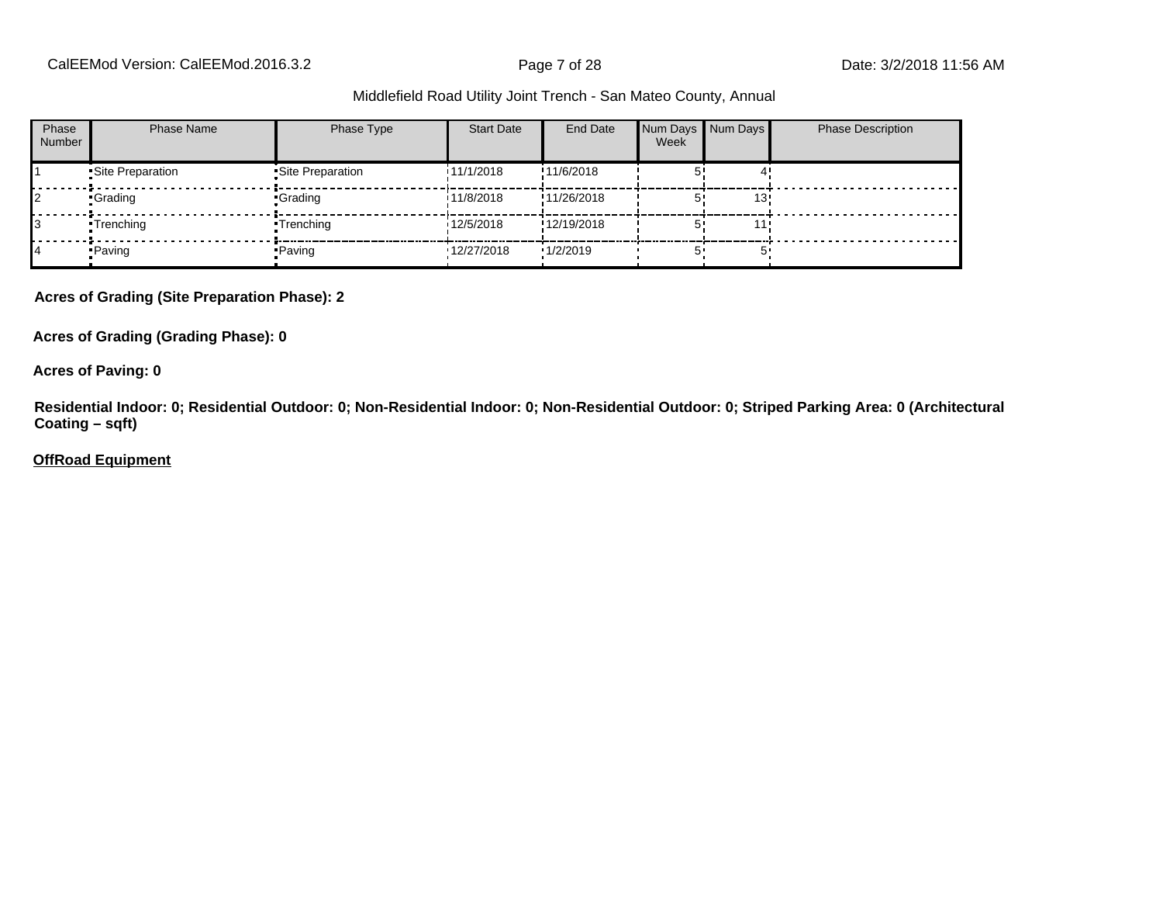CalEEMod Version: CalEEMod.2016.3.2 **Page 7 of 28** Page 7 of 28 Date: 3/2/2018 11:56 AM

#### Middlefield Road Utility Joint Trench - San Mateo County, Annual

| Phase<br><b>Number</b> | <b>Phase Name</b> | Phase Type         | <b>Start Date</b> | End Date    | Num Days Num Days<br>Week |     | <b>Phase Description</b> |
|------------------------|-------------------|--------------------|-------------------|-------------|---------------------------|-----|--------------------------|
|                        | Site Preparation  | • Site Preparation | 11/1/2018         | !11/6/2018  |                           |     |                          |
|                        | •Grading          | •Grading           | 11/8/2018         | !11/26/2018 |                           | 13! |                          |
|                        | •Trenching        | •Trenching         | 12/5/2018         | !12/19/2018 |                           |     |                          |
|                        | • Paving          | • Paving           | '12/27/2018       | 1/2/2019    |                           | π,  |                          |

**Acres of Grading (Site Preparation Phase): 2**

**Acres of Grading (Grading Phase): 0**

**Acres of Paving: 0**

**Residential Indoor: 0; Residential Outdoor: 0; Non-Residential Indoor: 0; Non-Residential Outdoor: 0; Striped Parking Area: 0 (Architectural Coating – sqft)**

**OffRoad Equipment**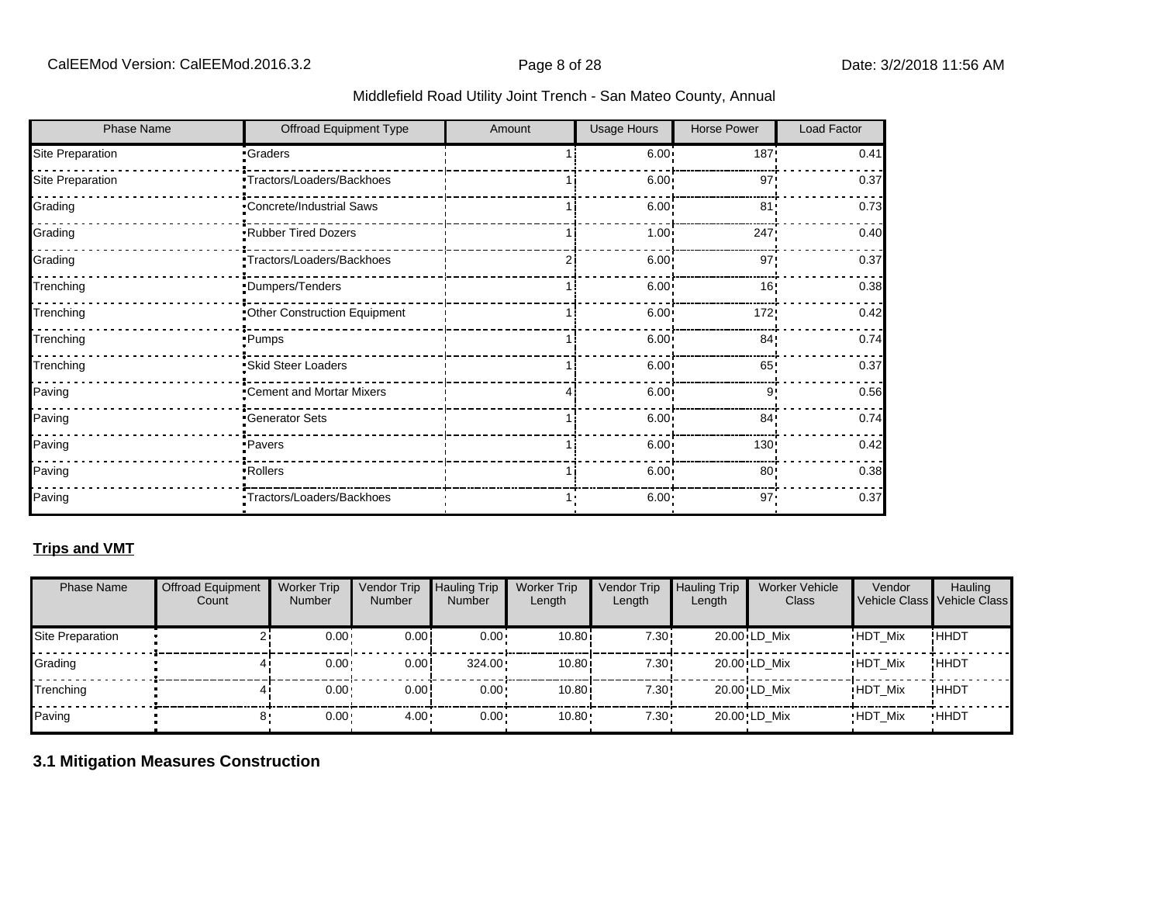| <b>Phase Name</b> | Offroad Equipment Type       | Amount | Usage Hours       | Horse Power     | Load Factor |
|-------------------|------------------------------|--------|-------------------|-----------------|-------------|
| Site Preparation  | <b>Craders</b>               |        | $6.00 -$          | 187!            | 0.41        |
| Site Preparation  | Tractors/Loaders/Backhoes    |        | $6.00 \cdot$      | 97'             | 0.37        |
| Grading           | Concrete/Industrial Saws     |        | $6.00 \cdot$      | 81'             | 0.73        |
| Grading           | Rubber Tired Dozers          |        | $1.00 -$          | 247!            | 0.40        |
| Grading           | "Tractors/Loaders/Backhoes   | 2      | 6.00 <sub>1</sub> | 97'             | 0.37        |
| Trenching         | Dumpers/Tenders              |        | 6.00 <sub>1</sub> | 16!             | 0.38        |
| Trenching         | Other Construction Equipment |        | 6.00:             | 172!            | 0.42        |
| Trenching         | Pumps                        |        | 6.00              | 84 <sup>1</sup> | 0.74        |
| Trenching         | Skid Steer Loaders           |        | 6.00:             | 65!             | 0.37        |
| Paving            | Cement and Mortar Mixers     | 4      | 6.00              | 9'              | 0.56        |
| Paving            | -Generator Sets              |        | 6.00 <sub>1</sub> | 84 <sub>1</sub> | 0.74        |
| Paving            | <b>Pavers</b>                |        | 6.00              | 130!            | 0.42        |
| Paving            | -Rollers                     |        | 6.00 <sub>1</sub> | 80              | 0.38        |
| Paving            | Tractors/Loaders/Backhoes    |        | $6.00 -$          | 97'             | 0.37        |

# **Trips and VMT**

| <b>Phase Name</b> | <b>Offroad Equipment</b><br>Count | <b>Worker Trip</b><br><b>Number</b> | Vendor Trip<br><b>Number</b> | Hauling Trip<br><b>Number</b> | <b>Worker Trip</b><br>Length | Vendor Trip<br>Length | <b>Hauling Trip</b><br>Length | <b>Worker Vehicle</b><br>Class | Vendor         | Hauling<br>Vehicle Class Vehicle Class |
|-------------------|-----------------------------------|-------------------------------------|------------------------------|-------------------------------|------------------------------|-----------------------|-------------------------------|--------------------------------|----------------|----------------------------------------|
| Site Preparation  |                                   | $0.00 \cdot$                        | 0.00                         | $0.00 \cdot$                  | 10.80i                       | 7.30!                 |                               | 20.00 LD Mix                   | <b>HDT Mix</b> | !HHDT                                  |
| Grading           |                                   | $0.00 -$                            | 0.00!                        | $324.00 \cdot$                | 10.80i                       | 7.30!                 |                               | 20.00 LD Mix                   | <b>HDT Mix</b> | !ННDТ                                  |
| Trenching         |                                   | $0.00 \cdot$                        | 0.00                         | $0.00 \cdot$                  | 10.80i                       | 7.30!                 |                               | $20.00$ <sup>i</sup> LD Mix    | <b>HDT Mix</b> | !ННDТ                                  |
| Paving            |                                   | $0.00 -$                            | $4.00 -$                     | $0.00 \cdot$                  | $10.80 -$                    | 7.30:                 |                               | 20.00 LD Mix                   | <b>HDT Mix</b> | <b>HHDT</b>                            |

### **3.1 Mitigation Measures Construction**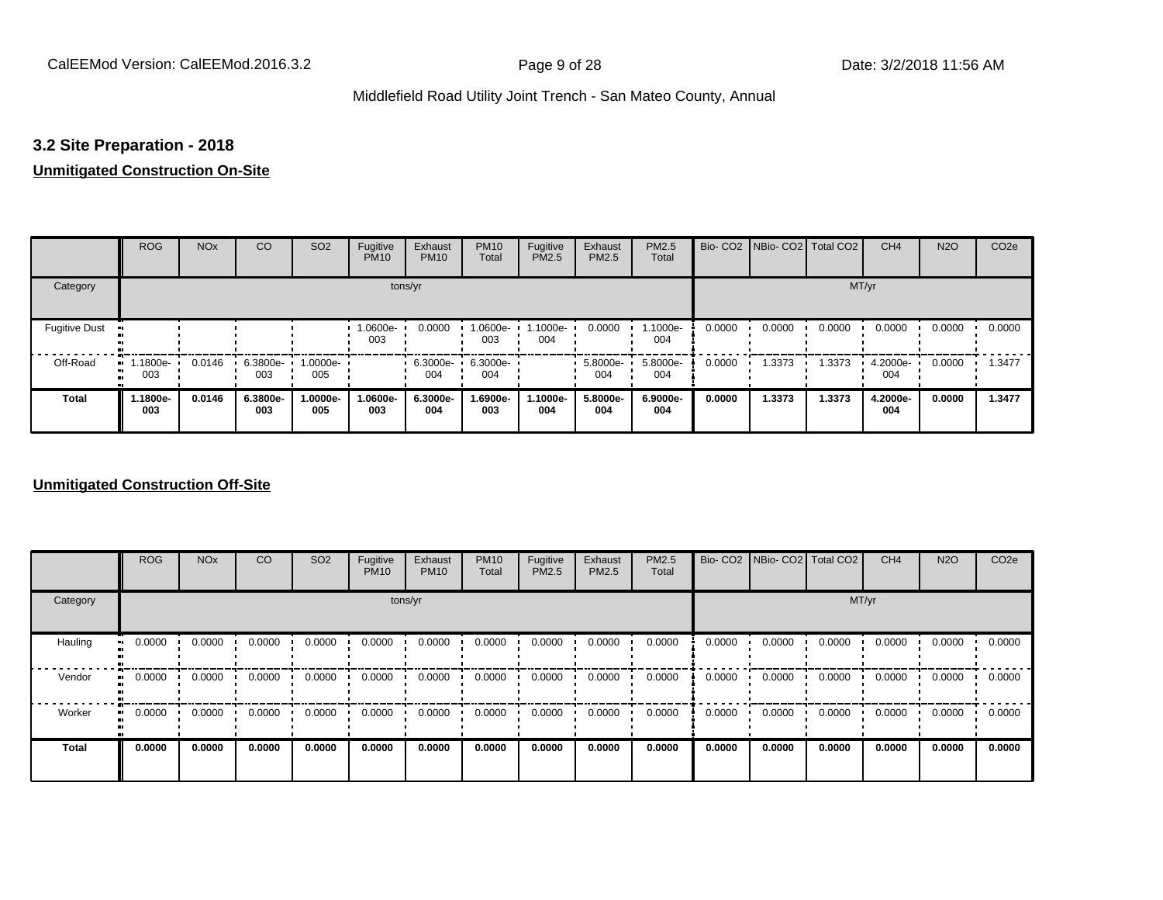### **3.2 Site Preparation - 2018**

# **Unmitigated Construction On-Site**

|                      | <b>ROG</b>          | <b>NO<sub>x</sub></b> | CO              | SO <sub>2</sub> | Fugitive<br><b>PM10</b> | Exhaust<br><b>PM10</b> | <b>PM10</b><br>Total | Fugitive<br><b>PM2.5</b> | Exhaust<br>PM2.5 | PM2.5<br>Total  |        | Bio- CO2   NBio- CO2   Total CO2 |        | CH <sub>4</sub> | <b>N2O</b> | CO <sub>2e</sub> |
|----------------------|---------------------|-----------------------|-----------------|-----------------|-------------------------|------------------------|----------------------|--------------------------|------------------|-----------------|--------|----------------------------------|--------|-----------------|------------|------------------|
| Category             |                     |                       |                 |                 | tons/yr                 |                        |                      |                          |                  |                 |        |                                  | MT/yr  |                 |            |                  |
| <b>Fugitive Dust</b> |                     |                       |                 |                 | 1.0600e-<br>003         | 0.0000                 | 1.0600e-<br>003      | .1000e-<br>004           | 0.0000           | 1.1000e-<br>004 | 0.0000 | 0.0000                           | 0.0000 | 0.0000          | 0.0000     | 0.0000           |
| Off-Road<br>п        | 1.1800e-<br><br>003 | 0.0146                | 6.3800e-<br>003 | 1.0000e-<br>005 |                         | 6.3000e-<br>004        | 6.3000e-<br>004      |                          | 5.8000e-<br>004  | 5.8000e-<br>004 | 0.0000 | 1.3373                           | 1.3373 | 4.2000e-<br>004 | 0.0000     | 1.3477           |
| <b>Total</b>         | 1.1800e-<br>003     | 0.0146                | 6.3800e-<br>003 | -.0000e<br>005  | 1.0600e-<br>003         | 6.3000e-<br>004        | 1.6900e-<br>003      | 1.1000e-<br>004          | 5.8000e-<br>004  | 6.9000e-<br>004 | 0.0000 | 1.3373                           | 1.3373 | 4.2000e-<br>004 | 0.0000     | 1.3477           |

### **Unmitigated Construction Off-Site**

|                        | <b>ROG</b>               | <b>NO<sub>x</sub></b> | CO     | SO <sub>2</sub> | Fugitive<br><b>PM10</b> | Exhaust<br><b>PM10</b> | <b>PM10</b><br>Total | Fugitive<br><b>PM2.5</b> | Exhaust<br>PM2.5 | PM2.5<br>Total |        | Bio- CO2   NBio- CO2   Total CO2 |        | CH <sub>4</sub> | <b>N2O</b> | CO <sub>2e</sub> |
|------------------------|--------------------------|-----------------------|--------|-----------------|-------------------------|------------------------|----------------------|--------------------------|------------------|----------------|--------|----------------------------------|--------|-----------------|------------|------------------|
| Category               |                          |                       |        |                 | tons/yr                 |                        |                      |                          |                  |                |        |                                  | MT/yr  |                 |            |                  |
| Hauling                | 0.0000<br>$\blacksquare$ | 0.0000                | 0.0000 | 0.0000          | 0.0000                  | 0.0000                 | 0.0000               | 0.0000                   | 0.0000           | 0.0000         | 0.0000 | 0.0000                           | 0.0000 | 0.0000          | 0.0000     | 0.0000           |
| Vendor<br>$\mathbf{u}$ | 0.0000                   | 0.0000                | 0.0000 | 0.0000          | 0.0000                  | 0.0000                 | 0.0000               | 0.0000                   | 0.0000           | 0.0000         | 0.0000 | 0.0000                           | 0.0000 | 0.0000          | 0.0000     | 0.0000           |
| Worker                 | 0.0000<br>$\bullet$      | 0.0000                | 0.0000 | 0.0000          | 0.0000                  | 0.0000                 | 0.0000               | 0.0000                   | 0.0000           | 0.0000         | 0.0000 | 0.0000                           | 0.0000 | 0.0000          | 0.0000     | 0.0000           |
| <b>Total</b>           | 0.0000                   | 0.0000                | 0.0000 | 0.0000          | 0.0000                  | 0.0000                 | 0.0000               | 0.0000                   | 0.0000           | 0.0000         | 0.0000 | 0.0000                           | 0.0000 | 0.0000          | 0.0000     | 0.0000           |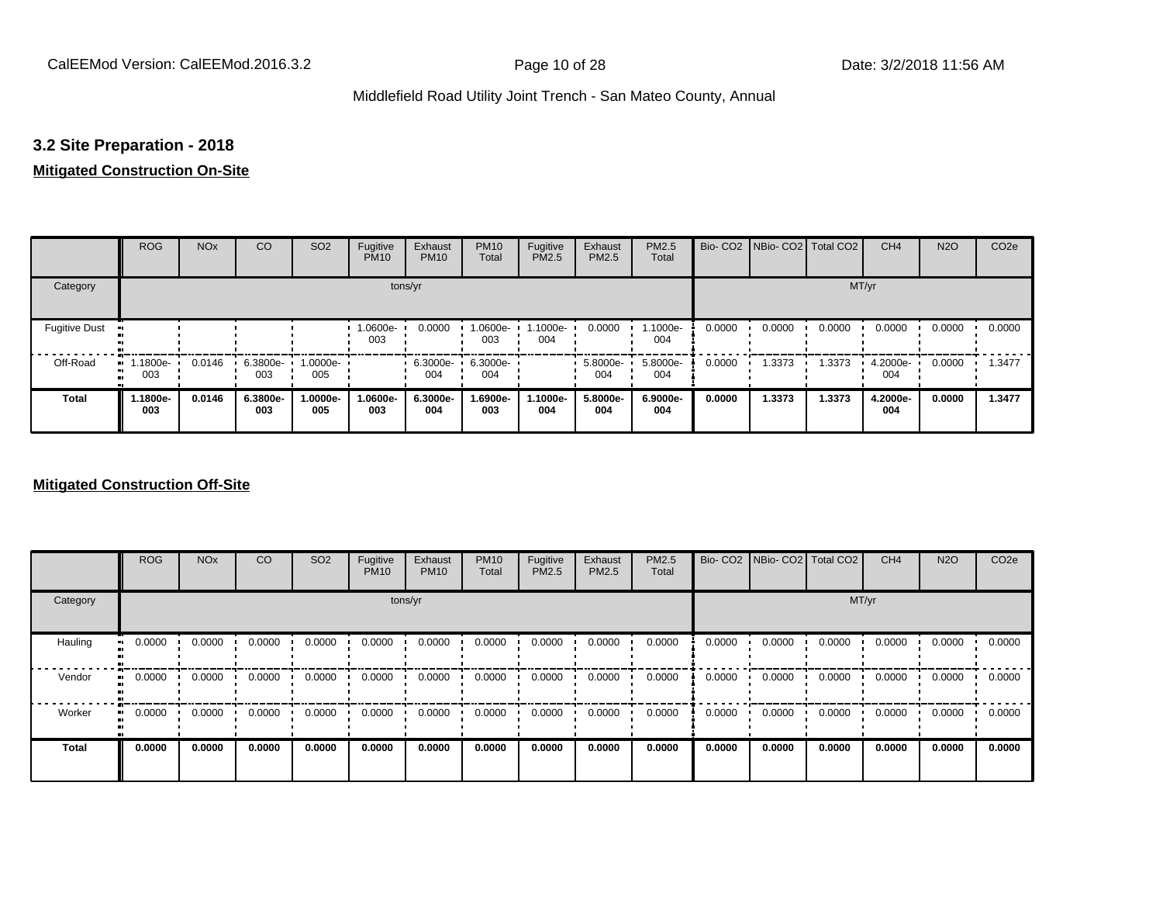### **3.2 Site Preparation - 2018**

### **Mitigated Construction On-Site**

|                           | <b>ROG</b>         | <b>NO<sub>x</sub></b> | CO              | SO <sub>2</sub> | Fugitive<br><b>PM10</b> | Exhaust<br><b>PM10</b> | <b>PM10</b><br>Total | Fugitive<br><b>PM2.5</b> | Exhaust<br>PM2.5 | PM2.5<br>Total  |        | Bio- CO2   NBio- CO2   Total CO2 |        | CH <sub>4</sub> | <b>N2O</b> | CO <sub>2e</sub> |
|---------------------------|--------------------|-----------------------|-----------------|-----------------|-------------------------|------------------------|----------------------|--------------------------|------------------|-----------------|--------|----------------------------------|--------|-----------------|------------|------------------|
| Category                  |                    |                       |                 |                 | tons/yr                 |                        |                      |                          |                  |                 |        |                                  | MT/yr  |                 |            |                  |
| <b>Fugitive Dust</b><br>Ð |                    |                       |                 |                 | 1.0600e-<br>003         | 0.0000                 | 1.0600e-<br>003      | 1.1000e-<br>004          | 0.0000           | 1.1000e-<br>004 | 0.0000 | 0.0000                           | 0.0000 | 0.0000          | 0.0000     | 0.0000           |
| Off-Road<br>п.            | $-1.1800e-$<br>003 | 0.0146                | 6.3800e-<br>003 | 1.0000e-<br>005 |                         | 6.3000e-<br>004        | 6.3000e-<br>004      |                          | 5.8000e-<br>004  | 5.8000e-<br>004 | 0.0000 | 1.3373                           | 1.3373 | 4.2000e-<br>004 | 0.0000     | 1.3477           |
| <b>Total</b>              | 1.1800e-<br>003    | 0.0146                | 6.3800e-<br>003 | -.0000e<br>005  | 1.0600e-<br>003         | 6.3000e-<br>004        | 1.6900e-<br>003      | 1.1000e-<br>004          | 5.8000e-<br>004  | 6.9000e-<br>004 | 0.0000 | 1.3373                           | 1.3373 | 4.2000e-<br>004 | 0.0000     | 1.3477           |

### **Mitigated Construction Off-Site**

|                        | <b>ROG</b>               | <b>NO<sub>x</sub></b> | CO     | SO <sub>2</sub> | Fugitive<br><b>PM10</b> | Exhaust<br><b>PM10</b> | <b>PM10</b><br>Total | Fugitive<br><b>PM2.5</b> | Exhaust<br>PM2.5 | PM2.5<br>Total |        | Bio- CO2   NBio- CO2   Total CO2 |        | CH <sub>4</sub> | <b>N2O</b> | CO <sub>2e</sub> |
|------------------------|--------------------------|-----------------------|--------|-----------------|-------------------------|------------------------|----------------------|--------------------------|------------------|----------------|--------|----------------------------------|--------|-----------------|------------|------------------|
| Category               |                          |                       |        |                 | tons/yr                 |                        |                      |                          |                  |                |        |                                  | MT/yr  |                 |            |                  |
| Hauling                | 0.0000<br>$\blacksquare$ | 0.0000                | 0.0000 | 0.0000          | 0.0000                  | 0.0000                 | 0.0000               | 0.0000                   | 0.0000           | 0.0000         | 0.0000 | 0.0000                           | 0.0000 | 0.0000          | 0.0000     | 0.0000           |
| Vendor<br>$\mathbf{u}$ | 0.0000                   | 0.0000                | 0.0000 | 0.0000          | 0.0000                  | 0.0000                 | 0.0000               | 0.0000                   | 0.0000           | 0.0000         | 0.0000 | 0.0000                           | 0.0000 | 0.0000          | 0.0000     | 0.0000           |
| Worker                 | 0.0000<br>$\bullet$      | 0.0000                | 0.0000 | 0.0000          | 0.0000                  | 0.0000                 | 0.0000               | 0.0000                   | 0.0000           | 0.0000         | 0.0000 | 0.0000                           | 0.0000 | 0.0000          | 0.0000     | 0.0000           |
| <b>Total</b>           | 0.0000                   | 0.0000                | 0.0000 | 0.0000          | 0.0000                  | 0.0000                 | 0.0000               | 0.0000                   | 0.0000           | 0.0000         | 0.0000 | 0.0000                           | 0.0000 | 0.0000          | 0.0000     | 0.0000           |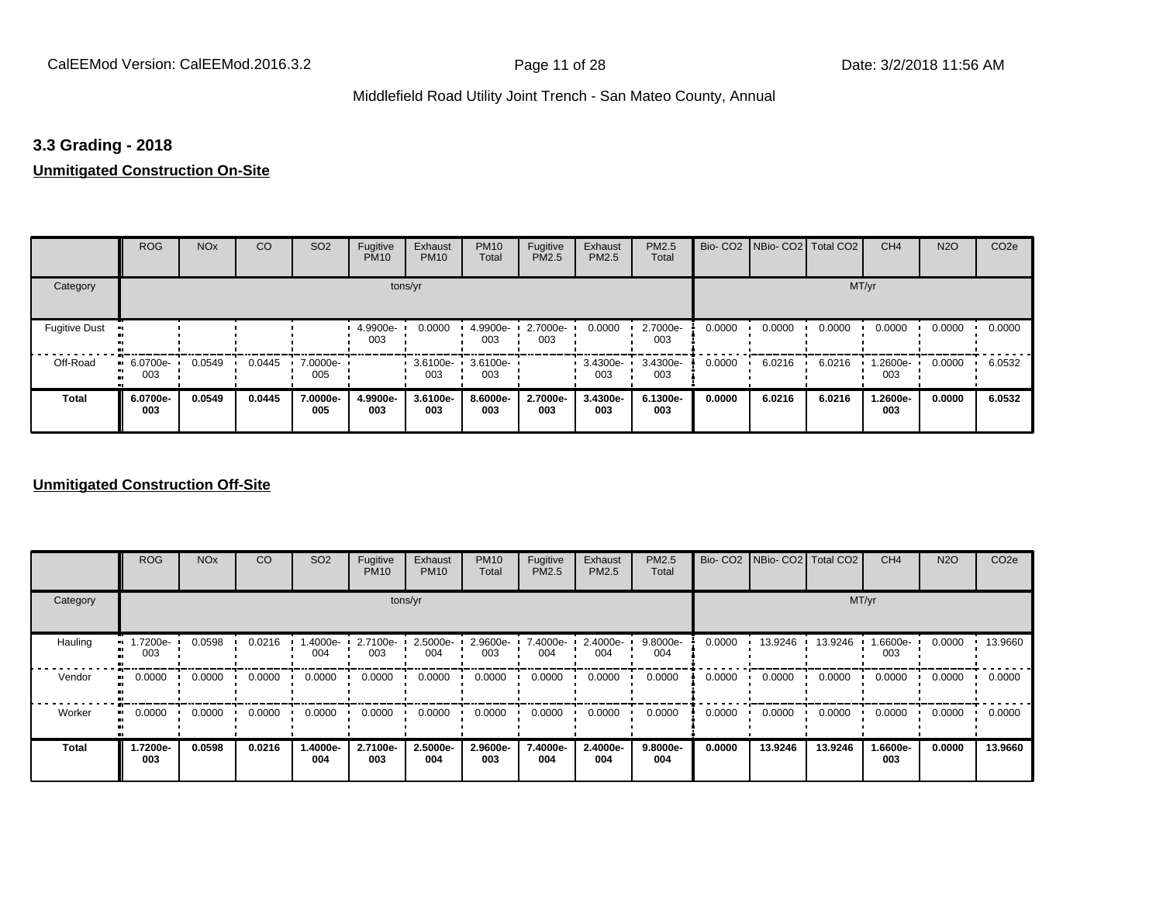### **3.3 Grading - 2018**

### **Unmitigated Construction On-Site**

|                                  | <b>ROG</b>         | <b>NO<sub>x</sub></b> | CO     | SO <sub>2</sub> | Fugitive<br><b>PM10</b> | Exhaust<br><b>PM10</b> | <b>PM10</b><br>Total | Fugitive<br><b>PM2.5</b> | Exhaust<br>PM2.5 | PM2.5<br>Total  |        | Bio- CO2   NBio- CO2   Total CO2 |        | CH <sub>4</sub> | <b>N2O</b> | CO <sub>2e</sub> |
|----------------------------------|--------------------|-----------------------|--------|-----------------|-------------------------|------------------------|----------------------|--------------------------|------------------|-----------------|--------|----------------------------------|--------|-----------------|------------|------------------|
| Category                         |                    |                       |        |                 | tons/yr                 |                        |                      |                          |                  |                 |        |                                  | MT/yr  |                 |            |                  |
| <b>Fugitive Dust</b>             |                    |                       |        |                 | 4.9900e-<br>003         | 0.0000                 | 4.9900e-<br>003      | 2.7000e-<br>003          | 0.0000           | 2.7000e-<br>003 | 0.0000 | 0.0000                           | 0.0000 | 0.0000          | 0.0000     | 0.0000           |
| Off-Road<br>п.<br>$\blacksquare$ | $-6.0700e-$<br>003 | 0.0549                | 0.0445 | 7.0000e-<br>005 |                         | 3.6100e-<br>003        | 3.6100e-<br>003      |                          | 3.4300e-<br>003  | 3.4300e-<br>003 | 0.0000 | 6.0216                           | 6.0216 | -2600e-<br>003  | 0.0000     | 6.0532           |
| <b>Total</b>                     | 6.0700e-<br>003    | 0.0549                | 0.0445 | 7.0000e-<br>005 | 4.9900e-<br>003         | 3.6100e-<br>003        | 8.6000e-<br>003      | 2.7000e-<br>003          | 3.4300e-<br>003  | 6.1300e-<br>003 | 0.0000 | 6.0216                           | 6.0216 | 1.2600e-<br>003 | 0.0000     | 6.0532           |

### **Unmitigated Construction Off-Site**

|              | <b>ROG</b>          | <b>NO<sub>x</sub></b> | CO     | SO <sub>2</sub>   | Fugitive<br><b>PM10</b> | Exhaust<br><b>PM10</b> | <b>PM10</b><br>Total | Fugitive<br><b>PM2.5</b> | Exhaust<br>PM2.5 | <b>PM2.5</b><br>Total |        | Bio- CO2   NBio- CO2   Total CO2 |         | CH <sub>4</sub> | <b>N2O</b> | CO <sub>2e</sub> |
|--------------|---------------------|-----------------------|--------|-------------------|-------------------------|------------------------|----------------------|--------------------------|------------------|-----------------------|--------|----------------------------------|---------|-----------------|------------|------------------|
| Category     |                     |                       |        |                   |                         | tons/yr                |                      |                          |                  |                       |        |                                  |         | MT/yr           |            |                  |
| Hauling      | 1.7200e-<br>003     | 0.0598                | 0.0216 | 1.4000e- ∙<br>004 | 2.7100e-<br>003         | 2.5000e-<br>004        | 2.9600e-<br>003      | 7.4000e-<br>004          | 2.4000e-<br>004  | 9.8000e-<br>004       | 0.0000 | 13.9246                          | 13.9246 | 1.6600e-<br>003 | 0.0000     | 13.9660          |
| Vendor       | 0.0000              | 0.0000                | 0.0000 | 0.0000            | 0.0000                  | 0.0000                 | 0.0000               | 0.0000                   | 0.0000           | 0.0000                | 0.0000 | 0.0000                           | 0.0000  | 0.0000          | 0.0000     | 0.0000           |
| Worker       | 0.0000<br>$\bullet$ | 0.0000                | 0.0000 | 0.0000            | 0.0000                  | 0.0000                 | 0.0000               | 0.0000                   | 0.0000           | 0.0000                | 0.0000 | 0.0000                           | 0.0000  | 0.0000          | 0.0000     | 0.0000           |
| <b>Total</b> | 1.7200e-<br>003     | 0.0598                | 0.0216 | -.4000e<br>004    | 2.7100e-<br>003         | 2.5000e-<br>004        | 2.9600e-<br>003      | 7.4000e-<br>004          | 2.4000e-<br>004  | 9.8000e-<br>004       | 0.0000 | 13.9246                          | 13.9246 | 1.6600e-<br>003 | 0.0000     | 13.9660          |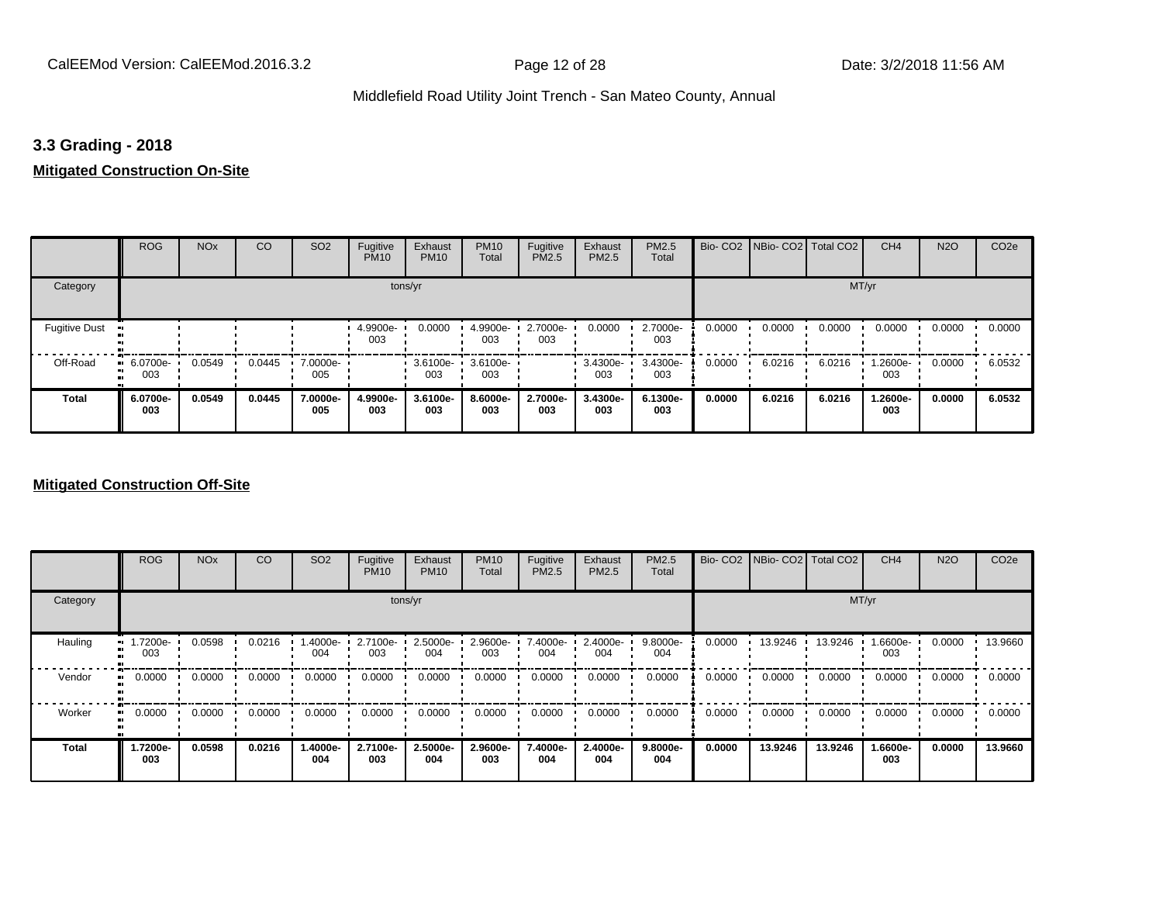### **3.3 Grading - 2018**

### **Mitigated Construction On-Site**

|                      | <b>ROG</b>            | <b>NO<sub>x</sub></b> | CO     | SO <sub>2</sub> | Fugitive<br><b>PM10</b> | Exhaust<br><b>PM10</b> | <b>PM10</b><br>Total | Fugitive<br>PM2.5 | Exhaust<br>PM2.5 | PM2.5<br>Total  |        | Bio- CO2   NBio- CO2   Total CO2 |        | CH <sub>4</sub> | <b>N2O</b> | CO <sub>2e</sub> |
|----------------------|-----------------------|-----------------------|--------|-----------------|-------------------------|------------------------|----------------------|-------------------|------------------|-----------------|--------|----------------------------------|--------|-----------------|------------|------------------|
| Category             |                       |                       |        |                 | tons/yr                 |                        |                      |                   |                  |                 |        |                                  | MT/yr  |                 |            |                  |
| <b>Fugitive Dust</b> |                       |                       |        |                 | 4.9900e-<br>003         | 0.0000                 | 4.9900e-<br>003      | 2.7000e-<br>003   | 0.0000           | 2.7000e-<br>003 | 0.0000 | 0.0000                           | 0.0000 | 0.0000          | 0.0000     | 0.0000           |
| Off-Road             | 6.0700e-<br>ш.<br>003 | 0.0549                | 0.0445 | 7.0000e-<br>005 |                         | 3.6100e-<br>003        | 3.6100e-<br>003      |                   | 3.4300e-<br>003  | 3.4300e-<br>003 | 0.0000 | 6.0216                           | 6.0216 | 1.2600e-<br>003 | 0.0000     | 6.0532           |
| <b>Total</b>         | 6.0700e-<br>003       | 0.0549                | 0.0445 | 7.0000e-<br>005 | 4.9900e-<br>003         | 3.6100e-<br>003        | 8.6000e-<br>003      | 2.7000e-<br>003   | 3.4300e-<br>003  | 6.1300e-<br>003 | 0.0000 | 6.0216                           | 6.0216 | 1.2600e-<br>003 | 0.0000     | 6.0532           |

### **Mitigated Construction Off-Site**

|                     | <b>ROG</b>      | <b>NO<sub>x</sub></b> | CO     | SO <sub>2</sub> | Fugitive<br><b>PM10</b> | Exhaust<br><b>PM10</b> | <b>PM10</b><br>Total | Fugitive<br><b>PM2.5</b> | Exhaust<br>PM2.5 | PM2.5<br>Total  |        | Bio- CO2   NBio- CO2   Total CO2 |         | CH <sub>4</sub> | <b>N2O</b> | CO <sub>2e</sub> |
|---------------------|-----------------|-----------------------|--------|-----------------|-------------------------|------------------------|----------------------|--------------------------|------------------|-----------------|--------|----------------------------------|---------|-----------------|------------|------------------|
| Category            |                 |                       |        |                 | tons/yr                 |                        |                      |                          |                  |                 |        |                                  | MT/yr   |                 |            |                  |
| Hauling             | -7200e<br>003   | 0.0598                | 0.0216 | .4000e-<br>004  | 2.7100e-<br>003         | 2.5000e-<br>004        | 2.9600e-<br>003      | 7.4000e-<br>004          | 2.4000e-<br>004  | 9.8000e-<br>004 | 0.0000 | 13.9246                          | 13.9246 | 1.6600e-<br>003 | 0.0000     | 13.9660          |
| Vendor<br>$\bullet$ | 0.0000          | 0.0000                | 0.0000 | 0.0000          | 0.0000                  | 0.0000                 | 0.0000               | 0.0000                   | 0.0000           | 0.0000          | 0.0000 | 0.0000                           | 0.0000  | 0.0000          | 0.0000     | 0.0000           |
| Worker<br>$\bullet$ | 0.0000          | 0.0000                | 0.0000 | 0.0000          | 0.0000                  | 0.0000                 | 0.0000               | 0.0000                   | 0.0000           | 0.0000          | 0.0000 | 0.0000                           | 0.0000  | 0.0000          | 0.0000     | 0.0000           |
| <b>Total</b>        | 1.7200e-<br>003 | 0.0598                | 0.0216 | 1.4000e-<br>004 | 2.7100e-<br>003         | 2.5000e-<br>004        | 2.9600e-<br>003      | 7.4000e-<br>004          | 2.4000e-<br>004  | 9.8000e-<br>004 | 0.0000 | 13.9246                          | 13.9246 | 1.6600e-<br>003 | 0.0000     | 13.9660          |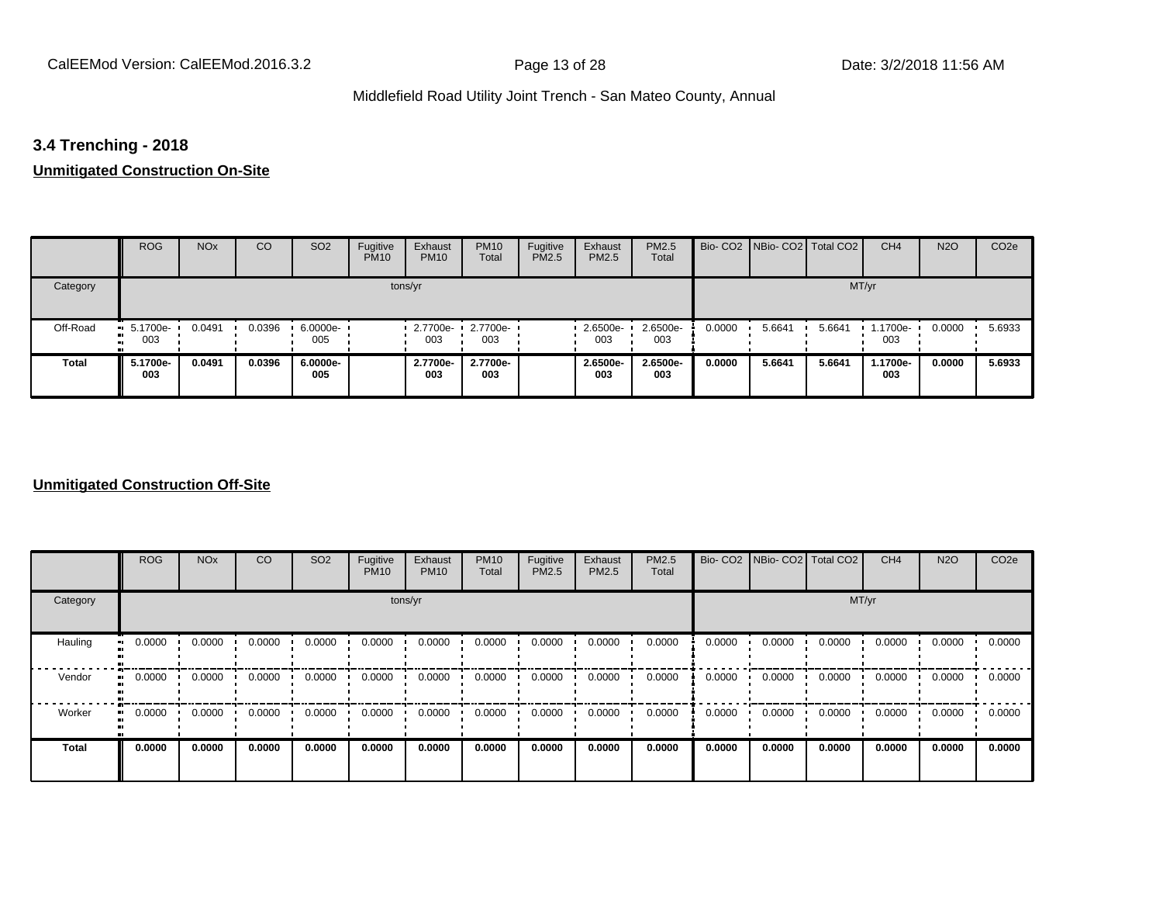# **3.4 Trenching - 2018**

# **Unmitigated Construction On-Site**

|              | <b>ROG</b>                          | <b>NO<sub>x</sub></b> | CO     | SO <sub>2</sub> | Fugitive<br><b>PM10</b> | Exhaust<br><b>PM10</b> | <b>PM10</b><br>Total | Fugitive<br>PM2.5 | Exhaust<br>PM2.5 | <b>PM2.5</b><br>Total |        | Bio- CO2   NBio- CO2   Total CO2 |        | CH <sub>4</sub> | <b>N2O</b> | CO <sub>2e</sub> |
|--------------|-------------------------------------|-----------------------|--------|-----------------|-------------------------|------------------------|----------------------|-------------------|------------------|-----------------------|--------|----------------------------------|--------|-----------------|------------|------------------|
| Category     |                                     |                       |        |                 |                         | tons/yr                |                      |                   |                  |                       |        |                                  | MT/yr  |                 |            |                  |
| Off-Road     | $\blacksquare$ 5.1700e-<br>003<br>m | 0.0491                | 0.0396 | 6.0000e-<br>005 |                         | $-2.7700e-$<br>003     | 2.7700e-<br>003      |                   | 2.6500e-<br>003  | 2.6500e-<br>003       | 0.0000 | 5.6641                           | 5.6641 | 1.1700e-<br>003 | 0.0000     | 5.6933           |
| <b>Total</b> | 5.1700e-<br>003                     | 0.0491                | 0.0396 | 6.0000e-<br>005 |                         | 2.7700e-<br>003        | 2.7700e-<br>003      |                   | 2.6500e-<br>003  | 2.6500e-<br>003       | 0.0000 | 5.6641                           | 5.6641 | 1.1700e-<br>003 | 0.0000     | 5.6933           |

### **Unmitigated Construction Off-Site**

|                        | <b>ROG</b>               | <b>NO<sub>x</sub></b> | CO     | SO <sub>2</sub> | Fugitive<br><b>PM10</b> | Exhaust<br><b>PM10</b> | <b>PM10</b><br>Total | Fugitive<br><b>PM2.5</b> | Exhaust<br>PM2.5 | PM2.5<br>Total |        | Bio- CO2   NBio- CO2   Total CO2 |        | CH <sub>4</sub> | <b>N2O</b> | CO <sub>2e</sub> |
|------------------------|--------------------------|-----------------------|--------|-----------------|-------------------------|------------------------|----------------------|--------------------------|------------------|----------------|--------|----------------------------------|--------|-----------------|------------|------------------|
| Category               |                          |                       |        |                 | tons/yr                 |                        |                      |                          |                  |                |        |                                  | MT/yr  |                 |            |                  |
| Hauling                | 0.0000<br>$\blacksquare$ | 0.0000                | 0.0000 | 0.0000          | 0.0000                  | 0.0000                 | 0.0000               | 0.0000                   | 0.0000           | 0.0000         | 0.0000 | 0.0000                           | 0.0000 | 0.0000          | 0.0000     | 0.0000           |
| Vendor<br>$\mathbf{u}$ | 0.0000                   | 0.0000                | 0.0000 | 0.0000          | 0.0000                  | 0.0000                 | 0.0000               | 0.0000                   | 0.0000           | 0.0000         | 0.0000 | 0.0000                           | 0.0000 | 0.0000          | 0.0000     | 0.0000           |
| Worker                 | 0.0000<br>$\bullet$      | 0.0000                | 0.0000 | 0.0000          | 0.0000                  | 0.0000                 | 0.0000               | 0.0000                   | 0.0000           | 0.0000         | 0.0000 | 0.0000                           | 0.0000 | 0.0000          | 0.0000     | 0.0000           |
| <b>Total</b>           | 0.0000                   | 0.0000                | 0.0000 | 0.0000          | 0.0000                  | 0.0000                 | 0.0000               | 0.0000                   | 0.0000           | 0.0000         | 0.0000 | 0.0000                           | 0.0000 | 0.0000          | 0.0000     | 0.0000           |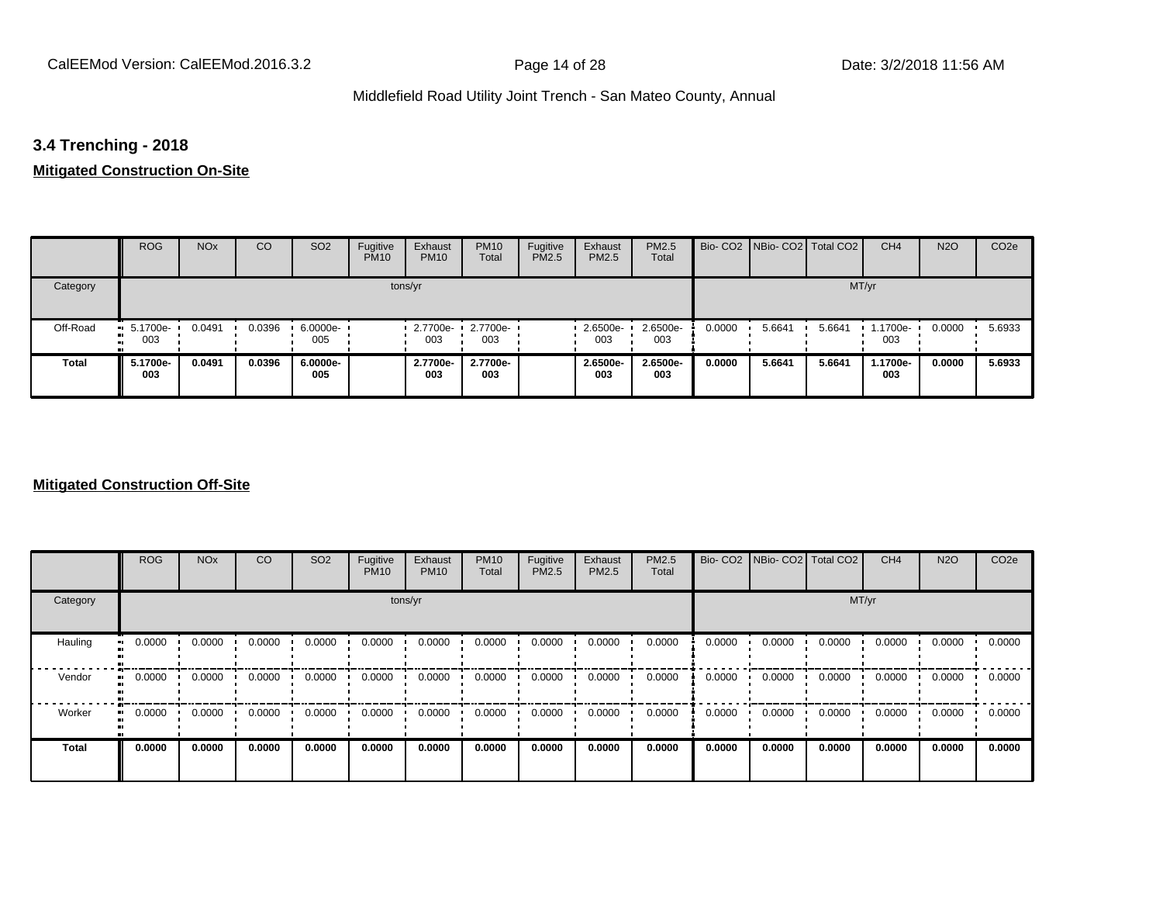# **3.4 Trenching - 2018**

# **Mitigated Construction On-Site**

|              | <b>ROG</b>         | <b>NO<sub>x</sub></b> | CO     | SO <sub>2</sub>   | Fugitive<br><b>PM10</b> | Exhaust<br><b>PM10</b> | <b>PM10</b><br>Total | Fugitive<br>PM2.5 | Exhaust<br>PM2.5 | <b>PM2.5</b><br>Total |        | Bio- CO2 NBio- CO2 Total CO2 |        | CH <sub>4</sub> | <b>N2O</b> | CO <sub>2e</sub> |
|--------------|--------------------|-----------------------|--------|-------------------|-------------------------|------------------------|----------------------|-------------------|------------------|-----------------------|--------|------------------------------|--------|-----------------|------------|------------------|
| Category     |                    |                       |        |                   |                         | tons/yr                |                      |                   |                  |                       |        |                              | MT/yr  |                 |            |                  |
| Off-Road     | $-5.1700e-$<br>003 | 0.0491                | 0.0396 | $6.0000e-$<br>005 |                         | $-2.7700e-$<br>003     | 2.7700e-<br>003      |                   | 2.6500e-<br>003  | 2.6500e-<br>003       | 0.0000 | 5.6641                       | 5.6641 | 1.1700e-<br>003 | 0.0000     | 5.6933           |
| <b>Total</b> | 5.1700e-<br>003    | 0.0491                | 0.0396 | 6.0000e-<br>005   |                         | 2.7700e-<br>003        | 2.7700e-<br>003      |                   | 2.6500e-<br>003  | 2.6500e-<br>003       | 0.0000 | 5.6641                       | 5.6641 | 1.1700e-<br>003 | 0.0000     | 5.6933           |

### **Mitigated Construction Off-Site**

|                            | <b>ROG</b> | <b>NO<sub>x</sub></b> | CO     | SO <sub>2</sub> | Fugitive<br><b>PM10</b> | Exhaust<br><b>PM10</b> | <b>PM10</b><br>Total | Fugitive<br><b>PM2.5</b> | Exhaust<br>PM2.5 | PM2.5<br>Total |        | Bio- CO2   NBio- CO2   Total CO2 |        | CH <sub>4</sub> | <b>N2O</b> | CO <sub>2e</sub> |
|----------------------------|------------|-----------------------|--------|-----------------|-------------------------|------------------------|----------------------|--------------------------|------------------|----------------|--------|----------------------------------|--------|-----------------|------------|------------------|
| Category                   |            |                       |        |                 | tons/yr                 |                        |                      |                          |                  |                |        |                                  | MT/yr  |                 |            |                  |
| Hauling<br>$\bullet$       | 0.0000     | 0.0000                | 0.0000 | 0.0000          | 0.0000                  | 0.0000                 | 0.0000               | 0.0000                   | 0.0000           | 0.0000         | 0.0000 | 0.0000                           | 0.0000 | 0.0000          | 0.0000     | 0.0000           |
| Vendor<br>$\bullet\bullet$ | 0.0000     | 0.0000                | 0.0000 | 0.0000          | 0.0000                  | 0.0000                 | 0.0000               | 0.0000                   | 0.0000           | 0.0000         | 0.0000 | 0.0000                           | 0.0000 | 0.0000          | 0.0000     | 0.0000           |
| Worker<br>$\bullet$        | 0.0000     | 0.0000                | 0.0000 | 0.0000          | 0.0000                  | 0.0000                 | 0.0000               | 0.0000                   | 0.0000           | 0.0000         | 0.0000 | 0.0000                           | 0.0000 | 0.0000          | 0.0000     | 0.0000           |
| <b>Total</b>               | 0.0000     | 0.0000                | 0.0000 | 0.0000          | 0.0000                  | 0.0000                 | 0.0000               | 0.0000                   | 0.0000           | 0.0000         | 0.0000 | 0.0000                           | 0.0000 | 0.0000          | 0.0000     | 0.0000           |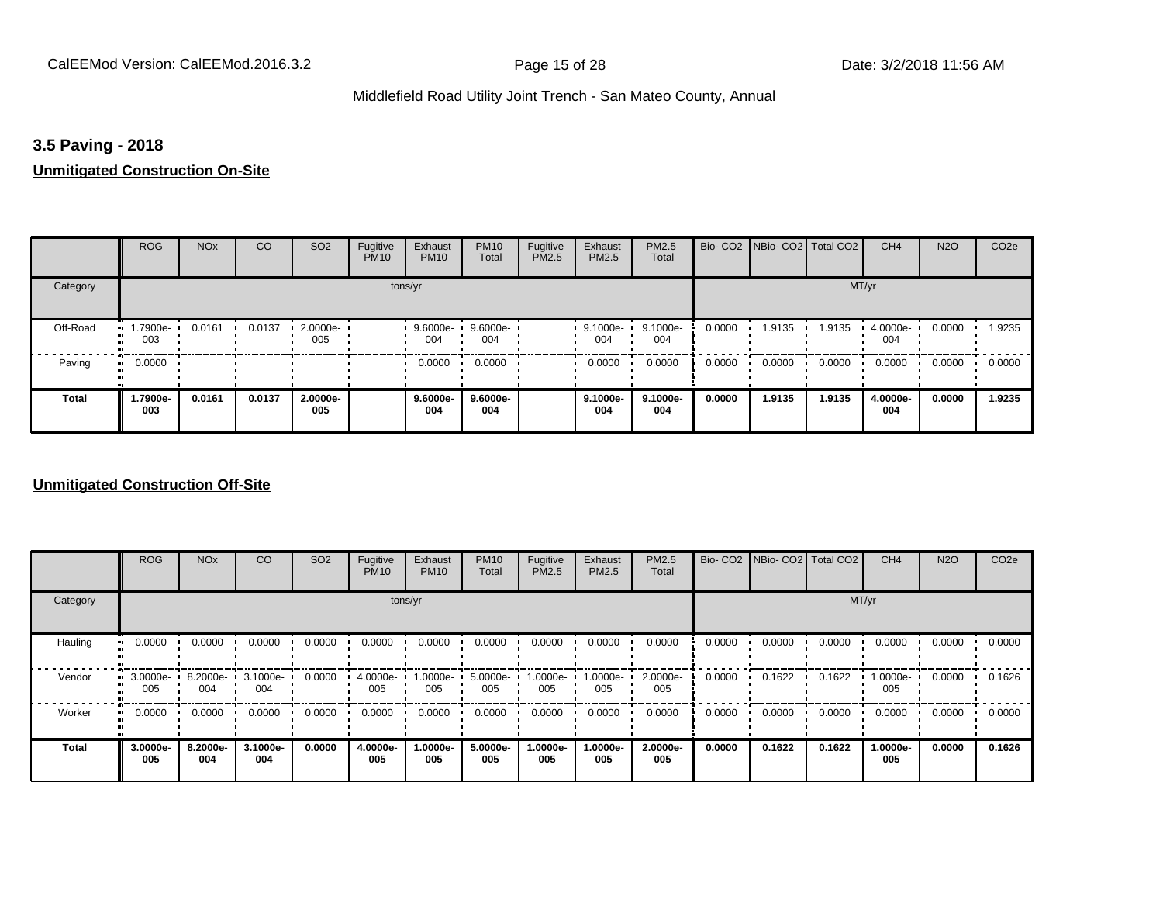# **3.5 Paving - 2018**

### **Unmitigated Construction On-Site**

|                 | <b>ROG</b>      | <b>NO<sub>x</sub></b> | CO     | SO <sub>2</sub> | Fugitive<br><b>PM10</b> | Exhaust<br><b>PM10</b> | <b>PM10</b><br>Total | Fugitive<br>PM2.5 | Exhaust<br>PM2.5 | PM2.5<br>Total  |        | Bio- CO2   NBio- CO2   Total CO2 |        | CH <sub>4</sub> | <b>N2O</b> | CO <sub>2e</sub> |
|-----------------|-----------------|-----------------------|--------|-----------------|-------------------------|------------------------|----------------------|-------------------|------------------|-----------------|--------|----------------------------------|--------|-----------------|------------|------------------|
| Category        |                 |                       |        |                 | tons/yr                 |                        |                      |                   |                  |                 |        |                                  | MT/yr  |                 |            |                  |
| Off-Road<br>. . | 1.7900e-<br>003 | 0.0161                | 0.0137 | 2.0000e-<br>005 |                         | $9.6000e -$<br>004     | 9.6000e-<br>004      |                   | 9.1000e-<br>004  | 9.1000e-<br>004 | 0.0000 | 1.9135                           | 1.9135 | 4.0000e-<br>004 | 0.0000     | 1.9235           |
| Paving          | 0.0000<br>ш.    |                       |        |                 |                         | 0.0000                 | 0.0000               |                   | 0.0000           | 0.0000          | 0.0000 | 0.0000                           | 0.0000 | 0.0000          | 0.0000     | 0.0000           |
| <b>Total</b>    | 1.7900e-<br>003 | 0.0161                | 0.0137 | 2.0000e-<br>005 |                         | 9.6000e-<br>004        | 9.6000e-<br>004      |                   | 9.1000e-<br>004  | 9.1000e-<br>004 | 0.0000 | 1.9135                           | 1.9135 | 4.0000e-<br>004 | 0.0000     | 1.9235           |

### **Unmitigated Construction Off-Site**

|          | <b>ROG</b>      | <b>NO<sub>x</sub></b> | CO              | SO <sub>2</sub> | Fugitive<br><b>PM10</b> | Exhaust<br><b>PM10</b> | <b>PM10</b><br>Total | Fugitive<br><b>PM2.5</b> | Exhaust<br>PM2.5 | <b>PM2.5</b><br>Total | Bio-CO <sub>2</sub> | NBio-CO2 Total CO2 |        | CH <sub>4</sub> | <b>N2O</b> | CO <sub>2e</sub> |
|----------|-----------------|-----------------------|-----------------|-----------------|-------------------------|------------------------|----------------------|--------------------------|------------------|-----------------------|---------------------|--------------------|--------|-----------------|------------|------------------|
| Category |                 |                       |                 |                 |                         | tons/yr                |                      |                          |                  |                       |                     |                    | MT/yr  |                 |            |                  |
| Hauling  | 0.0000          | 0.0000                | 0.0000          | 0.0000          | 0.0000                  | 0.0000                 | 0.0000               | 0.0000                   | 0.0000           | 0.0000                | 0.0000              | 0.0000             | 0.0000 | 0.0000          | 0.0000     | 0.0000           |
| Vendor   | 3.0000e-<br>005 | 8.2000e-<br>004       | 3.1000e-<br>004 | 0.0000          | 4.0000e-<br>005         | 1.0000e-<br>005        | 5.0000e-<br>005      | 1.0000e-<br>005          | -:0000e<br>005   | 2.0000e-<br>005       | 0.0000              | 0.1622             | 0.1622 | 1.0000e-<br>005 | 0.0000     | 0.1626           |
| Worker   | 0.0000          | 0.0000                | 0.0000          | 0.0000          | 0.0000                  | 0.0000                 | 0.0000               | 0.0000                   | 0.0000           | 0.0000                | 0.0000              | 0.0000             | 0.0000 | 0.0000          | 0.0000     | 0.0000           |
| Total    | 3.0000e-<br>005 | 8.2000e-<br>004       | 3.1000e-<br>004 | 0.0000          | 4.0000e-<br>005         | 1.0000e-<br>005        | 5.0000e-<br>005      | 1.0000e-<br>005          | 1.0000e-<br>005  | 2.0000e-<br>005       | 0.0000              | 0.1622             | 0.1622 | 1.0000e-<br>005 | 0.0000     | 0.1626           |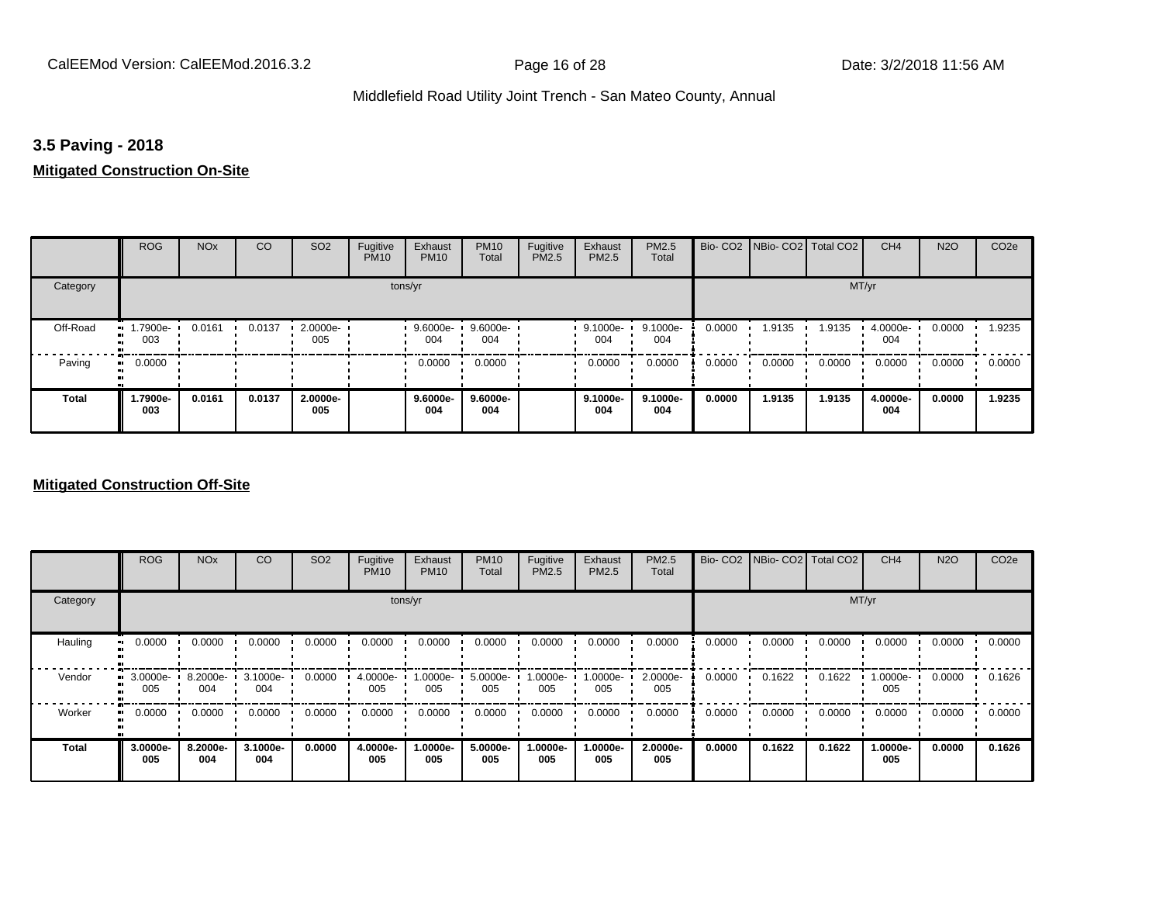# **3.5 Paving - 2018**

## **Mitigated Construction On-Site**

|              | <b>ROG</b>         | <b>NO<sub>x</sub></b> | CO     | SO <sub>2</sub> | Fugitive<br><b>PM10</b> | Exhaust<br><b>PM10</b> | <b>PM10</b><br>Total | Fugitive<br>PM2.5 | Exhaust<br>PM2.5 | PM2.5<br>Total    |        | Bio- CO2   NBio- CO2   Total CO2 |        | CH <sub>4</sub> | <b>N2O</b> | CO <sub>2e</sub> |
|--------------|--------------------|-----------------------|--------|-----------------|-------------------------|------------------------|----------------------|-------------------|------------------|-------------------|--------|----------------------------------|--------|-----------------|------------|------------------|
| Category     |                    |                       |        |                 | tons/yr                 |                        |                      |                   |                  |                   |        |                                  | MT/yr  |                 |            |                  |
| Off-Road     | -.7900e<br><br>003 | 0.0161                | 0.0137 | 2.0000e-<br>005 |                         | 9.6000e-<br>004        | 9.6000e-<br>004      |                   | 9.1000e-<br>004  | 9.1000e-<br>004   | 0.0000 | 1.9135                           | 1.9135 | 4.0000e-<br>004 | 0.0000     | 1.9235           |
| Paving       | 0.0000<br>ш.       |                       |        |                 |                         | 0.0000                 | 0.0000               |                   | 0.0000           | 0.0000            | 0.0000 | 0.0000                           | 0.0000 | 0.0000          | 0.0000     | 0.0000           |
| <b>Total</b> | 1.7900e-<br>003    | 0.0161                | 0.0137 | 2.0000e-<br>005 |                         | $9.6000e-$<br>004      | $9.6000e-$<br>004    |                   | 9.1000e-<br>004  | $9.1000e-$<br>004 | 0.0000 | 1.9135                           | 1.9135 | 4.0000e-<br>004 | 0.0000     | 1.9235           |

### **Mitigated Construction Off-Site**

|                           | <b>ROG</b>      | <b>NO<sub>x</sub></b> | CO              | SO <sub>2</sub> | Fugitive<br><b>PM10</b> | Exhaust<br><b>PM10</b> | <b>PM10</b><br>Total | Fugitive<br><b>PM2.5</b> | Exhaust<br>PM2.5 | <b>PM2.5</b><br>Total |        | Bio- CO2   NBio- CO2   Total CO2 |        | CH <sub>4</sub> | <b>N2O</b> | CO <sub>2e</sub> |
|---------------------------|-----------------|-----------------------|-----------------|-----------------|-------------------------|------------------------|----------------------|--------------------------|------------------|-----------------------|--------|----------------------------------|--------|-----------------|------------|------------------|
| Category                  |                 |                       |                 |                 |                         | tons/yr                |                      |                          |                  |                       |        |                                  |        | MT/yr           |            |                  |
| Hauling<br>$\blacksquare$ | 0.0000          | 0.0000                | 0.0000          | 0.0000          | 0.0000                  | 0.0000                 | 0.0000               | 0.0000                   | 0.0000           | 0.0000                | 0.0000 | 0.0000                           | 0.0000 | 0.0000          | 0.0000     | 0.0000           |
| Vendor<br>œ               | 3.0000e-<br>005 | 8.2000e-<br>004       | 3.1000e-<br>004 | 0.0000          | 4.0000e-<br>005         | 1.0000e-<br>005        | 5.0000e-<br>005      | 1.0000e-<br>005          | 1.0000e-<br>005  | 2.0000e-<br>005       | 0.0000 | 0.1622                           | 0.1622 | 1.0000e-<br>005 | 0.0000     | 0.1626           |
| Worker<br>$\bullet$       | 0.0000          | 0.0000                | 0.0000          | 0.0000          | 0.0000                  | 0.0000                 | 0.0000               | 0.0000                   | 0.0000           | 0.0000                | 0.0000 | 0.0000                           | 0.0000 | 0.0000          | 0.0000     | 0.0000           |
| <b>Total</b>              | 3.0000e-<br>005 | 8.2000e-<br>004       | 3.1000e-<br>004 | 0.0000          | 4.0000e-<br>005         | 1.0000e-<br>005        | 5.0000e-<br>005      | 1.0000e-<br>005          | 1.0000e-<br>005  | 2.0000e-<br>005       | 0.0000 | 0.1622                           | 0.1622 | 1.0000e-<br>005 | 0.0000     | 0.1626           |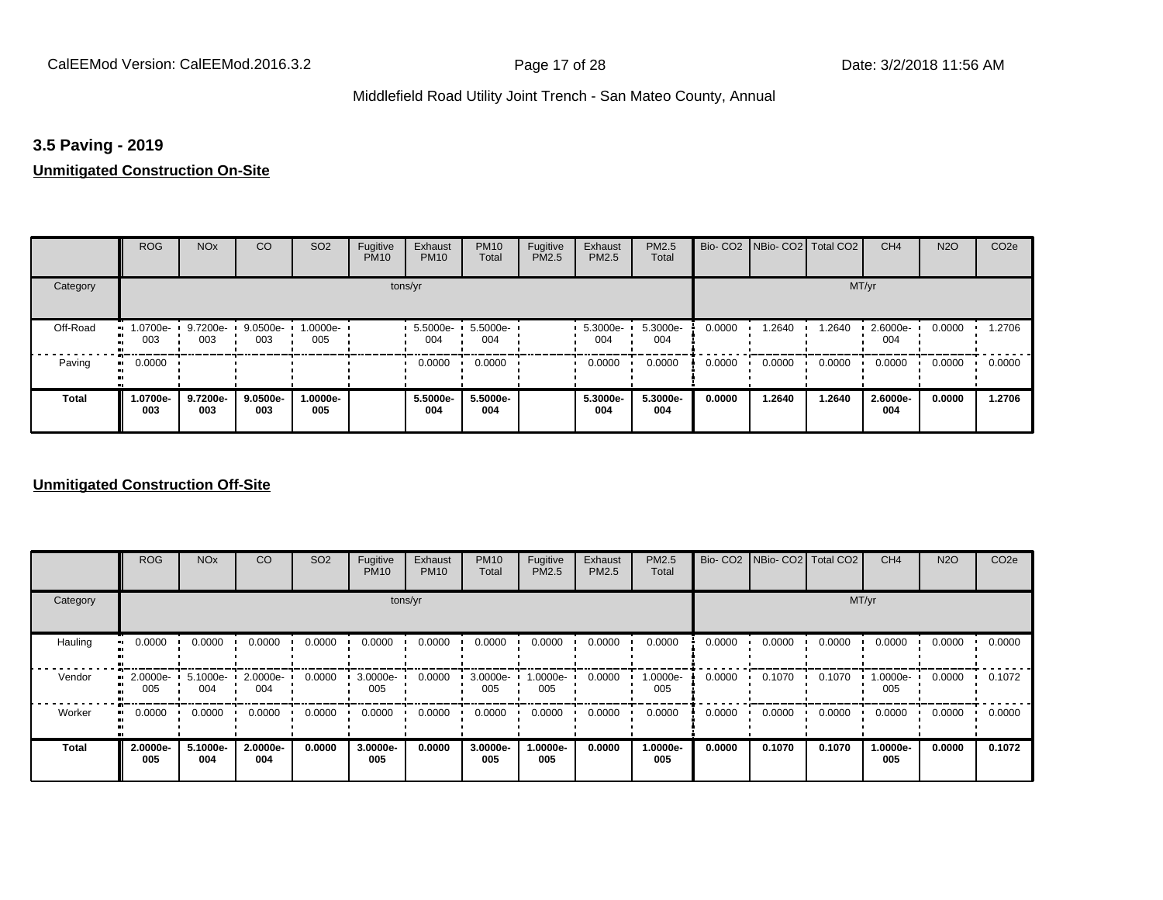### **3.5 Paving - 2019**

### **Unmitigated Construction On-Site**

|              | <b>ROG</b>         | <b>NO<sub>x</sub></b> | CO              | SO <sub>2</sub> | Fugitive<br><b>PM10</b> | Exhaust<br><b>PM10</b> | <b>PM10</b><br>Total | Fugitive<br>PM2.5 | Exhaust<br>PM2.5 | PM2.5<br>Total  |        | Bio- CO2   NBio- CO2   Total CO2 |        | CH <sub>4</sub> | <b>N2O</b> | CO <sub>2e</sub> |
|--------------|--------------------|-----------------------|-----------------|-----------------|-------------------------|------------------------|----------------------|-------------------|------------------|-----------------|--------|----------------------------------|--------|-----------------|------------|------------------|
| Category     |                    |                       |                 |                 | tons/yr                 |                        |                      |                   |                  |                 |        |                                  | MT/yr  |                 |            |                  |
| Off-Road     | .0700e-<br><br>003 | 9.7200e-<br>003       | 9.0500e-<br>003 | 1.0000e-<br>005 |                         | 5.5000e-<br>004        | 5.5000e-<br>004      |                   | 5.3000e-<br>004  | 5.3000e-<br>004 | 0.0000 | 1.2640                           | 1.2640 | 2.6000e-<br>004 | 0.0000     | 1.2706           |
| Paving       | 0.0000<br>ш.       |                       |                 |                 |                         | 0.0000                 | 0.0000               |                   | 0.0000           | 0.0000          | 0.0000 | 0.0000                           | 0.0000 | 0.0000          | 0.0000     | 0.0000           |
| <b>Total</b> | -0700e-<br>003     | 9.7200e-<br>003       | 9.0500e-<br>003 | 1.0000e-<br>005 |                         | 5.5000e-<br>004        | 5.5000e-<br>004      |                   | 5.3000e-<br>004  | 5.3000e-<br>004 | 0.0000 | 1.2640                           | 1.2640 | 2.6000e-<br>004 | 0.0000     | 1.2706           |

### **Unmitigated Construction Off-Site**

|              | <b>ROG</b>            | <b>NO<sub>x</sub></b> | CO              | SO <sub>2</sub> | Fugitive<br><b>PM10</b> | Exhaust<br><b>PM10</b> | <b>PM10</b><br>Total | Fugitive<br><b>PM2.5</b> | Exhaust<br>PM2.5 | <b>PM2.5</b><br>Total |        | Bio- CO2   NBio- CO2   Total CO2 |        | CH <sub>4</sub> | <b>N2O</b> | CO <sub>2e</sub> |
|--------------|-----------------------|-----------------------|-----------------|-----------------|-------------------------|------------------------|----------------------|--------------------------|------------------|-----------------------|--------|----------------------------------|--------|-----------------|------------|------------------|
| Category     |                       |                       |                 |                 |                         | tons/yr                |                      |                          |                  |                       |        |                                  |        | MT/yr           |            |                  |
| Hauling      | 0.0000                | 0.0000                | 0.0000          | 0.0000          | 0.0000                  | 0.0000                 | 0.0000               | 0.0000                   | 0.0000           | 0.0000                | 0.0000 | 0.0000                           | 0.0000 | 0.0000          | 0.0000     | 0.0000           |
| Vendor       | 2.0000e-<br>ш.<br>005 | 5.1000e-<br>004       | 2.0000e-<br>004 | 0.0000          | 3.0000e-<br>005         | 0.0000                 | 3.0000e-<br>005      | 1.0000e-<br>005          | 0.0000           | 1.0000e-<br>005       | 0.0000 | 0.1070                           | 0.1070 | 1.0000e-<br>005 | 0.0000     | 0.1072           |
| Worker       | 0.0000<br>ш.          | 0.0000                | 0.0000          | 0.0000          | 0.0000                  | 0.0000                 | 0.0000               | 0.0000                   | 0.0000           | 0.0000                | 0.0000 | 0.0000                           | 0.0000 | 0.0000          | 0.0000     | 0.0000           |
| <b>Total</b> | 2.0000e-<br>005       | 5.1000e-<br>004       | 2.0000e-<br>004 | 0.0000          | 3.0000e-<br>005         | 0.0000                 | 3.0000e-<br>005      | 1.0000e-<br>005          | 0.0000           | 1.0000e-<br>005       | 0.0000 | 0.1070                           | 0.1070 | 1.0000e-<br>005 | 0.0000     | 0.1072           |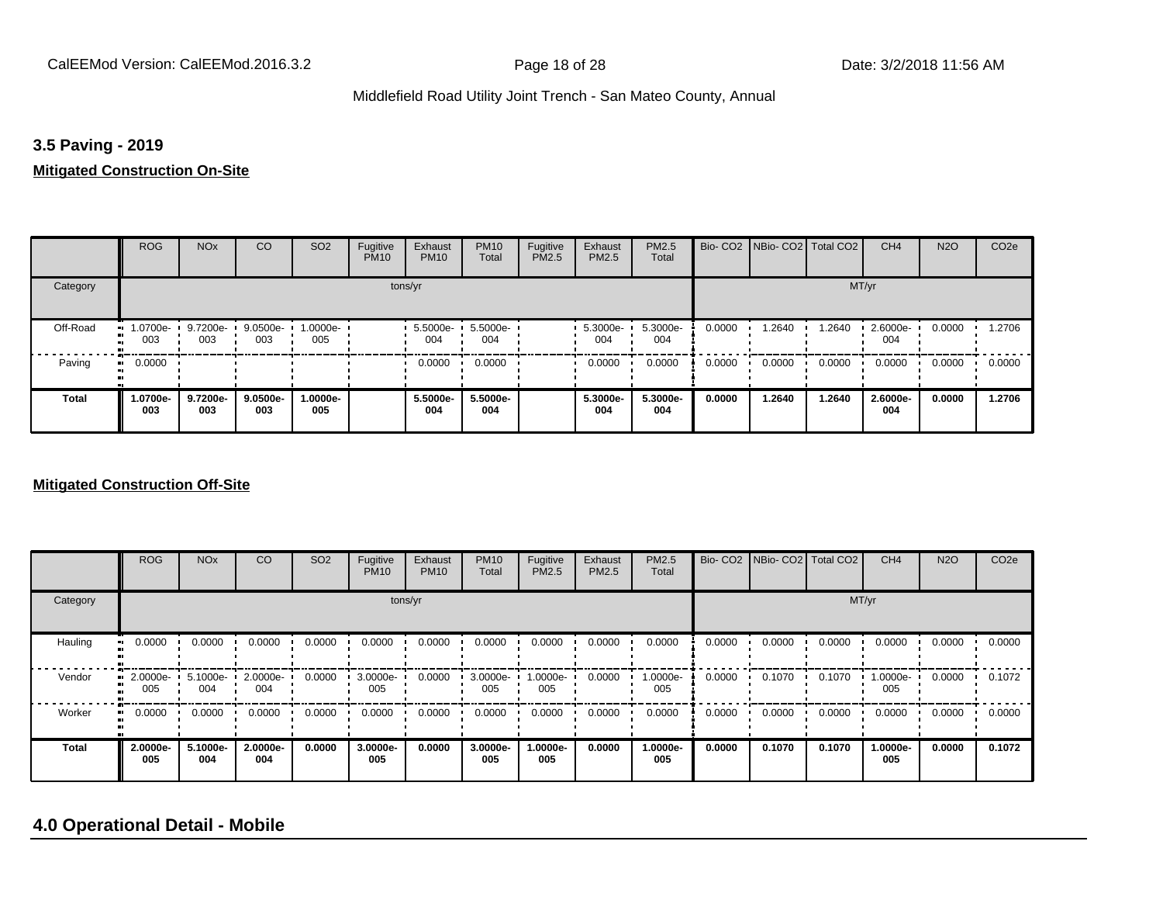## **3.5 Paving - 2019**

### **Mitigated Construction On-Site**

|              | <b>ROG</b>      | <b>NO<sub>x</sub></b> | CO                 | SO <sub>2</sub>    | Fugitive<br><b>PM10</b> | Exhaust<br><b>PM10</b> | <b>PM10</b><br>Total | Fugitive<br>PM2.5 | Exhaust<br>PM2.5 | PM2.5<br>Total  |        | Bio- CO2   NBio- CO2   Total CO2 |        | CH <sub>4</sub> | <b>N2O</b> | CO <sub>2e</sub> |
|--------------|-----------------|-----------------------|--------------------|--------------------|-------------------------|------------------------|----------------------|-------------------|------------------|-----------------|--------|----------------------------------|--------|-----------------|------------|------------------|
| Category     |                 |                       |                    |                    | tons/yr                 |                        |                      |                   |                  |                 |        |                                  | MT/yr  |                 |            |                  |
| Off-Road     | 1.0700e-<br>003 | 9.7200e-<br>003       | $9.0500e -$<br>003 | $1.0000e -$<br>005 |                         | 5.5000e-<br>004        | 5.5000e-<br>004      |                   | 5.3000e-<br>004  | 5.3000e-<br>004 | 0.0000 | 1.2640                           | 1.2640 | 2.6000e-<br>004 | 0.0000     | 1.2706           |
| Paving       | 0.0000<br>ш.    |                       |                    |                    |                         | 0.0000                 | 0.0000               |                   | 0.0000           | 0.0000          | 0.0000 | 0.0000                           | 0.0000 | 0.0000          | 0.0000     | 0.0000           |
| <b>Total</b> | -0700e.<br>003  | 9.7200e-<br>003       | $9.0500e-$<br>003  | -.0000e<br>005     |                         | 5.5000e-<br>004        | 5.5000e-<br>004      |                   | 5.3000e-<br>004  | 5.3000e-<br>004 | 0.0000 | 1.2640                           | 1.2640 | 2.6000e-<br>004 | 0.0000     | 1.2706           |

### **Mitigated Construction Off-Site**

|              | <b>ROG</b>      | <b>NO<sub>x</sub></b> | CO              | SO <sub>2</sub> | Fugitive<br><b>PM10</b> | Exhaust<br><b>PM10</b> | <b>PM10</b><br>Total | Fugitive<br><b>PM2.5</b> | Exhaust<br>PM2.5 | <b>PM2.5</b><br>Total |        | Bio- CO2   NBio- CO2   Total CO2 |        | CH <sub>4</sub> | <b>N2O</b> | CO <sub>2e</sub> |
|--------------|-----------------|-----------------------|-----------------|-----------------|-------------------------|------------------------|----------------------|--------------------------|------------------|-----------------------|--------|----------------------------------|--------|-----------------|------------|------------------|
| Category     |                 |                       |                 |                 |                         | tons/yr                |                      |                          |                  |                       |        |                                  | MT/yr  |                 |            |                  |
| Hauling      | 0.0000          | 0.0000                | 0.0000          | 0.0000          | 0.0000                  | 0.0000                 | 0.0000               | 0.0000                   | 0.0000           | 0.0000                | 0.0000 | 0.0000                           | 0.0000 | 0.0000          | 0.0000     | 0.0000           |
| Vendor       | 2.0000e-<br>005 | 5.1000e-<br>004       | 2.0000e-<br>004 | 0.0000          | 3.0000e-<br>005         | 0.0000                 | 3.0000e-<br>005      | 1.0000e-<br>005          | 0.0000           | 1.0000e-<br>005       | 0.0000 | 0.1070                           | 0.1070 | 1.0000e-<br>005 | 0.0000     | 0.1072           |
| Worker       | 0.0000          | 0.0000                | 0.0000          | 0.0000          | 0.0000                  | 0.0000                 | 0.0000               | 0.0000                   | 0.0000           | 0.0000                | 0.0000 | 0.0000                           | 0.0000 | 0.0000          | 0.0000     | 0.0000           |
| <b>Total</b> | 2.0000e-<br>005 | 5.1000e-<br>004       | 2.0000e-<br>004 | 0.0000          | 3.0000e-<br>005         | 0.0000                 | 3.0000e-<br>005      | 1.0000e-<br>005          | 0.0000           | 1.0000e-<br>005       | 0.0000 | 0.1070                           | 0.1070 | 1.0000e-<br>005 | 0.0000     | 0.1072           |

# **4.0 Operational Detail - Mobile**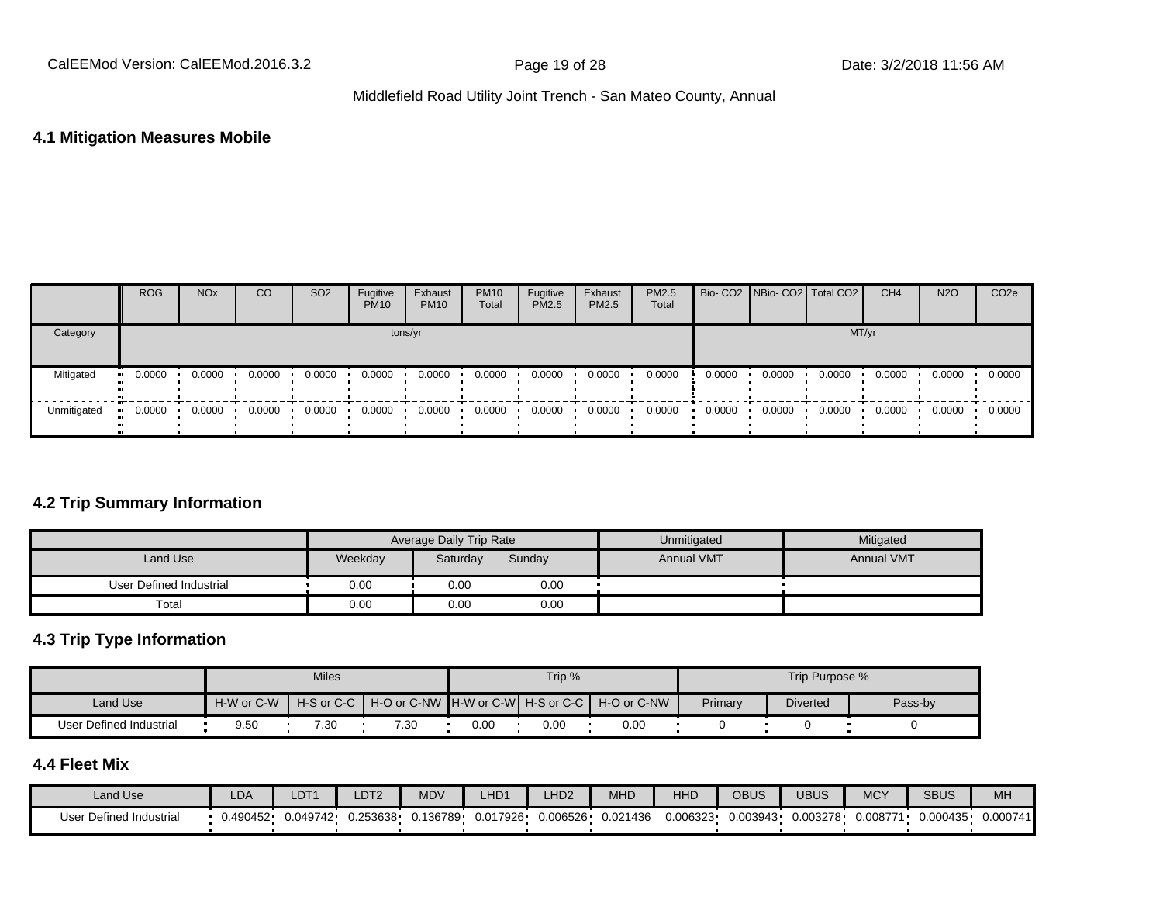### **4.1 Mitigation Measures Mobile**

|             | <b>ROG</b>            | <b>NO<sub>x</sub></b> | CO     | SO <sub>2</sub> | Fugitive<br><b>PM10</b> | Exhaust<br><b>PM10</b> | <b>PM10</b><br>Total | Fugitive<br>PM2.5 | Exhaust<br>PM2.5 | <b>PM2.5</b><br>Total |        |        | Bio- CO2 NBio- CO2 Total CO2 | CH <sub>4</sub> | <b>N2O</b> | CO <sub>2</sub> e |
|-------------|-----------------------|-----------------------|--------|-----------------|-------------------------|------------------------|----------------------|-------------------|------------------|-----------------------|--------|--------|------------------------------|-----------------|------------|-------------------|
| Category    |                       |                       |        |                 | tons/yr                 |                        |                      |                   |                  |                       |        |        | MT/yr                        |                 |            |                   |
| Mitigated   | $\blacksquare$ 0.0000 | 0.0000                | 0.0000 | 0.0000          | 0.0000                  | 0.0000                 | 0.0000               | 0.0000            | 0.0000           | 0.0000                | 0.0000 | 0.0000 | 0.0000                       | 0.0000          | 0.0000     | 0.0000            |
| Unmitigated | $\blacksquare$ 0.0000 | 0.0000                | 0.0000 | 0.0000          | 0.0000                  | 0.0000                 | 0.0000               | 0.0000            | 0.0000           | 0.0000                | 0.0000 | 0.0000 | 0.0000                       | 0.0000          | 0.0000     | 0.0000            |

### **4.2 Trip Summary Information**

|                         |         | <b>Average Daily Trip Rate</b> |        | Unmitigated       | Mitigated         |
|-------------------------|---------|--------------------------------|--------|-------------------|-------------------|
| Land Use                | Weekday | Saturday                       | Sunday | <b>Annual VMT</b> | <b>Annual VMT</b> |
| User Defined Industrial | 0.00    | 0.00                           | 0.00   |                   |                   |
| Total                   | 0.00    | 0.00                           | 0.00   |                   |                   |

# **4.3 Trip Type Information**

|                         |            | <b>Miles</b> |                                                            |      | Trip % |      |         | Trip Purpose %  |         |
|-------------------------|------------|--------------|------------------------------------------------------------|------|--------|------|---------|-----------------|---------|
| Land Use                | H-W or C-W |              | H-S or C-C H + O or C-NW H-W or C-W H-S or C-C H-O or C-NW |      |        |      | Primary | <b>Diverted</b> | Pass-by |
| User Defined Industrial | 9.50       | 7.30         | 7.30                                                       | 0.00 | 0.00   | 0.00 |         |                 |         |

# **4.4 Fleet Mix**

| Land Use                | LDA      | $\_DT^{\prime}$ | DT <sub>2</sub> | <b>MDV</b> | LHD <sub>1</sub> | LHD <sub>2</sub> | MHD      | HHD      | <b>OBUS</b> | UBUS     | <b>MCY</b> | <b>SBUS</b> | MH       |
|-------------------------|----------|-----------------|-----------------|------------|------------------|------------------|----------|----------|-------------|----------|------------|-------------|----------|
| User Defined Industrial | 0.490452 | 0.049742        | 0.253638        | J.136789   | 0.017926         | 0.006526         | 0.021436 | 0.006323 | 0.003943    | 0.003278 | 0.008771   | 0.000435    | 0.000741 |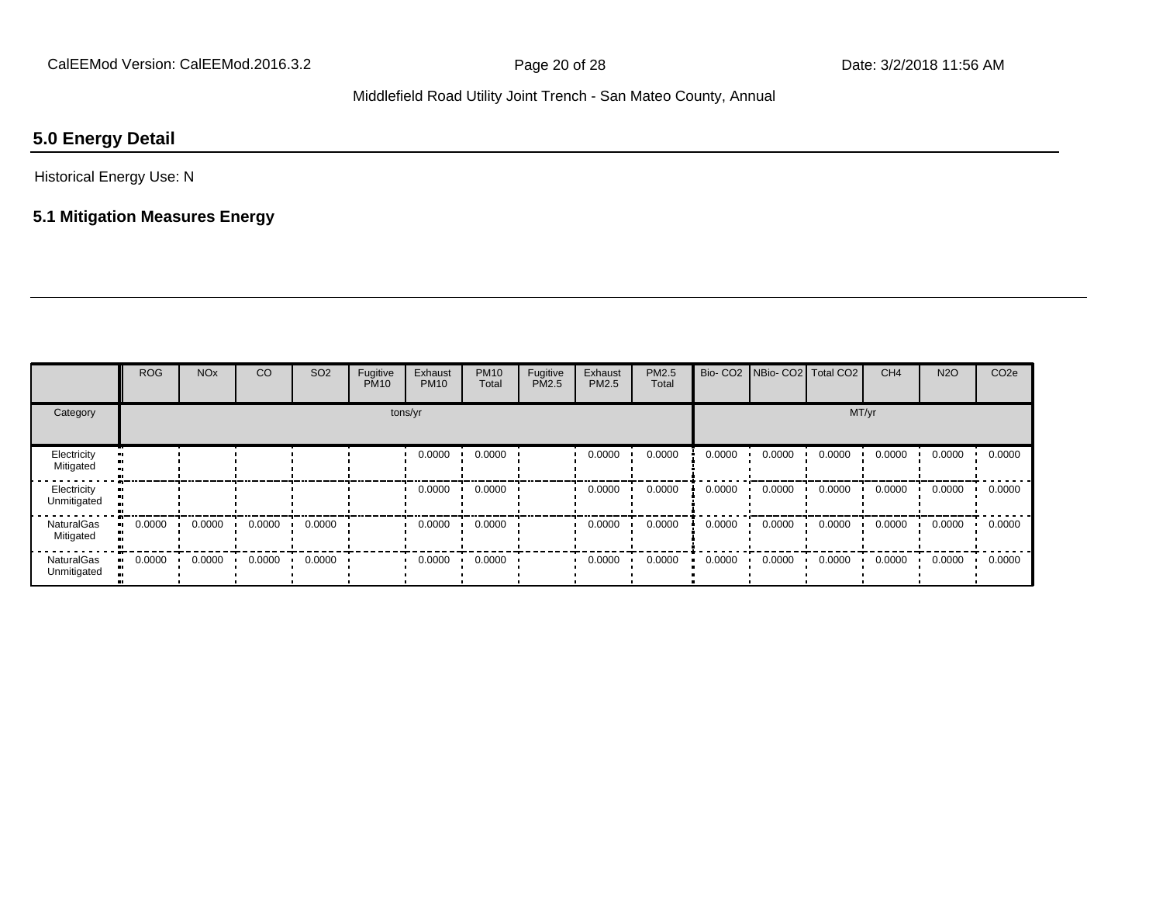# **5.0 Energy Detail**

Historical Energy Use: N

# **5.1 Mitigation Measures Energy**

|                                  | <b>ROG</b> | <b>NO<sub>x</sub></b> | CO     | SO <sub>2</sub> | Fugitive<br><b>PM10</b> | Exhaust<br><b>PM10</b> | <b>PM10</b><br>Total | Fugitive<br>PM2.5 | Exhaust<br>PM2.5 | PM2.5<br>Total | Bio-CO <sub>2</sub> | NBio- CO2   Total CO2 |        | CH <sub>4</sub> | <b>N2O</b> | CO <sub>2e</sub> |
|----------------------------------|------------|-----------------------|--------|-----------------|-------------------------|------------------------|----------------------|-------------------|------------------|----------------|---------------------|-----------------------|--------|-----------------|------------|------------------|
| Category                         |            | tons/yr               |        |                 |                         |                        |                      |                   |                  |                |                     |                       | MT/yr  |                 |            |                  |
| Electricity<br>Mitigated         |            |                       |        |                 |                         | 0.0000                 | 0.0000               |                   | 0.0000           | 0.0000         | 0.0000              | 0.0000                | 0.0000 | 0.0000          | 0.0000     | 0.0000           |
| Electricity<br>Unmitigated       |            |                       |        |                 |                         | 0.0000                 | 0.0000               |                   | 0.0000           | 0.0000         | 0.0000              | 0.0000                | 0.0000 | 0.0000          | 0.0000     | 0.0000           |
| <b>NaturalGas</b><br>Mitigated   | 0.0000     | 0.0000                | 0.0000 | 0.0000          |                         | 0.0000                 | 0.0000               |                   | 0.0000           | 0.0000         | 0.0000              | 0.0000                | 0.0000 | 0.0000          | 0.0000     | 0.0000           |
| <b>NaturalGas</b><br>Unmitigated | 0.0000     | 0.0000                | 0.0000 | 0.0000          |                         | 0.0000                 | 0.0000               |                   | 0.0000           | 0.0000         | 0.0000              | 0.0000                | 0.0000 | 0.0000          | 0.0000     | 0.0000           |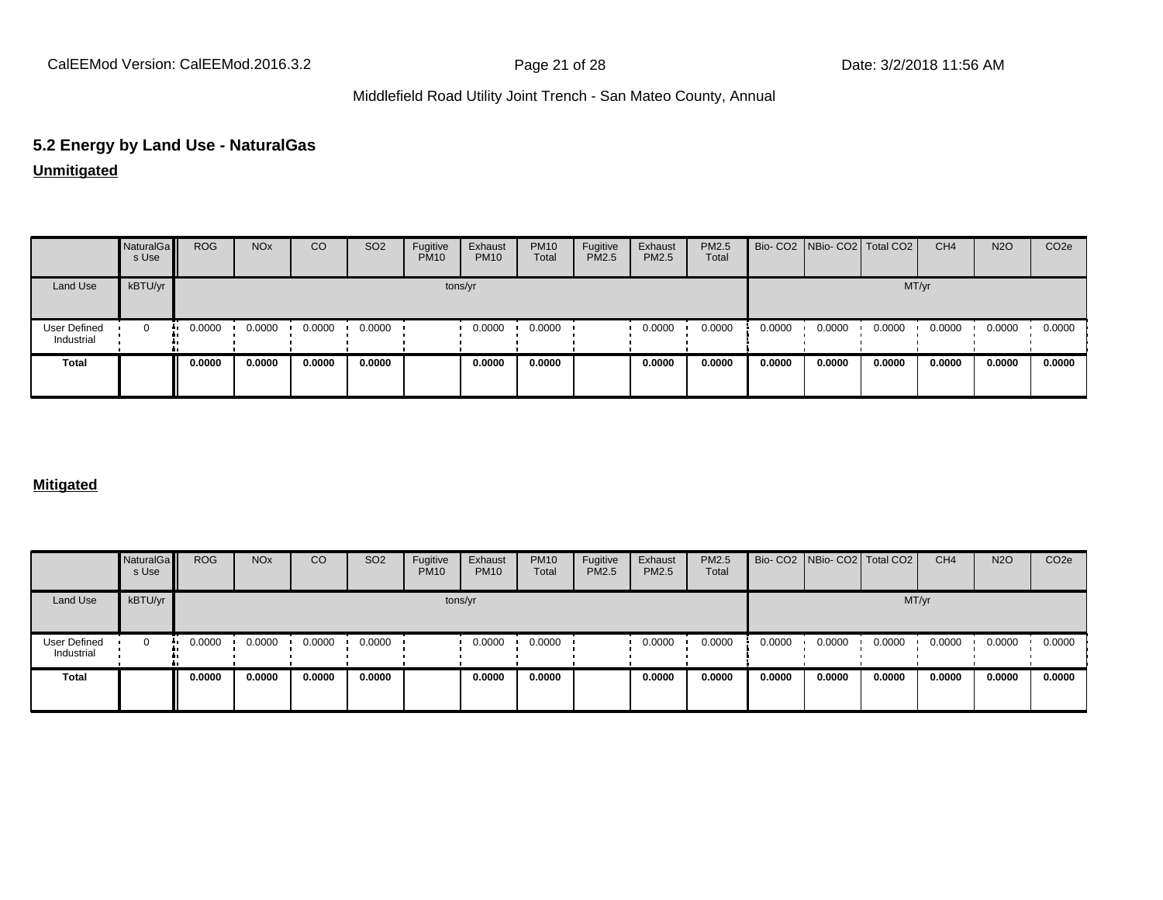CalEEMod Version: CalEEMod.2016.3.2 **Page 21 of 28** Page 21 of 28 Date: 3/2/2018 11:56 AM

# Middlefield Road Utility Joint Trench - San Mateo County, Annual

# **5.2 Energy by Land Use - NaturalGas**

# **Unmitigated**

|                                   | NaturalGa<br>s Use | <b>ROG</b> | <b>NO<sub>x</sub></b> | CO     | SO <sub>2</sub> | Fugitive<br><b>PM10</b> | Exhaust<br><b>PM10</b> | <b>PM10</b><br>Total | Fugitive<br>PM2.5 | Exhaust<br>PM2.5 | PM2.5<br>Total |        | Bio- CO2   NBio- CO2   Total CO2 |        | CH <sub>4</sub> | <b>N2O</b> | CO <sub>2e</sub> |
|-----------------------------------|--------------------|------------|-----------------------|--------|-----------------|-------------------------|------------------------|----------------------|-------------------|------------------|----------------|--------|----------------------------------|--------|-----------------|------------|------------------|
| Land Use                          | kBTU/yr            |            |                       |        |                 |                         | tons/yr                |                      |                   |                  |                |        |                                  |        | MT/yr           |            |                  |
| <b>User Defined</b><br>Industrial | $\Omega$           | 0.0000     | 0.0000                | 0.0000 | 0.0000          |                         | 0.0000                 | 0.0000               |                   | 0.0000           | 0.0000         | 0.0000 | 0.0000                           | 0.0000 | 0.0000          | 0.0000     | 0.0000           |
| <b>Total</b>                      |                    | 0.0000     | 0.0000                | 0.0000 | 0.0000          |                         | 0.0000                 | 0.0000               |                   | 0.0000           | 0.0000         | 0.0000 | 0.0000                           | 0.0000 | 0.0000          | 0.0000     | 0.0000           |

### **Mitigated**

|                            | NaturalGa<br>s Use | <b>ROG</b> | <b>NO<sub>x</sub></b> | CO     | SO <sub>2</sub> | Fugitive<br><b>PM10</b> | Exhaust<br><b>PM10</b> | <b>PM10</b><br>Total | Fugitive<br><b>PM2.5</b> | Exhaust<br>PM2.5 | PM2.5<br>Total |        | Bio- CO2 NBio- CO2 Total CO2 |        | CH <sub>4</sub> | <b>N2O</b> | CO <sub>2e</sub> |
|----------------------------|--------------------|------------|-----------------------|--------|-----------------|-------------------------|------------------------|----------------------|--------------------------|------------------|----------------|--------|------------------------------|--------|-----------------|------------|------------------|
| Land Use                   | kBTU/yr            |            |                       |        |                 |                         | tons/yr                |                      |                          |                  |                |        |                              | MT/yr  |                 |            |                  |
| User Defined<br>Industrial | $\Omega$<br>ш.     | 0.0000     | 0.0000                | 0.0000 | 0.0000          |                         | 0.0000                 | 0.0000               |                          | 0.0000           | 0.0000         | 0.0000 | 0.0000                       | 0.0000 | 0.0000          | 0.0000     | 0.0000           |
| Total                      |                    | 0.0000     | 0.0000                | 0.0000 | 0.0000          |                         | 0.0000                 | 0.0000               |                          | 0.0000           | 0.0000         | 0.0000 | 0.0000                       | 0.0000 | 0.0000          | 0.0000     | 0.0000           |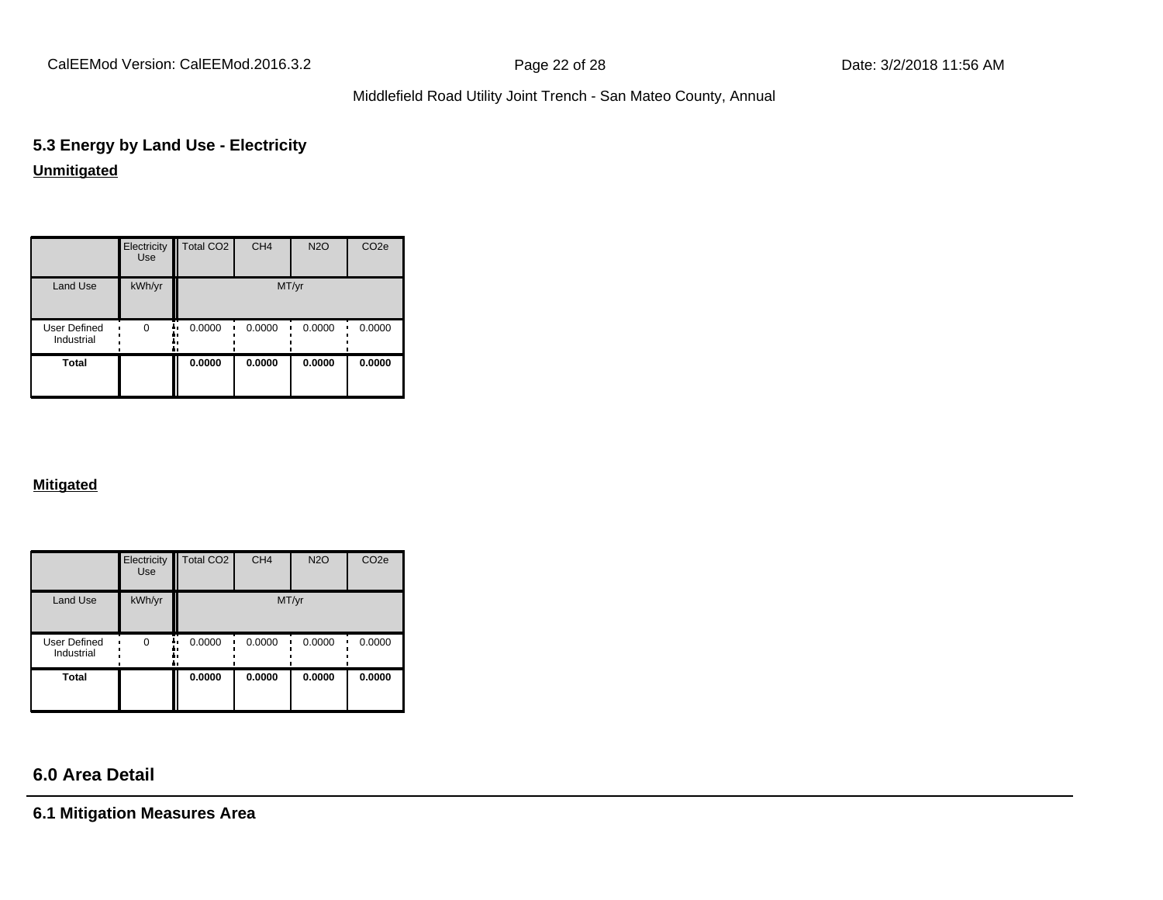CalEEMod Version: CalEEMod.2016.3.2 **Page 22 of 28** Page 22 of 28 Date: 3/2/2018 11:56 AM

# Middlefield Road Utility Joint Trench - San Mateo County, Annual

# **5.3 Energy by Land Use - Electricity Unmitigated**

|                                   | Electricity<br>Use | Total CO <sub>2</sub> | CH <sub>4</sub> | <b>N2O</b> | CO <sub>2e</sub> |
|-----------------------------------|--------------------|-----------------------|-----------------|------------|------------------|
| Land Use                          | kWh/yr             |                       | MT/yr           |            |                  |
| <b>User Defined</b><br>Industrial | $\Omega$<br>٠.     | 0.0000                | 0.0000          | 0.0000     | 0.0000           |
| <b>Total</b>                      |                    | 0.0000                | 0.0000          | 0.0000     | 0.0000           |

### **Mitigated**

|                            | Electricity<br><b>Use</b> | Total CO <sub>2</sub> | CH <sub>4</sub> | <b>N2O</b> | CO <sub>2e</sub> |
|----------------------------|---------------------------|-----------------------|-----------------|------------|------------------|
| Land Use                   | kWh/yr                    |                       | MT/yr           |            |                  |
| User Defined<br>Industrial | $\Omega$                  | 0.0000<br>ā ı         | 0.0000          | 0.0000     | 0.0000           |
| <b>Total</b>               |                           | 0.0000                | 0.0000          | 0.0000     | 0.0000           |

# **6.0 Area Detail**

**6.1 Mitigation Measures Area**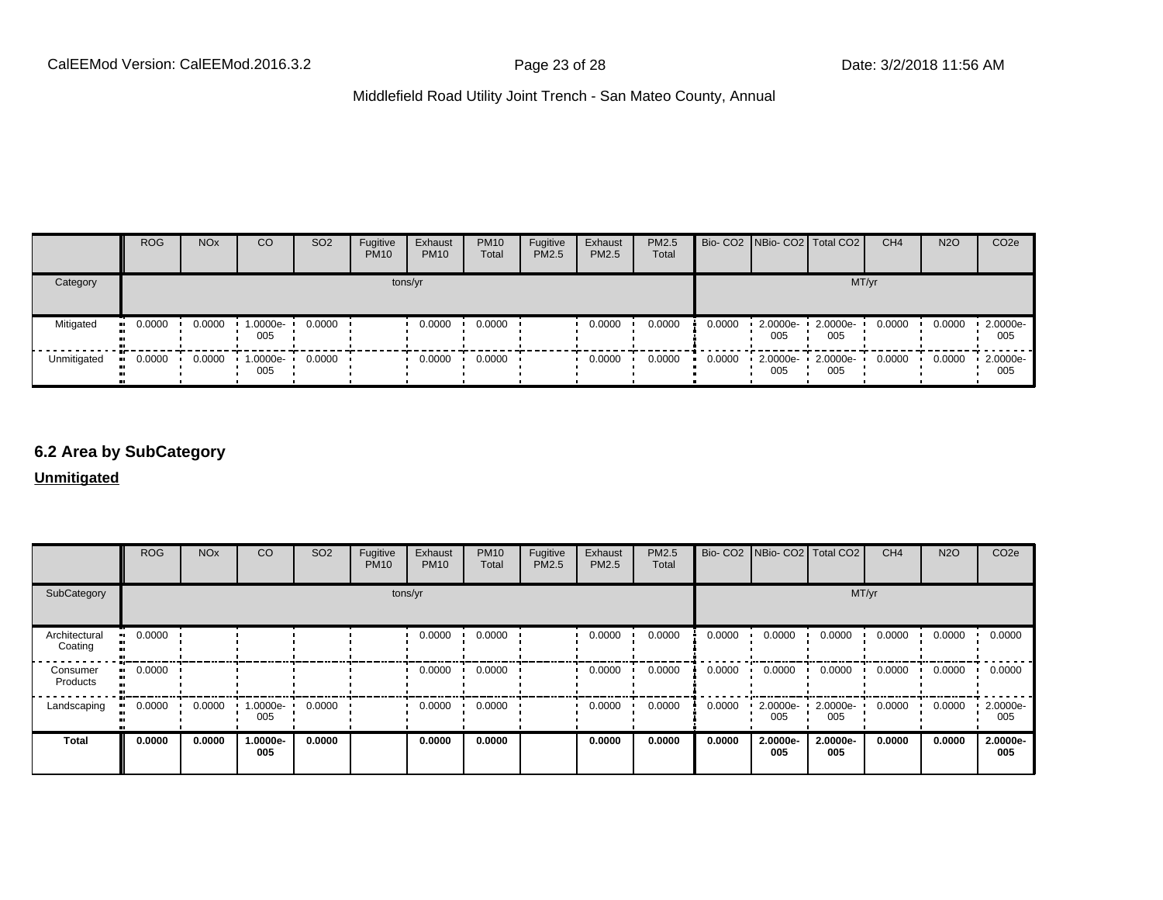|             | <b>ROG</b> | <b>NO<sub>x</sub></b> | CO              | SO <sub>2</sub> | Fugitive<br><b>PM10</b> | Exhaust<br><b>PM10</b> | <b>PM10</b><br>Total | Fugitive<br><b>PM2.5</b> | Exhaust<br><b>PM2.5</b> | <b>PM2.5</b><br>Total |        |                                 | Bio- CO2   NBio- CO2   Total CO2 | CH <sub>4</sub> | <b>N2O</b> | CO <sub>2</sub> e  |
|-------------|------------|-----------------------|-----------------|-----------------|-------------------------|------------------------|----------------------|--------------------------|-------------------------|-----------------------|--------|---------------------------------|----------------------------------|-----------------|------------|--------------------|
| Category    |            |                       |                 |                 |                         | tons/yr                |                      |                          |                         |                       |        |                                 |                                  | MT/yr           |            |                    |
| Mitigated   | 0.0000     | 0.0000                | 1.0000e-<br>005 | 0.0000          |                         | 0.0000                 | 0.0000               |                          | 0.0000                  | 0.0000                | 0.0000 | 2.0000e-<br>005                 | 2.0000e-<br>005                  | 0.0000          | 0.0000     | 2.0000e-<br>005    |
| Unmitigated | 0.0000     | 0.0000                | 1.0000e-<br>005 | 0.0000          |                         | 0.0000                 | 0.0000               |                          | 0.0000                  | 0.0000                | 0.0000 | $\cdot$ 2.0000e- $\cdot$<br>005 | 2.0000e-<br>005                  | 0.0000          | 0.0000     | $-2.0000e-$<br>005 |

### **6.2 Area by SubCategory**

**Unmitigated**

|                          | <b>ROG</b> | <b>NO<sub>x</sub></b> | CO              | SO <sub>2</sub> | Fugitive<br><b>PM10</b> | Exhaust<br><b>PM10</b> | <b>PM10</b><br>Total | Fugitive<br>PM2.5 | Exhaust<br>PM2.5 | PM2.5<br>Total |        | Bio- CO2   NBio- CO2   Total CO2 |                 | CH <sub>4</sub> | <b>N2O</b> | CO <sub>2</sub> e |
|--------------------------|------------|-----------------------|-----------------|-----------------|-------------------------|------------------------|----------------------|-------------------|------------------|----------------|--------|----------------------------------|-----------------|-----------------|------------|-------------------|
| SubCategory              |            |                       |                 |                 | tons/yr                 |                        |                      |                   |                  |                |        |                                  | MT/yr           |                 |            |                   |
| Architectural<br>Coating | 0.0000     |                       |                 |                 |                         | 0.0000                 | 0.0000               |                   | 0.0000           | 0.0000         | 0.0000 | 0.0000                           | 0.0000          | 0.0000          | 0.0000     | 0.0000            |
| Consumer<br>Products     | 0.0000     |                       |                 |                 |                         | 0.0000                 | 0.0000               |                   | 0.0000           | 0.0000         | 0.0000 | 0.0000                           | 0.0000          | 0.0000          | 0.0000     | 0.0000            |
| Landscaping              | 0.0000     | 0.0000                | 1.0000e-<br>005 | 0.0000          |                         | 0.0000                 | 0.0000               |                   | 0.0000           | 0.0000         | 0.0000 | 2.0000e-<br>005                  | 2.0000e-<br>005 | 0.0000          | 0.0000     | 2.0000e-<br>005   |
| <b>Total</b>             | 0.0000     | 0.0000                | 1.0000e-<br>005 | 0.0000          |                         | 0.0000                 | 0.0000               |                   | 0.0000           | 0.0000         | 0.0000 | 2.0000e-<br>005                  | 2.0000e-<br>005 | 0.0000          | 0.0000     | 2.0000e-<br>005   |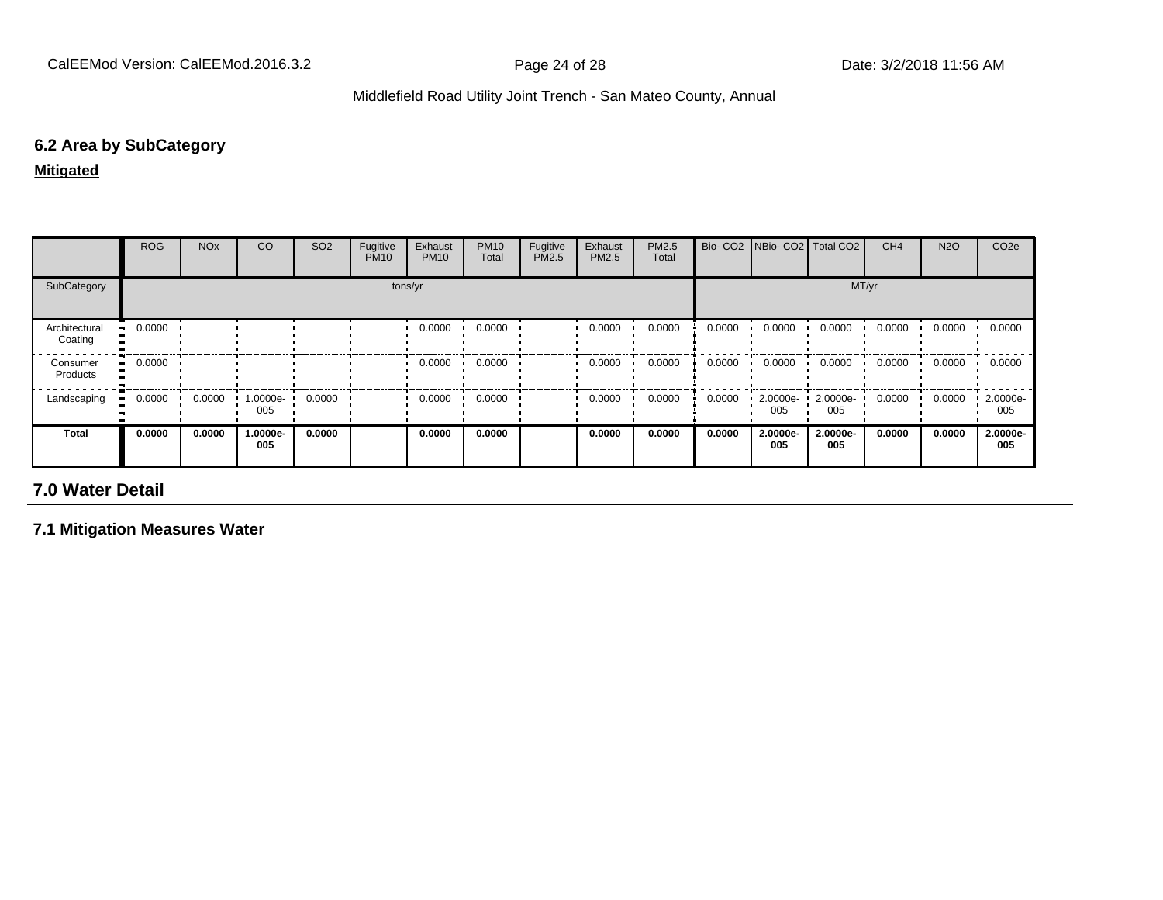# **6.2 Area by SubCategory**

**Mitigated**

|                          | <b>ROG</b>            | <b>NO<sub>x</sub></b> | CO              | SO <sub>2</sub> | Fugitive<br><b>PM10</b> | Exhaust<br><b>PM10</b> | <b>PM10</b><br>Total | Fugitive<br>PM2.5 | Exhaust<br><b>PM2.5</b> | PM2.5<br>Total | Bio-CO <sub>2</sub> | NBio- CO2   Total CO2 |                 | CH <sub>4</sub> | <b>N2O</b> | CO <sub>2e</sub> |
|--------------------------|-----------------------|-----------------------|-----------------|-----------------|-------------------------|------------------------|----------------------|-------------------|-------------------------|----------------|---------------------|-----------------------|-----------------|-----------------|------------|------------------|
| SubCategory              |                       |                       |                 |                 |                         | tons/yr                |                      |                   |                         |                |                     |                       | MT/yr           |                 |            |                  |
| Architectural<br>Coating | $\blacksquare$ 0.0000 |                       |                 |                 |                         | 0.0000                 | 0.0000               |                   | 0.0000                  | 0.0000         | 0.0000              | 0.0000                | 0.0000          | 0.0000          | 0.0000     | 0.0000           |
| Consumer<br>Products     | $\blacksquare$ 0.0000 |                       |                 |                 |                         | 0.0000                 | 0.0000               |                   | 0.0000                  | 0.0000         | 0.0000              | 0.0000                | 0.0000          | 0.0000          | 0.0000     | 0.0000           |
| Landscaping              | 0.0000                | 0.0000                | 1.0000e-<br>005 | 0.0000          |                         | 0.0000                 | 0.0000               |                   | 0.0000                  | 0.0000         | 0.0000              | 2.0000e-<br>005       | 2.0000e-<br>005 | 0.0000          | 0.0000     | 2.0000e-<br>005  |
| <b>Total</b>             | 0.0000                | 0.0000                | 1.0000e-<br>005 | 0.0000          |                         | 0.0000                 | 0.0000               |                   | 0.0000                  | 0.0000         | 0.0000              | 2.0000e-<br>005       | 2.0000e-<br>005 | 0.0000          | 0.0000     | 2.0000e-<br>005  |

# **7.0 Water Detail**

**7.1 Mitigation Measures Water**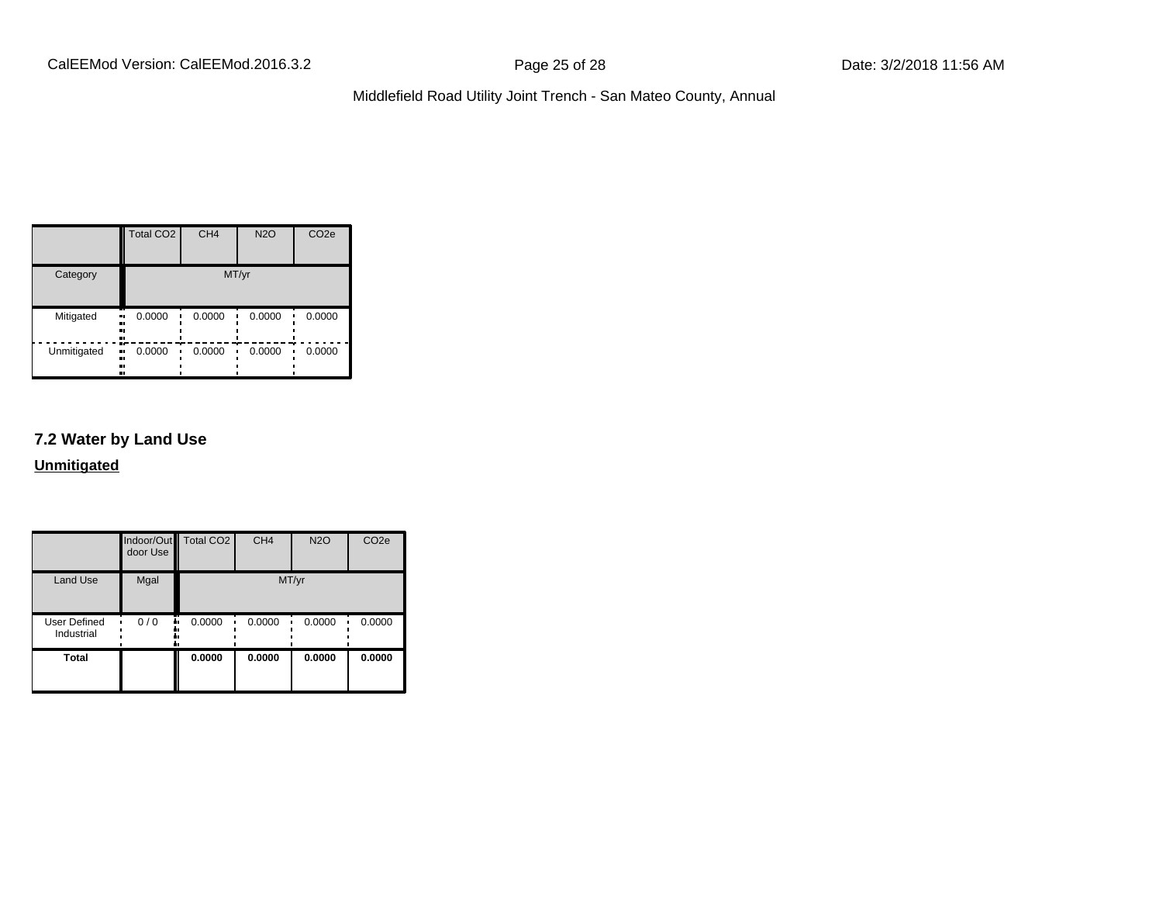|             | Total CO <sub>2</sub>    | CH <sub>4</sub> | <b>N2O</b> | CO <sub>2e</sub> |
|-------------|--------------------------|-----------------|------------|------------------|
| Category    |                          |                 | MT/yr      |                  |
| Mitigated   | 0.0000<br>ш,<br><br><br> | 0.0000          | 0.0000     | 0.0000           |
| Unmitigated | 0.0000<br>ш,<br><br><br> | 0.0000          | 0.0000     | 0.0000           |

# **7.2 Water by Land Use**

**Unmitigated**

|                            | door Use  | Indoor/Out Total CO2 | CH <sub>4</sub> | <b>N2O</b> | CO <sub>2e</sub> |
|----------------------------|-----------|----------------------|-----------------|------------|------------------|
| <b>Land Use</b>            | Mgal      | MT/yr                |                 |            |                  |
| User Defined<br>Industrial | 0/0<br>., | 0.0000               | 0.0000          | 0.0000     | 0.0000           |
| <b>Total</b>               |           | 0.0000               | 0.0000          | 0.0000     | 0.0000           |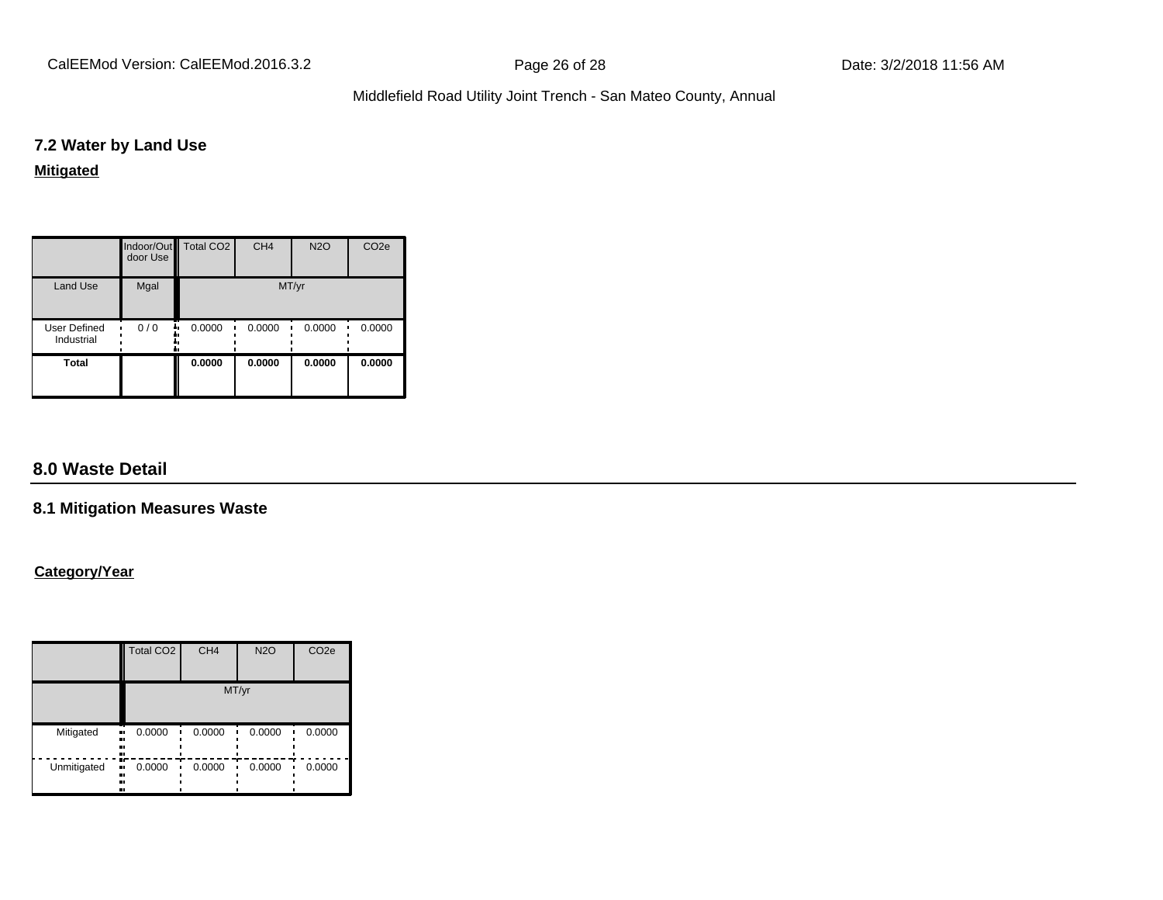CalEEMod Version: CalEEMod.2016.3.2 **Page 26 of 28** Page 26 of 28 Date: 3/2/2018 11:56 AM

# Middlefield Road Utility Joint Trench - San Mateo County, Annual

### **7.2 Water by Land Use**

### **Mitigated**

|                            | door Use  | Indoor/Out Total CO2 | CH <sub>4</sub> | <b>N2O</b> | CO <sub>2e</sub> |
|----------------------------|-----------|----------------------|-----------------|------------|------------------|
| Land Use                   | Mgal      | MT/yr                |                 |            |                  |
| User Defined<br>Industrial | 0/0<br>٠. | 0.0000               | 0.0000          | 0.0000     | 0.0000           |
| <b>Total</b>               |           | 0.0000               | 0.0000          | 0.0000     | 0.0000           |

# **8.0 Waste Detail**

### **8.1 Mitigation Measures Waste**

### **Category/Year**

|             | Total CO <sub>2</sub>         | CH <sub>4</sub> | <b>N2O</b> | CO <sub>2e</sub> |
|-------------|-------------------------------|-----------------|------------|------------------|
|             | MT/yr                         |                 |            |                  |
| Mitigated   | 0.0000<br>.,<br><br>.,<br>    | 0.0000          | 0.0000     | 0.0000           |
| Unmitigated | m<br>0.0000<br>.,<br><br><br> | 0.0000          | 0.0000     | 0.0000           |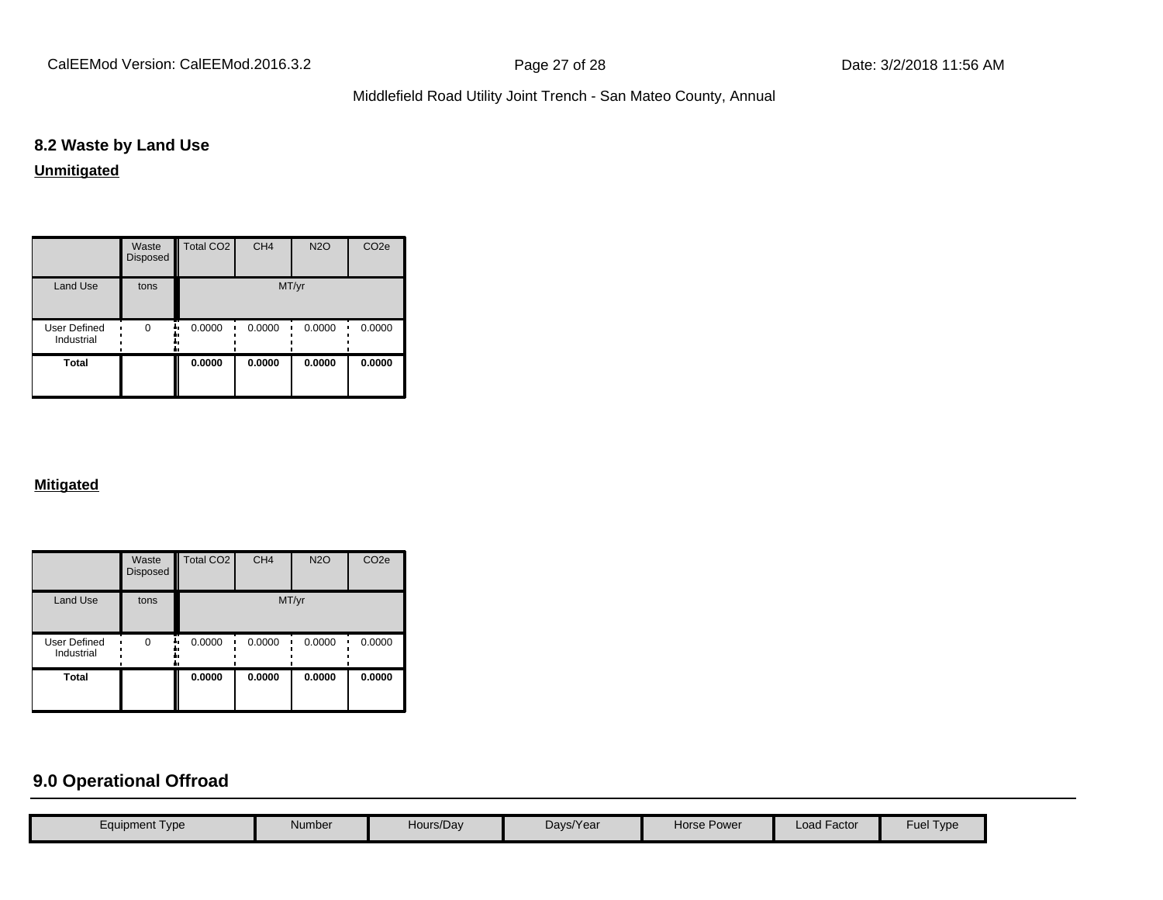CalEEMod Version: CalEEMod.2016.3.2 **Page 27 of 28** Page 27 of 28 Date: 3/2/2018 11:56 AM

# Middlefield Road Utility Joint Trench - San Mateo County, Annual

# **8.2 Waste by Land Use**

### **Unmitigated**

|                                   | Waste<br>Disposed | Total CO <sub>2</sub> | CH <sub>4</sub> | <b>N2O</b> | CO <sub>2e</sub> |
|-----------------------------------|-------------------|-----------------------|-----------------|------------|------------------|
| <b>Land Use</b>                   | tons              | MT/yr                 |                 |            |                  |
| <b>User Defined</b><br>Industrial | $\Omega$          | 0.0000                | 0.0000          | 0.0000     | 0.0000           |
| <b>Total</b>                      |                   | 0.0000                | 0.0000          | 0.0000     | 0.0000           |

### **Mitigated**

|                                   | Waste<br>Disposed | Total CO <sub>2</sub> | CH <sub>4</sub> | <b>N2O</b> | CO <sub>2e</sub> |
|-----------------------------------|-------------------|-----------------------|-----------------|------------|------------------|
| <b>Land Use</b>                   | tons              | MT/yr                 |                 |            |                  |
| <b>User Defined</b><br>Industrial | $\Omega$          | 0.0000                | 0.0000          | 0.0000     | 0.0000           |
| <b>Total</b>                      |                   | 0.0000                | 0.0000          | 0.0000     | 0.0000           |

# **9.0 Operational Offroad**

| Equipment Type | Number | Hours/Day | Days/Year | <b>Horse Power</b> | <b>Load Factor</b> | <b>Fuel Type</b> |
|----------------|--------|-----------|-----------|--------------------|--------------------|------------------|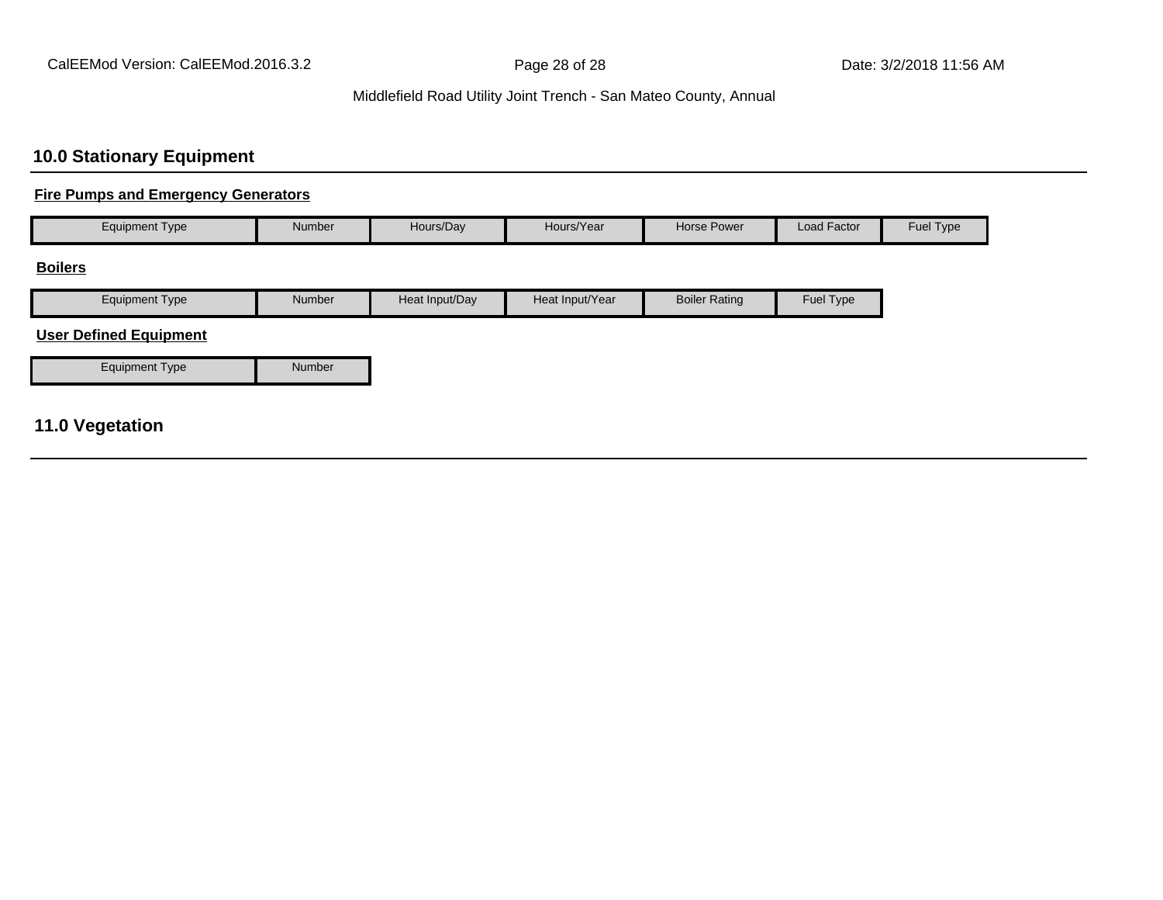# **10.0 Stationary Equipment**

### **Fire Pumps and Emergency Generators**

| <b>Equipment Type</b>         | Number        | Hours/Day      | Hours/Year      | Horse Power          | Load Factor | Fuel Type |
|-------------------------------|---------------|----------------|-----------------|----------------------|-------------|-----------|
| <b>Boilers</b>                |               |                |                 |                      |             |           |
| <b>Equipment Type</b>         | <b>Number</b> | Heat Input/Day | Heat Input/Year | <b>Boiler Rating</b> | Fuel Type   |           |
| <b>User Defined Equipment</b> |               |                |                 |                      |             |           |

Equipment Type Number

# **11.0 Vegetation**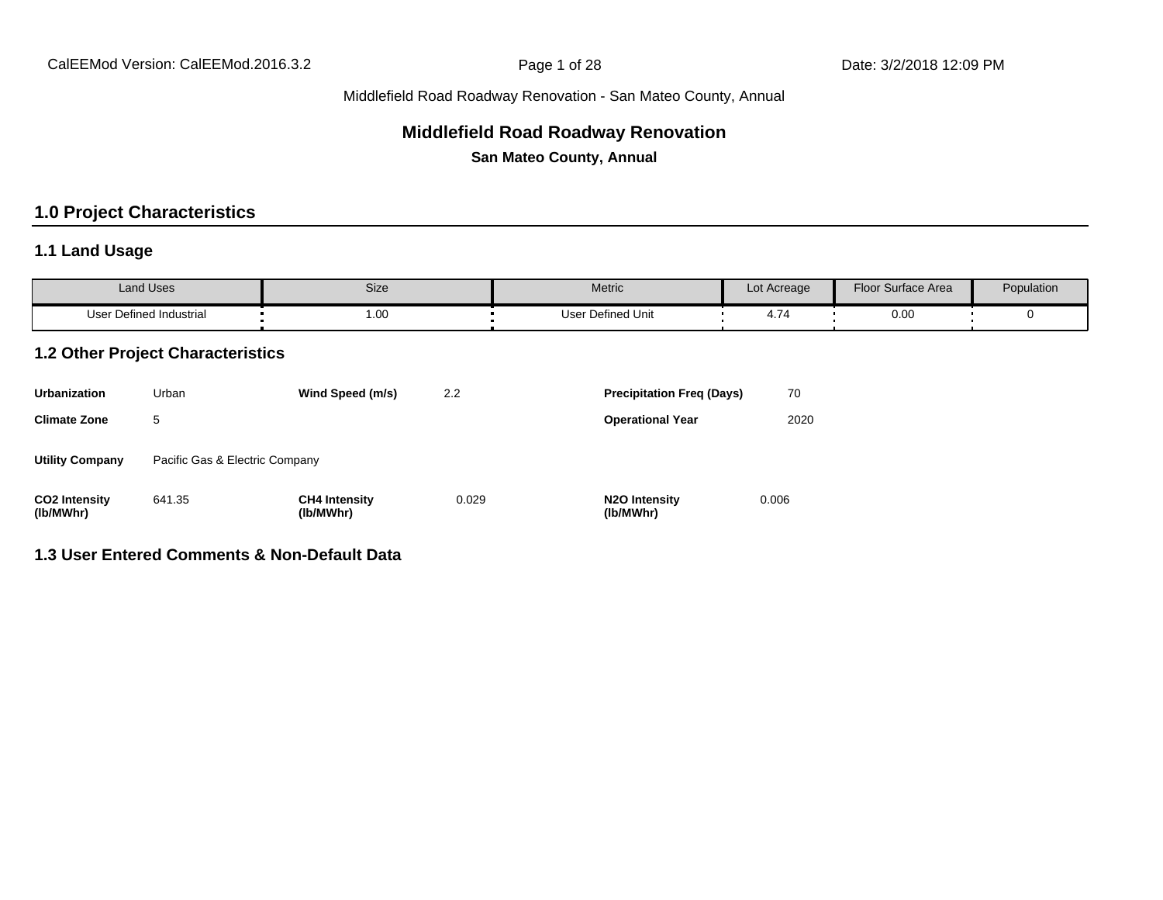# **Middlefield Road Roadway Renovation**

**San Mateo County, Annual**

# **1.0 Project Characteristics**

### **1.1 Land Usage**

| <b>Land Uses</b>           | Size | Metric                 | Lot Acreage | Floor Surface Area | Population |
|----------------------------|------|------------------------|-------------|--------------------|------------|
| Defined Industrial<br>User | 1.00 | Defined Unit<br>Jser ' | . .         | 0.00               |            |

### **1.2 Other Project Characteristics**

| <b>Urbanization</b>               | Urban                          | Wind Speed (m/s)                  | 2.2   | <b>Precipitation Freg (Days)</b>        |       |
|-----------------------------------|--------------------------------|-----------------------------------|-------|-----------------------------------------|-------|
| <b>Climate Zone</b>               | 5                              |                                   |       | <b>Operational Year</b>                 | 2020  |
| <b>Utility Company</b>            | Pacific Gas & Electric Company |                                   |       |                                         |       |
| <b>CO2 Intensity</b><br>(lb/MWhr) | 641.35                         | <b>CH4 Intensity</b><br>(lb/MWhr) | 0.029 | N <sub>2</sub> O Intensity<br>(lb/MWhr) | 0.006 |

# **1.3 User Entered Comments & Non-Default Data**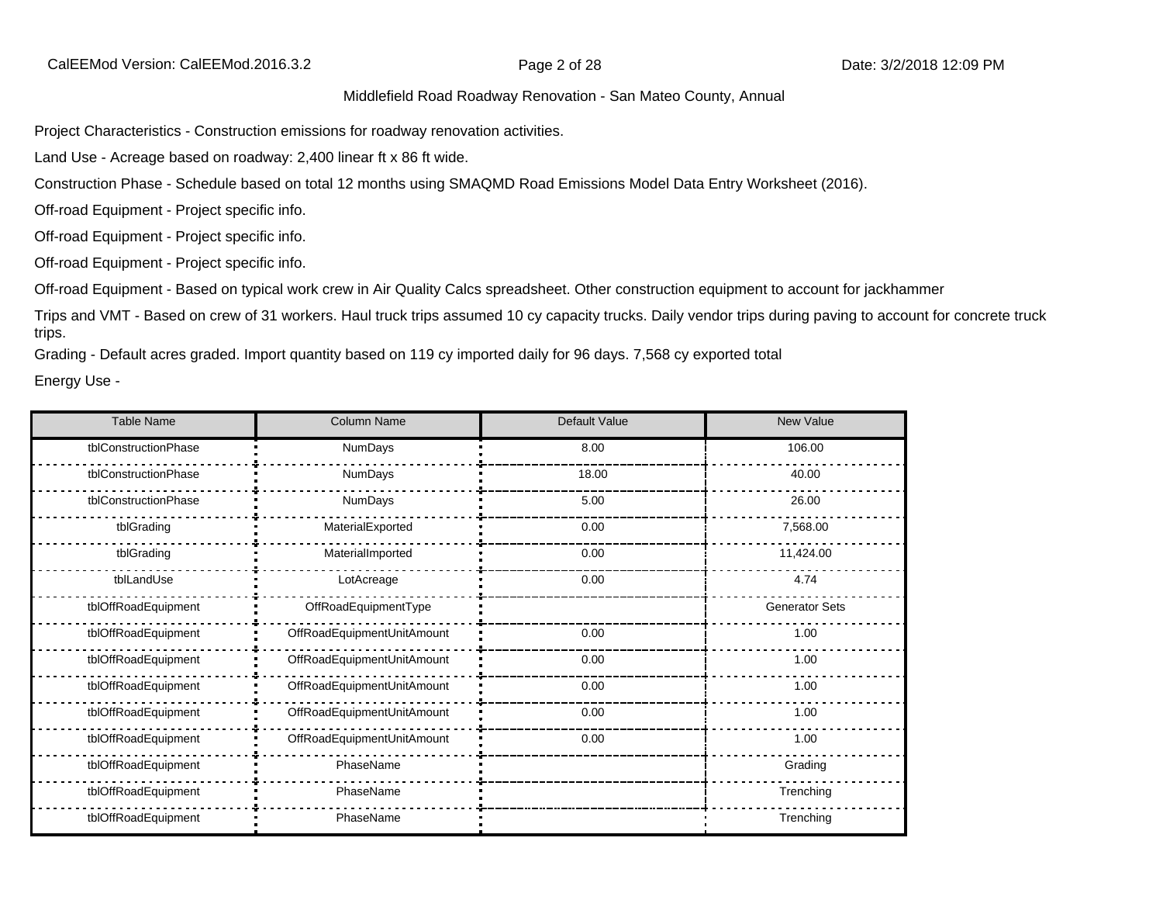Project Characteristics - Construction emissions for roadway renovation activities.

Land Use - Acreage based on roadway: 2,400 linear ft x 86 ft wide.

Construction Phase - Schedule based on total 12 months using SMAQMD Road Emissions Model Data Entry Worksheet (2016).

Off-road Equipment - Project specific info.

Off-road Equipment - Project specific info.

Off-road Equipment - Project specific info.

Off-road Equipment - Based on typical work crew in Air Quality Calcs spreadsheet. Other construction equipment to account for jackhammer

Trips and VMT - Based on crew of 31 workers. Haul truck trips assumed 10 cy capacity trucks. Daily vendor trips during paving to account for concrete truck trips.

Grading - Default acres graded. Import quantity based on 119 cy imported daily for 96 days. 7,568 cy exported total

Energy Use -

| <b>Table Name</b>    | <b>Column Name</b>         | Default Value | <b>New Value</b>      |
|----------------------|----------------------------|---------------|-----------------------|
| tblConstructionPhase | NumDays                    | 8.00          | 106.00                |
| tblConstructionPhase | NumDays                    | 18.00         | 40.00                 |
| tblConstructionPhase | NumDays                    | 5.00          | 26.00                 |
| tblGrading           | MaterialExported           | 0.00          | 7,568.00              |
| tblGrading           | MaterialImported           | 0.00          | 11,424.00             |
| tblLandUse           | LotAcreage                 | 0.00          | 4.74                  |
| tblOffRoadEquipment  | OffRoadEquipmentType       |               | <b>Generator Sets</b> |
| tblOffRoadEquipment  | OffRoadEquipmentUnitAmount | 0.00          | 1.00                  |
| tblOffRoadEquipment  | OffRoadEquipmentUnitAmount | 0.00          | 1.00                  |
| tblOffRoadEquipment  | OffRoadEquipmentUnitAmount | 0.00          | 1.00                  |
| tblOffRoadEquipment  | OffRoadEquipmentUnitAmount | 0.00          | 1.00                  |
| tblOffRoadEquipment  | OffRoadEquipmentUnitAmount | 0.00          | 1.00                  |
| tblOffRoadEquipment  | PhaseName                  |               | Grading               |
| tblOffRoadEquipment  | PhaseName                  |               | Trenching             |
| tblOffRoadEquipment  | PhaseName                  |               | Trenching             |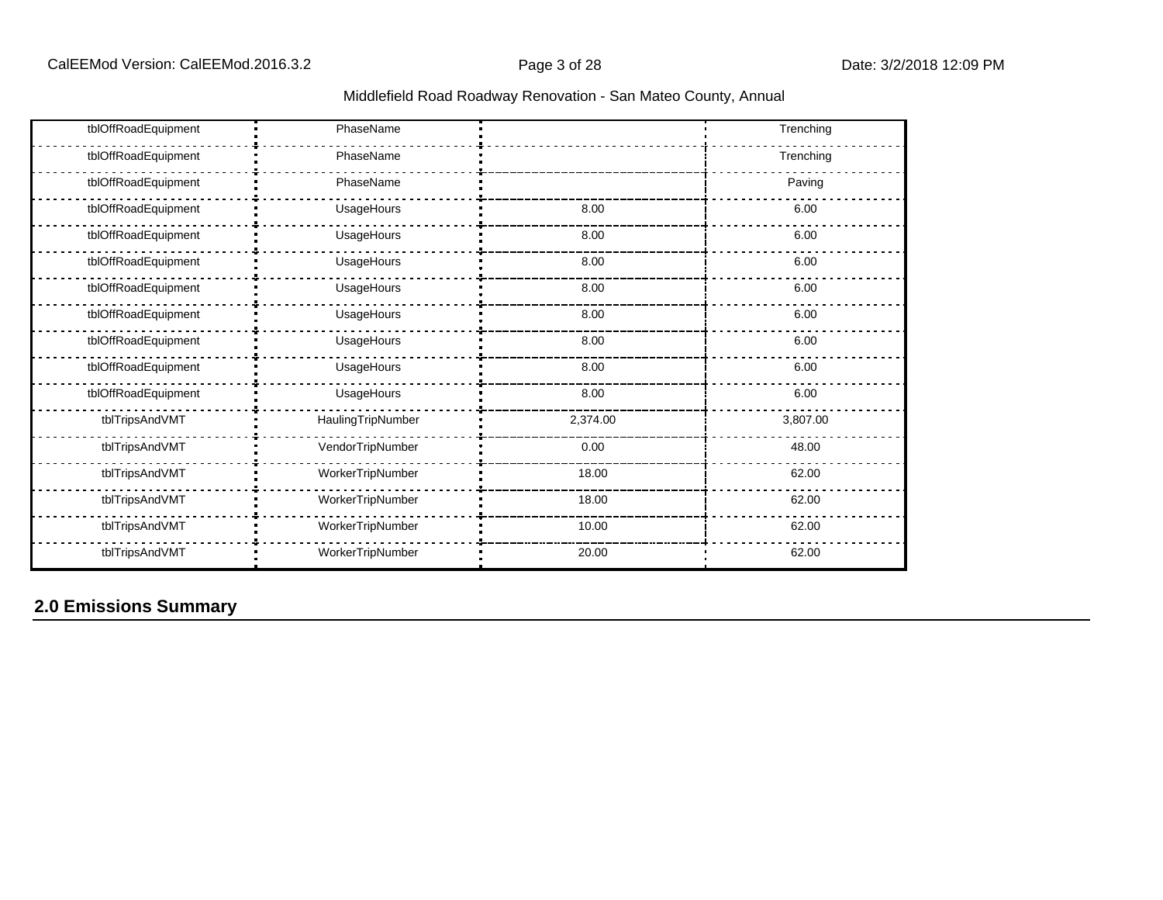| Middlefield Road Roadway Renovation - San Mateo County, Annual |  |  |
|----------------------------------------------------------------|--|--|
|----------------------------------------------------------------|--|--|

| tblOffRoadEquipment | PhaseName         |          | Trenching |
|---------------------|-------------------|----------|-----------|
| tblOffRoadEquipment | PhaseName         |          | Trenching |
| tblOffRoadEquipment | PhaseName         |          | Paving    |
| tblOffRoadEquipment | UsageHours        | 8.00     | 6.00      |
| tblOffRoadEquipment | UsageHours        | 8.00     | 6.00      |
| tblOffRoadEquipment | UsageHours        | 8.00     | 6.00      |
| tblOffRoadEquipment | UsageHours        | 8.00     | 6.00      |
| tblOffRoadEquipment | UsageHours        | 8.00     | 6.00      |
| tblOffRoadEquipment | UsageHours        | 8.00     | 6.00      |
| tblOffRoadEquipment | UsageHours        | 8.00     | 6.00      |
| tblOffRoadEquipment | UsageHours        | 8.00     | 6.00      |
| tblTripsAndVMT      | HaulingTripNumber | 2,374.00 | 3,807.00  |
| tblTripsAndVMT      | VendorTripNumber  | 0.00     | 48.00     |
| tblTripsAndVMT      | WorkerTripNumber  | 18.00    | 62.00     |
| tblTripsAndVMT      | WorkerTripNumber  | 18.00    | 62.00     |
| tblTripsAndVMT      | WorkerTripNumber  | 10.00    | 62.00     |
| tblTripsAndVMT      | WorkerTripNumber  | 20.00    | 62.00     |

# **2.0 Emissions Summary**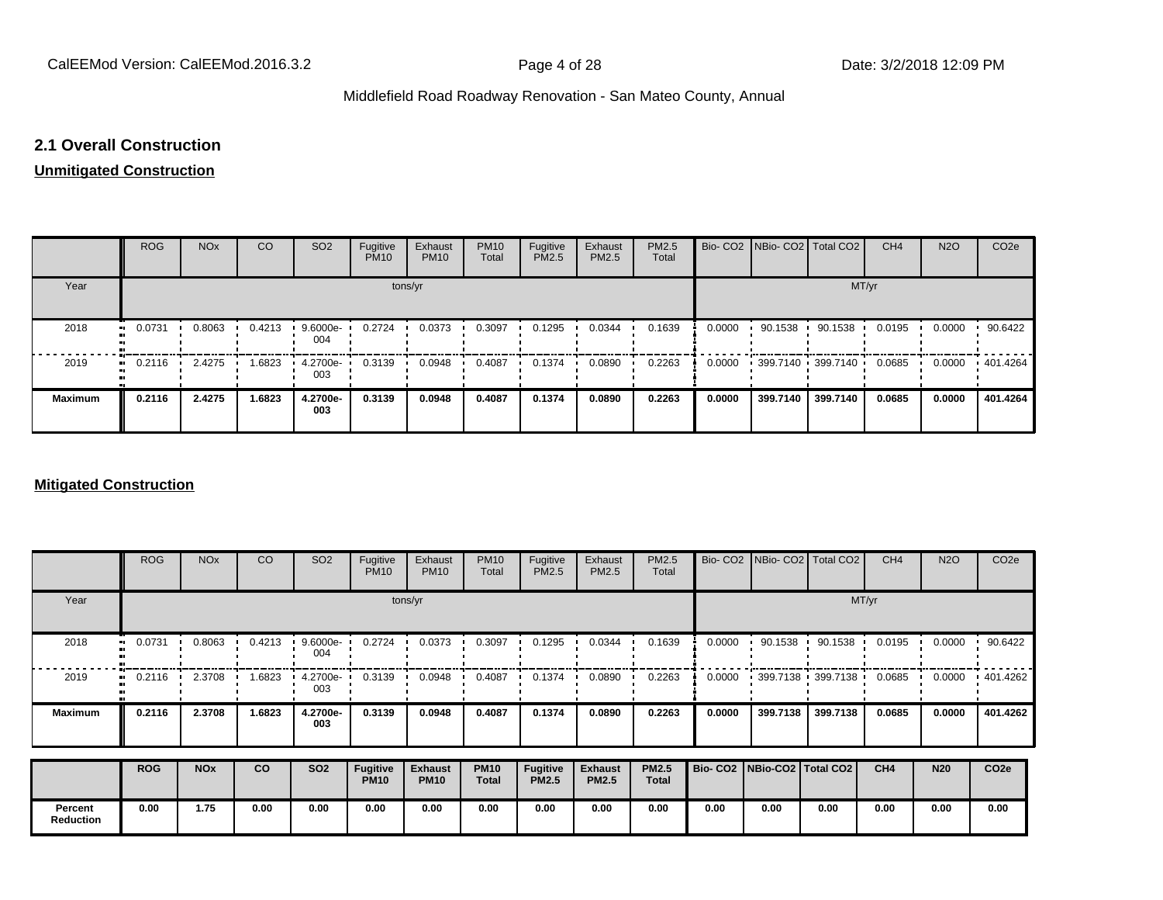### **2.1 Overall Construction**

# **Unmitigated Construction**

|                | <b>ROG</b> | <b>NO<sub>x</sub></b> | CO     | SO <sub>2</sub> | Fugitive<br><b>PM10</b> | Exhaust<br><b>PM10</b> | <b>PM10</b><br>Total | Fugitive<br>PM2.5 | Exhaust<br>PM2.5 | PM2.5<br>Total |        | Bio- CO2   NBio- CO2   Total CO2 |          | CH <sub>4</sub> | <b>N2O</b> | CO <sub>2e</sub> |
|----------------|------------|-----------------------|--------|-----------------|-------------------------|------------------------|----------------------|-------------------|------------------|----------------|--------|----------------------------------|----------|-----------------|------------|------------------|
| Year           |            |                       |        |                 |                         | tons/yr                |                      |                   |                  |                |        |                                  | MT/yr    |                 |            |                  |
| 2018           | 0.0731     | 0.8063                | 0.4213 | 9.6000e<br>004  | 0.2724                  | 0.0373                 | 0.3097               | 0.1295            | 0.0344           | 0.1639         | 0.0000 | 90.1538                          | 90.1538  | 0.0195          | 0.0000     | 90.6422          |
| 2019           | 0.2116<br> | 2.4275                | .6823  | 4.2700e-<br>003 | 0.3139                  | 0.0948                 | 0.4087               | 0.1374            | 0.0890           | 0.2263         | 0.0000 | 399.7140 399.7140                |          | 0.0685          | 0.0000     | 401.4264         |
| <b>Maximum</b> | 0.2116     | 2.4275                | 1.6823 | 4.2700e-<br>003 | 0.3139                  | 0.0948                 | 0.4087               | 0.1374            | 0.0890           | 0.2263         | 0.0000 | 399.7140                         | 399.7140 | 0.0685          | 0.0000     | 401.4264         |

### **Mitigated Construction**

|                  | <b>ROG</b> | <b>NO<sub>x</sub></b> | CO     | SO <sub>2</sub>    | Fugitive<br><b>PM10</b>        | Exhaust<br><b>PM10</b>        | <b>PM10</b><br>Total        | Fugitive<br>PM2.5        | Exhaust<br>PM2.5               | PM2.5<br>Total               |                                 |                           | Bio- CO2   NBio- CO2   Total CO2 | CH <sub>4</sub> | <b>N2O</b> | CO <sub>2e</sub> |  |  |  |  |
|------------------|------------|-----------------------|--------|--------------------|--------------------------------|-------------------------------|-----------------------------|--------------------------|--------------------------------|------------------------------|---------------------------------|---------------------------|----------------------------------|-----------------|------------|------------------|--|--|--|--|
| Year             |            | tons/yr               |        |                    |                                |                               |                             |                          |                                |                              |                                 |                           | MT/yr                            |                 |            |                  |  |  |  |  |
| 2018             | 0.0731     | 0.8063                | 0.4213 | $9.6000e -$<br>004 | 0.2724                         | 0.0373                        | 0.3097                      | 0.1295                   | 0.0344                         | 0.1639                       | 0.0000                          | 90.1538<br>$\blacksquare$ | 90.1538                          | 0.0195          | 0.0000     | 90.6422          |  |  |  |  |
| 2019             | 0.2116     | 2.3708                | 1.6823 | 4.2700e-<br>003    | 0.3139                         | 0.0948                        | 0.4087                      | 0.1374                   | 0.0890                         | 0.2263                       | 0.0000                          |                           | $-399.7138 - 399.7138$           | 0.0685          | 0.0000     | .401.4262        |  |  |  |  |
| <b>Maximum</b>   | 0.2116     | 2.3708                | 1.6823 | 4.2700e-<br>003    | 0.3139                         | 0.0948                        | 0.4087                      | 0.1374                   | 0.0890                         | 0.2263                       | 0.0000                          | 399.7138                  | 399.7138                         | 0.0685          | 0.0000     | 401.4262         |  |  |  |  |
|                  | <b>ROG</b> | <b>NO<sub>x</sub></b> | co     | <b>SO2</b>         | <b>Fugitive</b><br><b>PM10</b> | <b>Exhaust</b><br><b>PM10</b> | <b>PM10</b><br><b>Total</b> | Fugitive<br><b>PM2.5</b> | <b>Exhaust</b><br><b>PM2.5</b> | <b>PM2.5</b><br><b>Total</b> | Bio- CO2   NBio-CO2   Total CO2 |                           |                                  | CH4             | <b>N20</b> | CO <sub>2e</sub> |  |  |  |  |
| Percent          | 0.00       | 1.75                  | 0.00   | 0.00               | 0.00                           | 0.00                          | 0.00                        | 0.00                     | 0.00                           | 0.00                         | 0.00                            | 0.00                      | 0.00                             | 0.00            | 0.00       | 0.00             |  |  |  |  |
| <b>Reduction</b> |            |                       |        |                    |                                |                               |                             |                          |                                |                              |                                 |                           |                                  |                 |            |                  |  |  |  |  |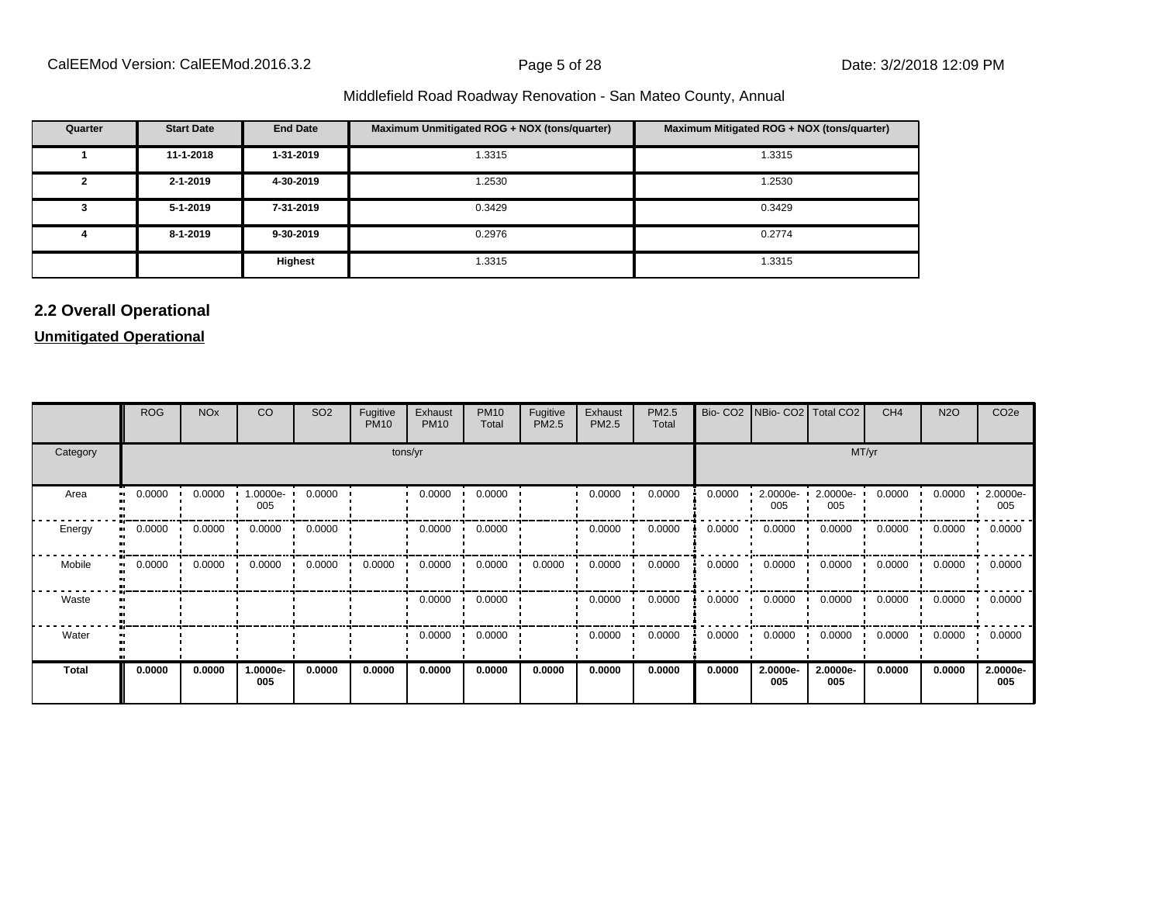| Quarter | <b>Start Date</b> | <b>End Date</b> | Maximum Unmitigated ROG + NOX (tons/quarter) | Maximum Mitigated ROG + NOX (tons/quarter) |
|---------|-------------------|-----------------|----------------------------------------------|--------------------------------------------|
|         | 11-1-2018         | 1-31-2019       | 1.3315                                       | 1.3315                                     |
|         | $2 - 1 - 2019$    | 4-30-2019       | 1.2530                                       | 1.2530                                     |
|         | $5 - 1 - 2019$    | 7-31-2019       | 0.3429                                       | 0.3429                                     |
|         | 8-1-2019          | 9-30-2019       | 0.2976                                       | 0.2774                                     |
|         |                   | Highest         | 1.3315                                       | 1.3315                                     |

# **2.2 Overall Operational**

### **Unmitigated Operational**

|                        | <b>ROG</b> | <b>NO<sub>x</sub></b> | CO              | SO <sub>2</sub> | Fugitive<br><b>PM10</b> | Exhaust<br><b>PM10</b> | <b>PM10</b><br>Total | Fugitive<br>PM2.5 | Exhaust<br>PM2.5 | PM2.5<br>Total |        | Bio- CO2   NBio- CO2   Total CO2 |                 | CH <sub>4</sub> | <b>N2O</b> | CO <sub>2e</sub> |
|------------------------|------------|-----------------------|-----------------|-----------------|-------------------------|------------------------|----------------------|-------------------|------------------|----------------|--------|----------------------------------|-----------------|-----------------|------------|------------------|
| Category               | tons/yr    |                       |                 |                 |                         |                        |                      |                   |                  |                |        |                                  | MT/yr           |                 |            |                  |
| Area                   | 0.0000     | 0.0000                | 1.0000e-<br>005 | 0.0000          |                         | 0.0000                 | 0.0000               |                   | 0.0000           | 0.0000         | 0.0000 | $2.0000e -$<br>005               | 2.0000e-<br>005 | 0.0000          | 0.0000     | 2.0000e-<br>005  |
| Energy                 | 0.0000     | 0.0000                | 0.0000          | 0.0000          |                         | 0.0000                 | 0.0000               |                   | 0.0000           | 0.0000         | 0.0000 | 0.0000                           | 0.0000          | 0.0000          | 0.0000     | 0.0000           |
| Mobile<br>$\mathbf{u}$ | 0.0000     | 0.0000                | 0.0000          | 0.0000          | 0.0000                  | 0.0000                 | 0.0000               | 0.0000            | 0.0000           | 0.0000         | 0.0000 | 0.0000                           | 0.0000          | 0.0000          | 0.0000     | 0.0000           |
| Waste                  |            |                       |                 |                 |                         | 0.0000                 | 0.0000               |                   | 0.0000           | 0.0000         | 0.0000 | 0.0000                           | 0.0000          | 0.0000          | 0.0000     | 0.0000           |
| Water                  |            |                       |                 |                 |                         | 0.0000                 | 0.0000               |                   | 0.0000           | 0.0000         | 0.0000 | 0.0000                           | 0.0000          | 0.0000          | 0.0000     | 0.0000           |
| <b>Total</b>           | 0.0000     | 0.0000                | 1.0000e-<br>005 | 0.0000          | 0.0000                  | 0.0000                 | 0.0000               | 0.0000            | 0.0000           | 0.0000         | 0.0000 | 2.0000e-<br>005                  | 2.0000e-<br>005 | 0.0000          | 0.0000     | 2.0000e-<br>005  |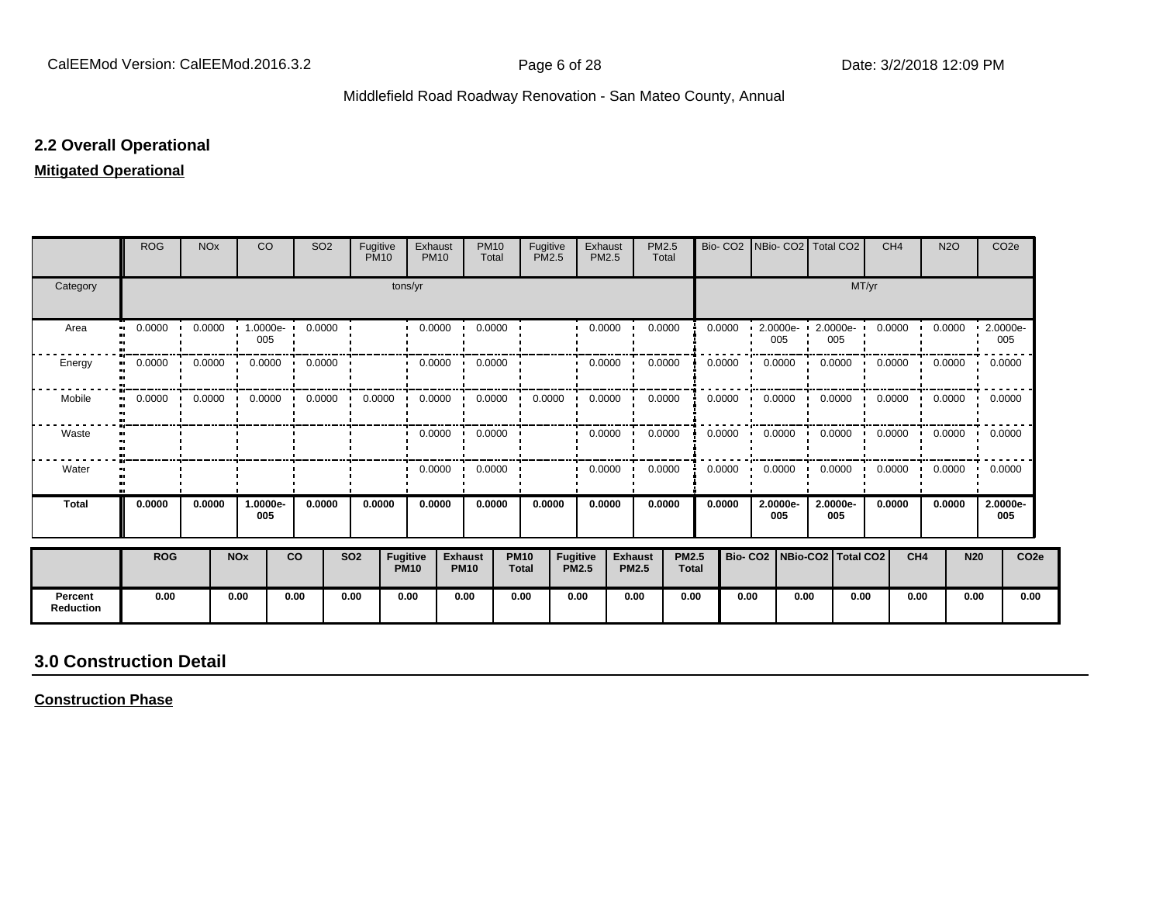### **2.2 Overall Operational**

### **Mitigated Operational**

|                             | <b>ROG</b>          | <b>NO<sub>x</sub></b> |                       | <b>CO</b>       | <b>SO2</b>                       | Fugitive<br><b>PM10</b> |                                | Exhaust<br><b>PM10</b>  | <b>PM10</b><br>Total            | <b>PM2.5</b>                | Fugitive                 | Exhaust<br>PM2.5 | PM2.5<br>Total                 |                              | Bio-CO <sub>2</sub> | INBio- CO2   Total CO2          |                 |       | CH <sub>4</sub> | <b>N2O</b>                 | CO <sub>2e</sub> |                  |
|-----------------------------|---------------------|-----------------------|-----------------------|-----------------|----------------------------------|-------------------------|--------------------------------|-------------------------|---------------------------------|-----------------------------|--------------------------|------------------|--------------------------------|------------------------------|---------------------|---------------------------------|-----------------|-------|-----------------|----------------------------|------------------|------------------|
| Category                    |                     |                       |                       |                 |                                  |                         | tons/yr                        |                         |                                 |                             |                          |                  |                                |                              |                     |                                 |                 | MT/yr |                 |                            |                  |                  |
| Area                        | 0.0000<br>$\bullet$ | 0.0000                |                       | 1.0000e-<br>005 | 0.0000                           |                         |                                | 0.0000                  | 0.0000                          |                             |                          | 0.0000           | 0.0000                         |                              | 0.0000              | $2.0000e -$<br>005              | 2.0000e-<br>005 |       | 0.0000          | 0.0000                     | 2.0000e-<br>005  |                  |
| Energy<br>$\bullet$         | 0.0000              | 0.0000                |                       | 0.0000          | 0.0000                           |                         |                                | 0.0000                  | 0.0000                          |                             |                          | 0.0000           | 0.0000                         |                              | 0.0000              | 0.0000                          | 0.0000          |       | 0.0000          | 0.0000                     | 0.0000           |                  |
| Mobile<br>$\bullet$         | 0.0000              | 0.0000                |                       |                 | $0.0000$ $0.0000$ $\blacksquare$ | 0.0000                  |                                |                         | $0.0000$ $\cdot$ 0.0000 $\cdot$ | 0.0000                      |                          | 0.0000           | 0.0000                         |                              | 0.0000              | $0.0000$ $\blacksquare$         | 0.0000          |       |                 | $0.0000$ $0.0000$ $0.0000$ |                  |                  |
| Waste                       |                     |                       |                       |                 |                                  |                         |                                | $0.0000$ $\blacksquare$ | 0.0000                          |                             |                          | 0.0000           | 0.0000                         |                              | 0.0000              | 0.0000                          | 0.0000          |       | 0.0000          | 0.0000                     | 0.0000           |                  |
| Water                       |                     |                       |                       |                 |                                  |                         |                                | 0.0000                  | 0.0000<br>$\cdot$               |                             |                          | 0.0000           | 0.0000                         |                              | 0.0000              | 0.0000                          | 0.0000          |       | 0.0000          | 0.0000                     | 0.0000           |                  |
| <b>Total</b>                | 0.0000              | 0.0000                |                       | 1.0000e-<br>005 | 0.0000                           | 0.0000                  |                                | 0.0000                  | 0.0000                          |                             | 0.0000                   | 0.0000           | 0.0000                         |                              | 0.0000              | 2.0000e-<br>005                 | 2.0000e-<br>005 |       | 0.0000          | 0.0000                     | 2.0000e-<br>005  |                  |
|                             | <b>ROG</b>          |                       | <b>NO<sub>x</sub></b> |                 | <b>CO</b>                        | <b>SO2</b>              | <b>Fugitive</b><br><b>PM10</b> |                         | <b>Exhaust</b><br><b>PM10</b>   | <b>PM10</b><br><b>Total</b> | Fugitive<br><b>PM2.5</b> |                  | <b>Exhaust</b><br><b>PM2.5</b> | <b>PM2.5</b><br><b>Total</b> |                     | Bio- CO2   NBio-CO2   Total CO2 |                 |       | CH <sub>4</sub> |                            | <b>N20</b>       | CO <sub>2e</sub> |
| Percent<br><b>Reduction</b> | 0.00                |                       | 0.00                  |                 | 0.00                             | 0.00                    | 0.00                           |                         | 0.00                            | 0.00                        | 0.00                     |                  | 0.00                           | 0.00                         | 0.00                | 0.00                            |                 | 0.00  | 0.00            |                            | 0.00             | 0.00             |

# **3.0 Construction Detail**

**Construction Phase**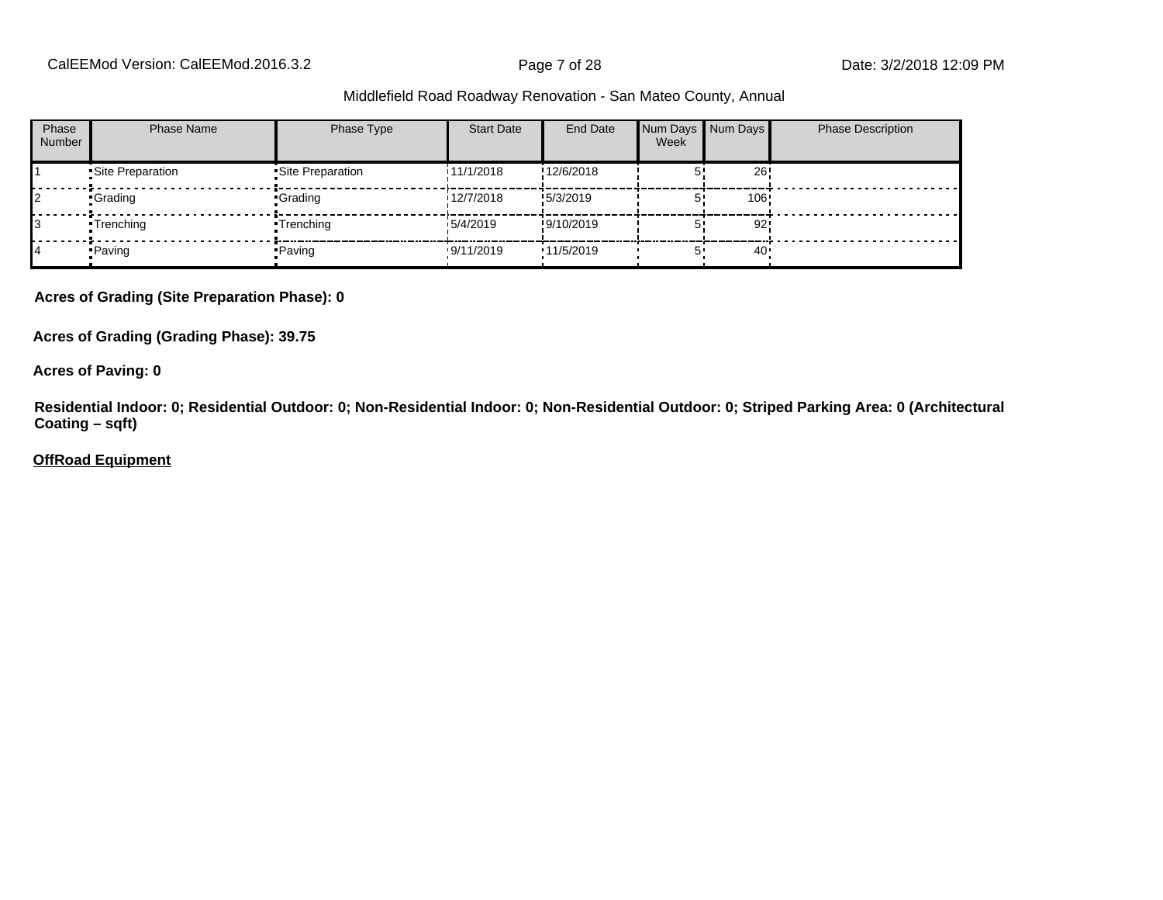CalEEMod Version: CalEEMod.2016.3.2 **Page 7 of 28** Page 7 of 28 Date: 3/2/2018 12:09 PM

#### Middlefield Road Roadway Renovation - San Mateo County, Annual

| Phase<br><b>Number</b> | <b>Phase Name</b> | Phase Type        | <b>Start Date</b> | End Date   | Week | Num Days Num Days | <b>Phase Description</b> |
|------------------------|-------------------|-------------------|-------------------|------------|------|-------------------|--------------------------|
|                        | •Site Preparation | •Site Preparation | 11/1/2018         | !12/6/2018 |      | 26                |                          |
|                        | •Grading          | ∙Grading          | 12/7/2018         | !5/3/2019  |      | 106               |                          |
|                        | •Trenching        | •Trenching        | 15/4/2019         | !9/10/2019 |      | 92                |                          |
|                        | • Paving          | • Paving          | .9/11/2019        | 11/5/2019  |      | 40                |                          |

**Acres of Grading (Site Preparation Phase): 0**

**Acres of Grading (Grading Phase): 39.75**

**Acres of Paving: 0**

**Residential Indoor: 0; Residential Outdoor: 0; Non-Residential Indoor: 0; Non-Residential Outdoor: 0; Striped Parking Area: 0 (Architectural Coating – sqft)**

**OffRoad Equipment**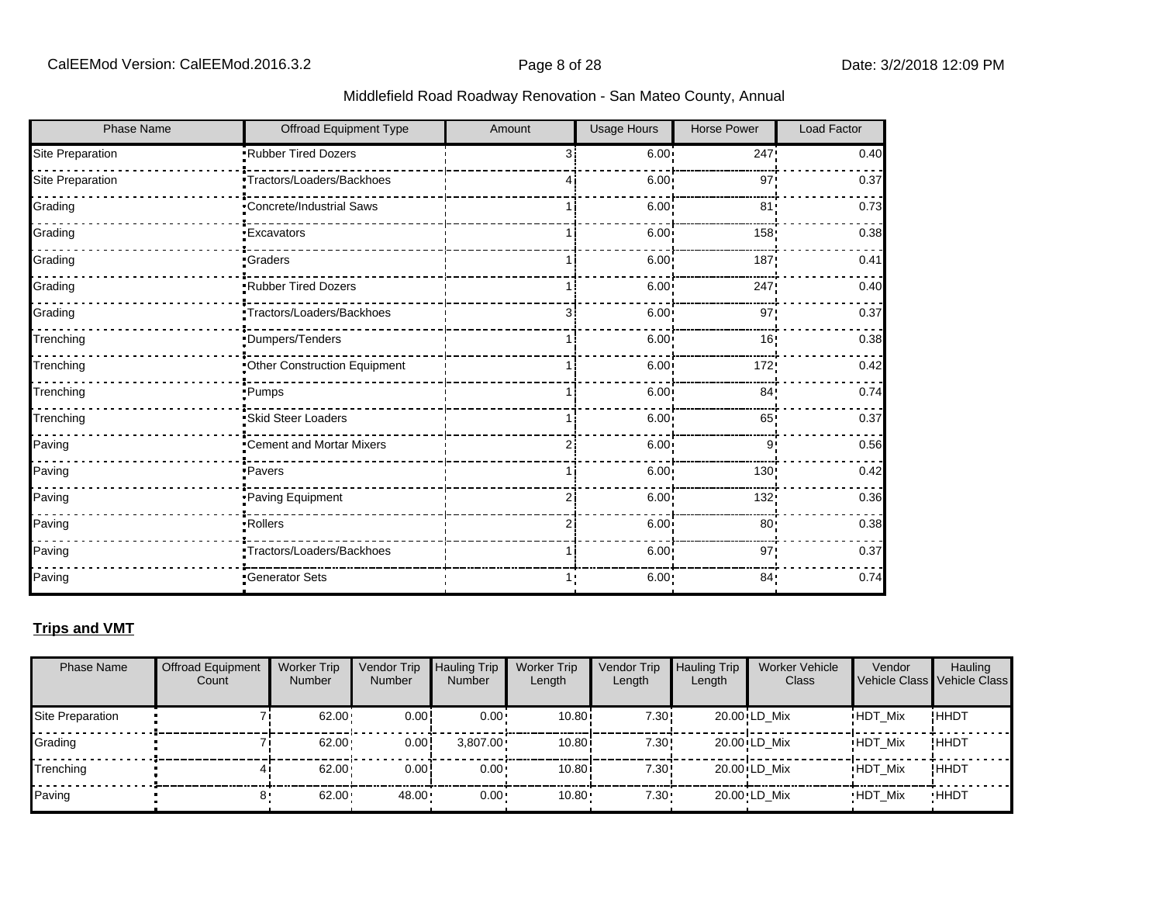| <b>Phase Name</b> | <b>Offroad Equipment Type</b> | Amount         | <b>Usage Hours</b> | <b>Horse Power</b> | <b>Load Factor</b> |
|-------------------|-------------------------------|----------------|--------------------|--------------------|--------------------|
| Site Preparation  | Rubber Tired Dozers           | $\overline{3}$ | 6.00               | 247                | 0.40               |
| Site Preparation  | Tractors/Loaders/Backhoes     |                | 6.00               | 97                 | 0.37               |
| Grading           | Concrete/Industrial Saws      |                | 6.00               | 81                 | 0.73               |
| Grading           | <b>Excavators</b>             |                | 6.00               | 158                | 0.38               |
| Grading           | <b>Graders</b>                |                | 6.00               | 187                | 0.41               |
| Grading           | Rubber Tired Dozers           |                | 6.00               | 247                | 0.40               |
| Grading           | Tractors/Loaders/Backhoes     | 31             | 6.00               | 97                 | 0.37               |
| Trenching         | Dumpers/Tenders               |                | 6.00               | 16 <sub>1</sub>    | 0.38               |
| Trenching         | Other Construction Equipment  |                | 6.00               | 172                | 0.42               |
| Trenching         | ·Pumps                        |                | 6.00               | 84 <sub>1</sub>    | 0.74               |
| Trenching         | Skid Steer Loaders            |                | 6.00               | 65                 | 0.37               |
| Paving            | "Cement and Mortar Mixers     | 2              | 6.00               | 9'                 | 0.56               |
| Paving            | ·Pavers                       |                | 6.00               | 130!               | 0.42               |
| Paving            | Paving Equipment              | 2              | 6.00               | 132                | 0.36               |
| Paving            | ·Rollers                      | 2              | 6.00               | 80 <sub>1</sub>    | 0.38               |
| Paving            | Tractors/Loaders/Backhoes     |                | 6.00               | 97                 | 0.37               |
| Paving            | Generator Sets                |                | 6.00 <sub>1</sub>  | 84 <sub>1</sub>    | 0.74               |

### **Trips and VMT**

| <b>Phase Name</b> | <b>Offroad Equipment</b><br>Count | <b>Worker Trip</b><br><b>Number</b> | Vendor Trip<br><b>Number</b> | <b>Hauling Trip</b><br>Number | <b>Worker Trip</b><br>Length | Vendor Trip<br>Length | <b>Hauling Trip</b><br>Length | <b>Worker Vehicle</b><br>Class | Vendor<br>Vehicle Class Vehicle Class | Hauling     |
|-------------------|-----------------------------------|-------------------------------------|------------------------------|-------------------------------|------------------------------|-----------------------|-------------------------------|--------------------------------|---------------------------------------|-------------|
| Site Preparation  |                                   | 62.00                               | 0.00!                        | $0.00 \cdot$                  | 10.80                        | 7.30!                 |                               | 20.00 LD Mix                   | <b>HDT Mix</b>                        | !ННDТ       |
| Grading           |                                   | 62.00                               | 0.00!                        | $3.807.00 \cdot$              | 10.80i                       | 7.30!                 |                               | 20.00 LD Mix                   | <b>HDT Mix</b>                        | ! ННDТ      |
| Trenching         |                                   | $62.00 \cdot$                       | 0.00!                        | $0.00 \cdot$                  | 10.80i                       | 7.30!                 |                               | 20.00 LD Mix                   | <b>HDT Mix</b>                        | !HHDT       |
| Paving            |                                   | $62.00 -$                           | 48.00                        | $0.00 \cdot$                  | $10.80 -$                    | $7.30 -$              |                               | 20.00 LD Mix                   | <b>HDT Mix</b>                        | <b>HHDT</b> |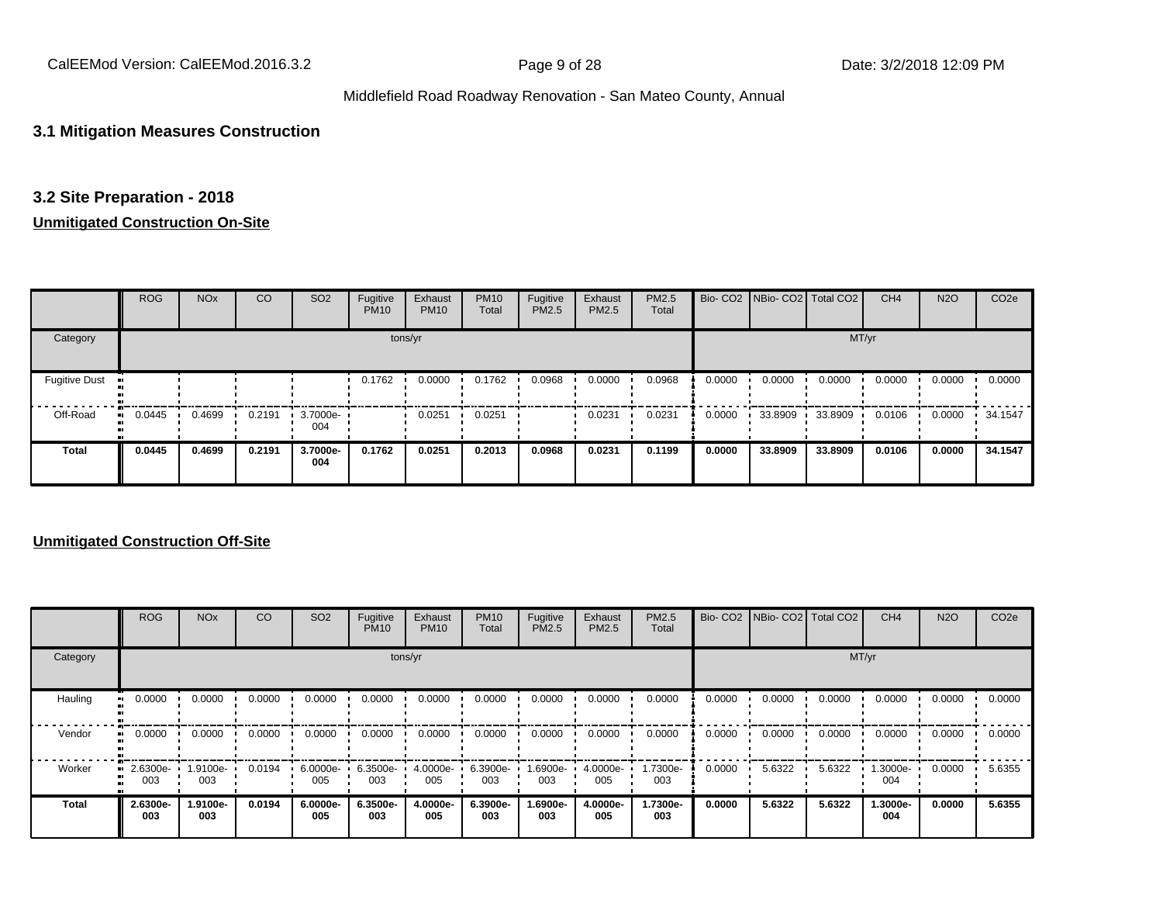CalEEMod Version: CalEEMod.2016.3.2 **Page 9 of 28** Page 9 of 28 Date: 3/2/2018 12:09 PM

### Middlefield Road Roadway Renovation - San Mateo County, Annual

### **3.1 Mitigation Measures Construction**

### **3.2 Site Preparation - 2018**

### **Unmitigated Construction On-Site**

|                              | <b>ROG</b>   | <b>NO<sub>x</sub></b> | CO     | SO <sub>2</sub> | Fugitive<br><b>PM10</b> | Exhaust<br><b>PM10</b> | <b>PM10</b><br>Total | Fugitive<br>PM2.5 | Exhaust<br>PM2.5 | PM2.5<br>Total |        | Bio- CO2   NBio- CO2   Total CO2 |         | CH <sub>4</sub> | <b>N2O</b> | CO <sub>2e</sub> |
|------------------------------|--------------|-----------------------|--------|-----------------|-------------------------|------------------------|----------------------|-------------------|------------------|----------------|--------|----------------------------------|---------|-----------------|------------|------------------|
| Category                     |              |                       |        |                 |                         | tons/yr                |                      |                   |                  |                |        |                                  | MT/yr   |                 |            |                  |
| <b>Fugitive Dust</b><br>- 11 |              |                       |        |                 | 0.1762                  | 0.0000                 | 0.1762               | 0.0968            | 0.0000           | 0.0968         | 0.0000 | 0.0000                           | 0.0000  | 0.0000          | 0.0000     | 0.0000           |
| Off-Road                     | 0.0445<br>ш. | 0.4699                | 0.2191 | 3.7000e-<br>004 |                         | 0.0251                 | 0.0251               |                   | 0.0231           | 0.0231         | 0.0000 | 33.8909                          | 33.8909 | 0.0106          | 0.0000     | 34.1547          |
| <b>Total</b>                 | 0.0445       | 0.4699                | 0.2191 | 3.7000e-<br>004 | 0.1762                  | 0.0251                 | 0.2013               | 0.0968            | 0.0231           | 0.1199         | 0.0000 | 33.8909                          | 33.8909 | 0.0106          | 0.0000     | 34.1547          |

### **Unmitigated Construction Off-Site**

|          | <b>ROG</b>         | <b>NO<sub>x</sub></b> | CO     | SO <sub>2</sub> | Fugitive<br><b>PM10</b> | Exhaust<br><b>PM10</b> | <b>PM10</b><br>Total | Fugitive<br>PM2.5 | Exhaust<br><b>PM2.5</b> | PM2.5<br>Total  |        | Bio- CO2 NBio- CO2 Total CO2 |        | CH <sub>4</sub>    | <b>N2O</b> | CO <sub>2e</sub> |
|----------|--------------------|-----------------------|--------|-----------------|-------------------------|------------------------|----------------------|-------------------|-------------------------|-----------------|--------|------------------------------|--------|--------------------|------------|------------------|
| Category |                    |                       |        |                 |                         | tons/yr                |                      |                   |                         |                 |        |                              | MT/yr  |                    |            |                  |
| Hauling  | 0.0000             | 0.0000                | 0.0000 | 0.0000          | 0.0000                  | 0.0000                 | 0.0000               | 0.0000            | 0.0000                  | 0.0000          | 0.0000 | 0.0000                       | 0.0000 | 0.0000             | 0.0000     | 0.0000           |
| Vendor   | 0.0000             | 0.0000                | 0.0000 | 0.0000          | 0.0000                  | 0.0000                 | 0.0000               | 0.0000            | 0.0000                  | 0.0000          | 0.0000 | 0.0000                       | 0.0000 | 0.0000             | 0.0000     | 0.0000           |
| Worker   | $-2.6300e-$<br>003 | 1.9100e-<br>003       | 0.0194 | 6.0000e-<br>005 | 6.3500e-<br>003         | 4.0000e-<br>005        | 6.3900e-<br>003      | -900e-1.69<br>003 | 4.0000e-<br>005         | 1.7300e-<br>003 | 0.0000 | 5.6322                       | 5.6322 | $1.3000e -$<br>004 | 0.0000     | 5.6355           |
| Total    | 2.6300e-<br>003    | 1.9100e-<br>003       | 0.0194 | 6.0000e-<br>005 | 6.3500e-<br>003         | 4.0000e-<br>005        | 6.3900e-<br>003      | 1.6900e-<br>003   | 4.0000e-<br>005         | 1.7300e-<br>003 | 0.0000 | 5.6322                       | 5.6322 | 1.3000e-<br>004    | 0.0000     | 5.6355           |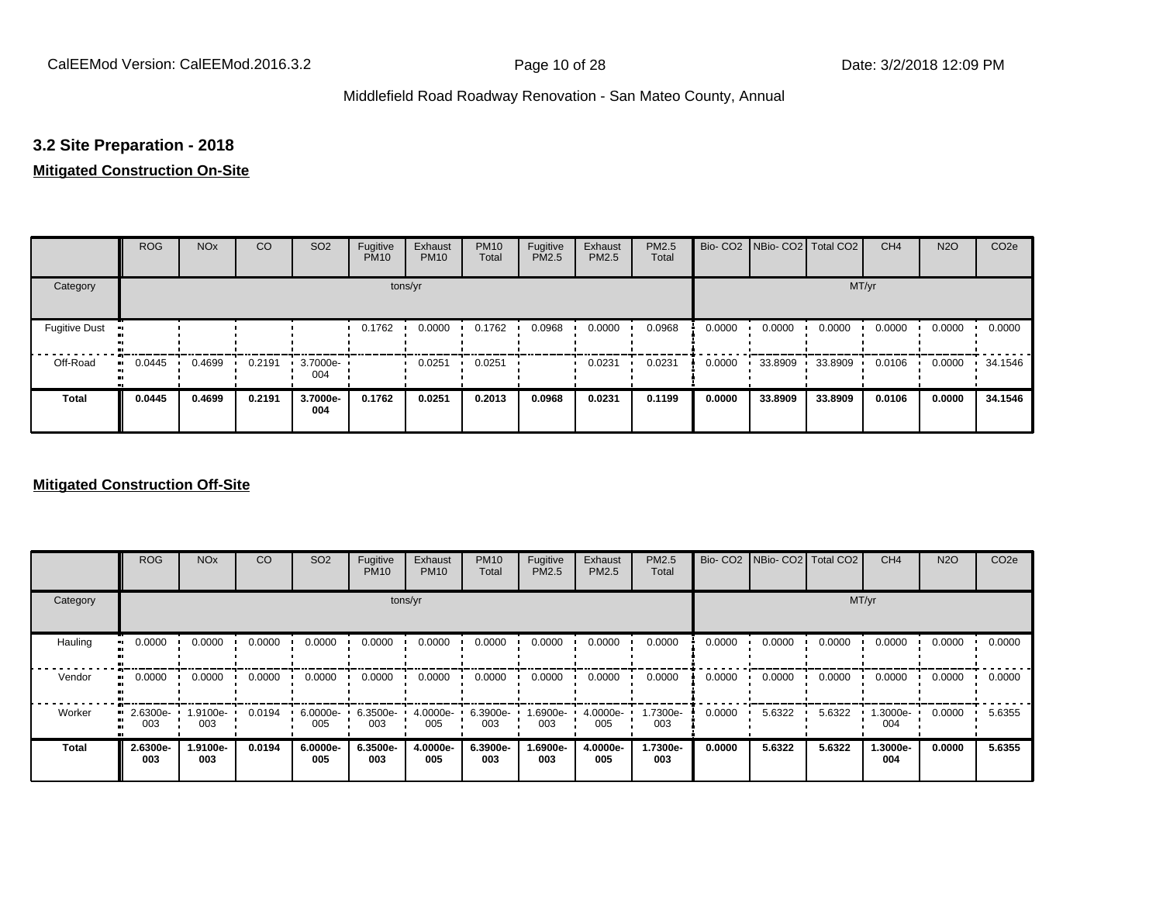## **3.2 Site Preparation - 2018**

### **Mitigated Construction On-Site**

|                      | <b>ROG</b>   | <b>NO<sub>x</sub></b> | CO     | SO <sub>2</sub> | Fugitive<br><b>PM10</b> | Exhaust<br><b>PM10</b> | <b>PM10</b><br>Total | Fugitive<br>PM2.5 | Exhaust<br>PM2.5 | PM2.5<br>Total |        | Bio- CO2   NBio- CO2   Total CO2 |         | CH <sub>4</sub> | <b>N2O</b> | CO <sub>2e</sub> |
|----------------------|--------------|-----------------------|--------|-----------------|-------------------------|------------------------|----------------------|-------------------|------------------|----------------|--------|----------------------------------|---------|-----------------|------------|------------------|
| Category             |              |                       |        |                 | tons/yr                 |                        |                      |                   |                  |                |        |                                  | MT/yr   |                 |            |                  |
| <b>Fugitive Dust</b> |              |                       |        |                 | 0.1762                  | 0.0000                 | 0.1762               | 0.0968            | 0.0000           | 0.0968         | 0.0000 | 0.0000                           | 0.0000  | 0.0000          | 0.0000     | 0.0000           |
| Off-Road             | 0.0445<br>ш. | 0.4699                | 0.2191 | 3.7000e-<br>004 |                         | 0.0251                 | 0.0251               |                   | 0.0231           | 0.0231         | 0.0000 | 33.8909                          | 33.8909 | 0.0106          | 0.0000     | 34.1546          |
| <b>Total</b>         | 0.0445       | 0.4699                | 0.2191 | 3.7000e-<br>004 | 0.1762                  | 0.0251                 | 0.2013               | 0.0968            | 0.0231           | 0.1199         | 0.0000 | 33.8909                          | 33.8909 | 0.0106          | 0.0000     | 34.1546          |

### **Mitigated Construction Off-Site**

|                     | <b>ROG</b>      | <b>NO<sub>x</sub></b> | CO     | SO <sub>2</sub> | Fugitive<br><b>PM10</b> | Exhaust<br><b>PM10</b> | <b>PM10</b><br>Total | Fugitive<br><b>PM2.5</b> | Exhaust<br>PM2.5 | PM2.5<br>Total  |        | Bio- CO2   NBio- CO2   Total CO2 |        | CH <sub>4</sub> | <b>N2O</b> | CO <sub>2e</sub> |
|---------------------|-----------------|-----------------------|--------|-----------------|-------------------------|------------------------|----------------------|--------------------------|------------------|-----------------|--------|----------------------------------|--------|-----------------|------------|------------------|
| Category            |                 |                       |        |                 |                         | tons/yr                |                      |                          |                  |                 |        |                                  |        | MT/yr           |            |                  |
| Hauling             | 0.0000          | 0.0000                | 0.0000 | 0.0000          | 0.0000                  | 0.0000                 | 0.0000               | 0.0000                   | 0.0000           | 0.0000          | 0.0000 | 0.0000                           | 0.0000 | 0.0000          | 0.0000     | 0.0000           |
| Vendor<br>$\bullet$ | 0.0000          | 0.0000                | 0.0000 | 0.0000          | 0.0000                  | 0.0000                 | 0.0000               | 0.0000                   | 0.0000           | 0.0000          | 0.0000 | 0.0000                           | 0.0000 | 0.0000          | 0.0000     | 0.0000           |
| Worker<br>$\bullet$ | 2.6300e-<br>003 | 1.9100e-<br>003       | 0.0194 | 6.0000e-<br>005 | $6.3500e-$<br>003       | 4.0000e-<br>005        | 6.3900e-<br>003      | -6900e-<br>003           | 4.0000e-<br>005  | 1.7300e-<br>003 | 0.0000 | 5.6322                           | 5.6322 | 1.3000e-<br>004 | 0.0000     | 5.6355           |
| <b>Total</b>        | 2.6300e-<br>003 | 1.9100e-<br>003       | 0.0194 | 6.0000e-<br>005 | 6.3500e-<br>003         | 4.0000e-<br>005        | 6.3900e-<br>003      | 1.6900e-<br>003          | 4.0000e-<br>005  | 1.7300e-<br>003 | 0.0000 | 5.6322                           | 5.6322 | 1.3000e-<br>004 | 0.0000     | 5.6355           |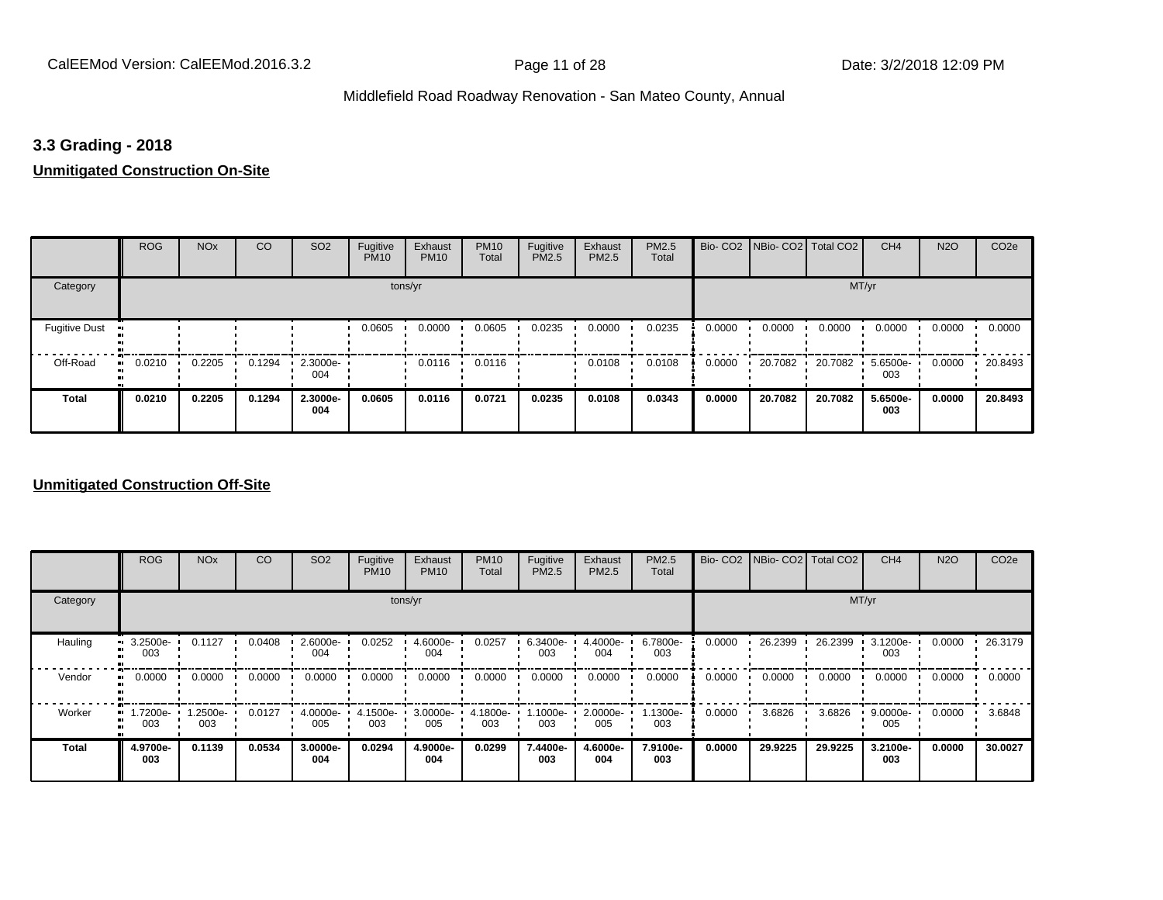### **3.3 Grading - 2018**

### **Unmitigated Construction On-Site**

|                           | <b>ROG</b> | <b>NO<sub>x</sub></b> | CO     | SO <sub>2</sub>    | Fugitive<br><b>PM10</b> | Exhaust<br><b>PM10</b> | <b>PM10</b><br>Total | Fugitive<br><b>PM2.5</b> | Exhaust<br>PM2.5 | PM2.5<br>Total |        | Bio- CO2   NBio- CO2   Total CO2 |         | CH <sub>4</sub> | <b>N2O</b> | CO <sub>2e</sub> |
|---------------------------|------------|-----------------------|--------|--------------------|-------------------------|------------------------|----------------------|--------------------------|------------------|----------------|--------|----------------------------------|---------|-----------------|------------|------------------|
| Category                  |            |                       |        |                    | tons/yr                 |                        |                      |                          |                  |                |        |                                  | MT/yr   |                 |            |                  |
| <b>Fugitive Dust</b><br>m |            |                       |        |                    | 0.0605                  | 0.0000                 | 0.0605               | 0.0235                   | 0.0000           | 0.0235         | 0.0000 | 0.0000                           | 0.0000  | 0.0000          | 0.0000     | 0.0000           |
| Off-Road<br>$\mathbf{u}$  | 0.0210     | 0.2205                | 0.1294 | $-2.3000e-$<br>004 |                         | 0.0116                 | 0.0116               |                          | 0.0108           | 0.0108         | 0.0000 | 20.7082                          | 20.7082 | 5.6500e-<br>003 | 0.0000     | 20.8493          |
| <b>Total</b>              | 0.0210     | 0.2205                | 0.1294 | 2.3000e-<br>004    | 0.0605                  | 0.0116                 | 0.0721               | 0.0235                   | 0.0108           | 0.0343         | 0.0000 | 20.7082                          | 20.7082 | 5.6500e-<br>003 | 0.0000     | 20.8493          |

### **Unmitigated Construction Off-Site**

|          | <b>ROG</b>      | <b>NO<sub>x</sub></b> | CO     | SO <sub>2</sub> | Fugitive<br><b>PM10</b> | Exhaust<br><b>PM10</b> | <b>PM10</b><br>Total | Fugitive<br><b>PM2.5</b> | Exhaust<br>PM2.5 | PM2.5<br>Total  |        | Bio- CO2   NBio- CO2   Total CO2 |         | CH <sub>4</sub> | <b>N2O</b> | CO <sub>2e</sub> |
|----------|-----------------|-----------------------|--------|-----------------|-------------------------|------------------------|----------------------|--------------------------|------------------|-----------------|--------|----------------------------------|---------|-----------------|------------|------------------|
| Category |                 |                       |        |                 |                         | tons/yr                |                      |                          |                  |                 |        |                                  |         | MT/yr           |            |                  |
| Hauling  | 3.2500e-<br>003 | 0.1127                | 0.0408 | 2.6000e-<br>004 | 0.0252                  | 4.6000e-<br>004        | 0.0257               | 6.3400e-<br>003          | 4.4000e-<br>004  | 6.7800e-<br>003 | 0.0000 | 26.2399                          | 26.2399 | 3.1200e-<br>003 | 0.0000     | 26.3179          |
| Vendor   | 0.0000          | 0.0000                | 0.0000 | 0.0000          | 0.0000                  | 0.0000                 | 0.0000               | 0.0000                   | 0.0000           | 0.0000          | 0.0000 | 0.0000                           | 0.0000  | 0.0000          | 0.0000     | 0.0000           |
| Worker   | 1.7200e-<br>003 | 1.2500e-<br>003       | 0.0127 | 4.0000e-<br>005 | 4.1500e-<br>003         | 3.0000e-<br>005        | 4.1800e-<br>003      | 1.1000e-<br>003          | 2.0000e-<br>005  | 1.1300e-<br>003 | 0.0000 | 3.6826                           | 3.6826  | 9.0000e-<br>005 | 0.0000     | 3.6848           |
| Total    | 4.9700e-<br>003 | 0.1139                | 0.0534 | 3.0000e-<br>004 | 0.0294                  | 4.9000e-<br>004        | 0.0299               | 7.4400e-<br>003          | 4.6000e-<br>004  | 7.9100e-<br>003 | 0.0000 | 29.9225                          | 29.9225 | 3.2100e-<br>003 | 0.0000     | 30.0027          |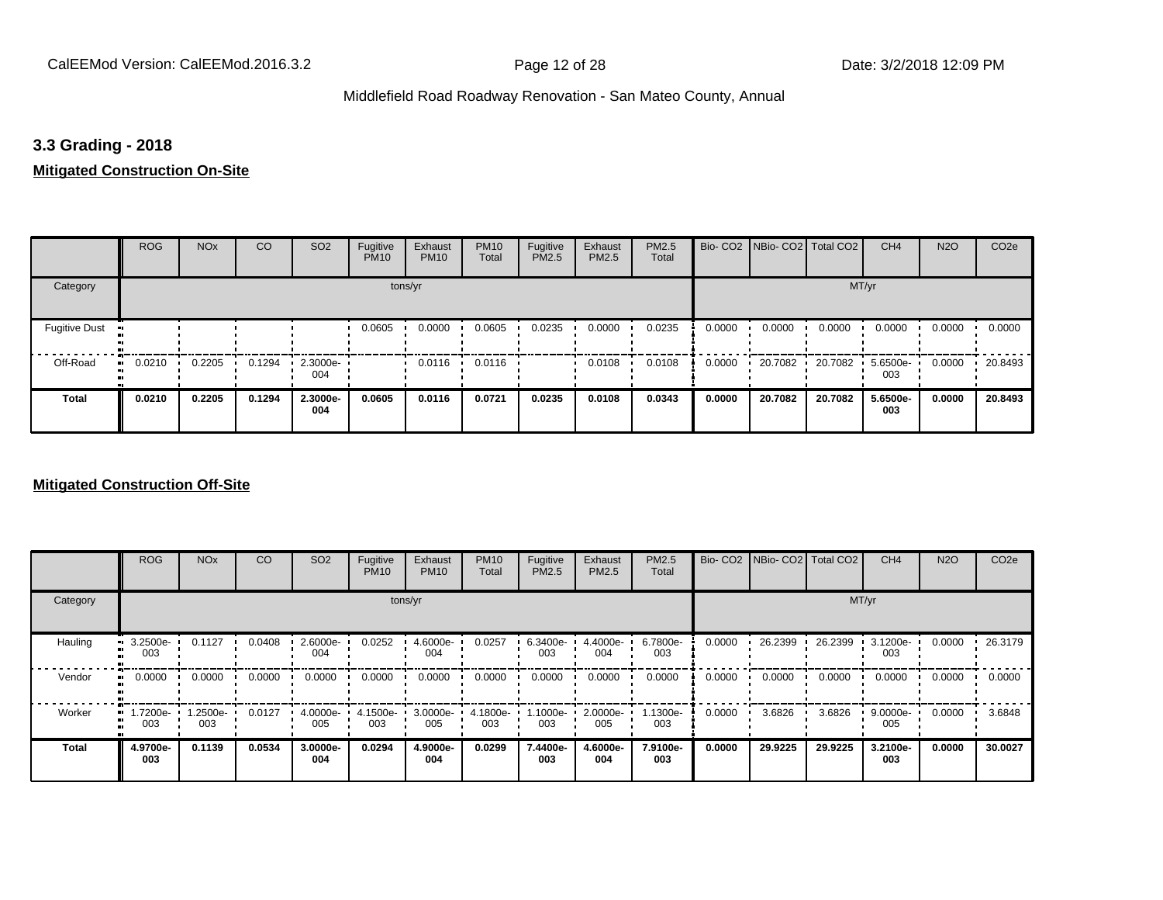### **3.3 Grading - 2018**

### **Mitigated Construction On-Site**

|                                   | <b>ROG</b> | <b>NO<sub>x</sub></b> | CO     | SO <sub>2</sub> | Fugitive<br><b>PM10</b> | Exhaust<br><b>PM10</b> | <b>PM10</b><br>Total | Fugitive<br>PM2.5 | Exhaust<br>PM2.5 | PM2.5<br>Total |        | Bio- CO2   NBio- CO2   Total CO2 |         | CH <sub>4</sub> | <b>N2O</b> | CO <sub>2e</sub> |
|-----------------------------------|------------|-----------------------|--------|-----------------|-------------------------|------------------------|----------------------|-------------------|------------------|----------------|--------|----------------------------------|---------|-----------------|------------|------------------|
| Category                          |            |                       |        |                 |                         | tons/yr                |                      |                   |                  |                |        |                                  | MT/yr   |                 |            |                  |
| <b>Fugitive Dust</b><br>$\bullet$ |            |                       |        |                 | 0.0605                  | 0.0000                 | 0.0605               | 0.0235            | 0.0000           | 0.0235         | 0.0000 | 0.0000                           | 0.0000  | 0.0000          | 0.0000     | 0.0000           |
| Off-Road<br>$\bullet$             | 0.0210     | 0.2205                | 0.1294 | 2.3000e-<br>004 |                         | 0.0116                 | 0.0116               |                   | 0.0108           | 0.0108         | 0.0000 | 20.7082                          | 20.7082 | 5.6500e-<br>003 | 0.0000     | 20.8493          |
| <b>Total</b>                      | 0.0210     | 0.2205                | 0.1294 | 2.3000e-<br>004 | 0.0605                  | 0.0116                 | 0.0721               | 0.0235            | 0.0108           | 0.0343         | 0.0000 | 20.7082                          | 20.7082 | 5.6500e-<br>003 | 0.0000     | 20.8493          |

### **Mitigated Construction Off-Site**

|               | <b>ROG</b>            | <b>NO<sub>x</sub></b> | CO     | SO <sub>2</sub> | Fugitive<br><b>PM10</b> | Exhaust<br><b>PM10</b> | <b>PM10</b><br>Total | Fugitive<br><b>PM2.5</b> | Exhaust<br>PM2.5 | <b>PM2.5</b><br>Total |        | Bio- CO2   NBio- CO2   Total CO2 |         | CH <sub>4</sub>    | <b>N2O</b> | CO <sub>2e</sub> |
|---------------|-----------------------|-----------------------|--------|-----------------|-------------------------|------------------------|----------------------|--------------------------|------------------|-----------------------|--------|----------------------------------|---------|--------------------|------------|------------------|
| Category      |                       |                       |        |                 |                         | tons/yr                |                      |                          |                  |                       |        |                                  |         | MT/yr              |            |                  |
| Hauling       | 3.2500e-<br>п.<br>003 | 0.1127                | 0.0408 | 2.6000e-<br>004 | 0.0252                  | 4.6000e-<br>004        | 0.0257               | 6.3400e-<br>003          | 4.4000e-<br>004  | 6.7800e-<br>003       | 0.0000 | 26.2399                          | 26.2399 | 3.1200e-<br>003    | 0.0000     | 26.3179          |
| Vendor<br>-91 | 0.0000                | 0.0000                | 0.0000 | 0.0000          | 0.0000                  | 0.0000                 | 0.0000               | 0.0000                   | 0.0000           | 0.0000                | 0.0000 | 0.0000                           | 0.0000  | 0.0000             | 0.0000     | 0.0000           |
| Worker        | 1.7200e-<br>m<br>003  | 1.2500e-<br>003       | 0.0127 | 4.0000e-<br>005 | 4.1500e-<br>003         | 3.0000e-<br>005        | 4.1800e-<br>003      | 1.1000e-<br>003          | 2.0000e-<br>005  | 1.1300e-<br>003       | 0.0000 | 3.6826                           | 3.6826  | $9.0000e -$<br>005 | 0.0000     | 3.6848           |
| <b>Total</b>  | 4.9700e-<br>003       | 0.1139                | 0.0534 | 3.0000e-<br>004 | 0.0294                  | 4.9000e-<br>004        | 0.0299               | 7.4400e-<br>003          | 4.6000e-<br>004  | 7.9100e-<br>003       | 0.0000 | 29.9225                          | 29.9225 | 3.2100e-<br>003    | 0.0000     | 30.0027          |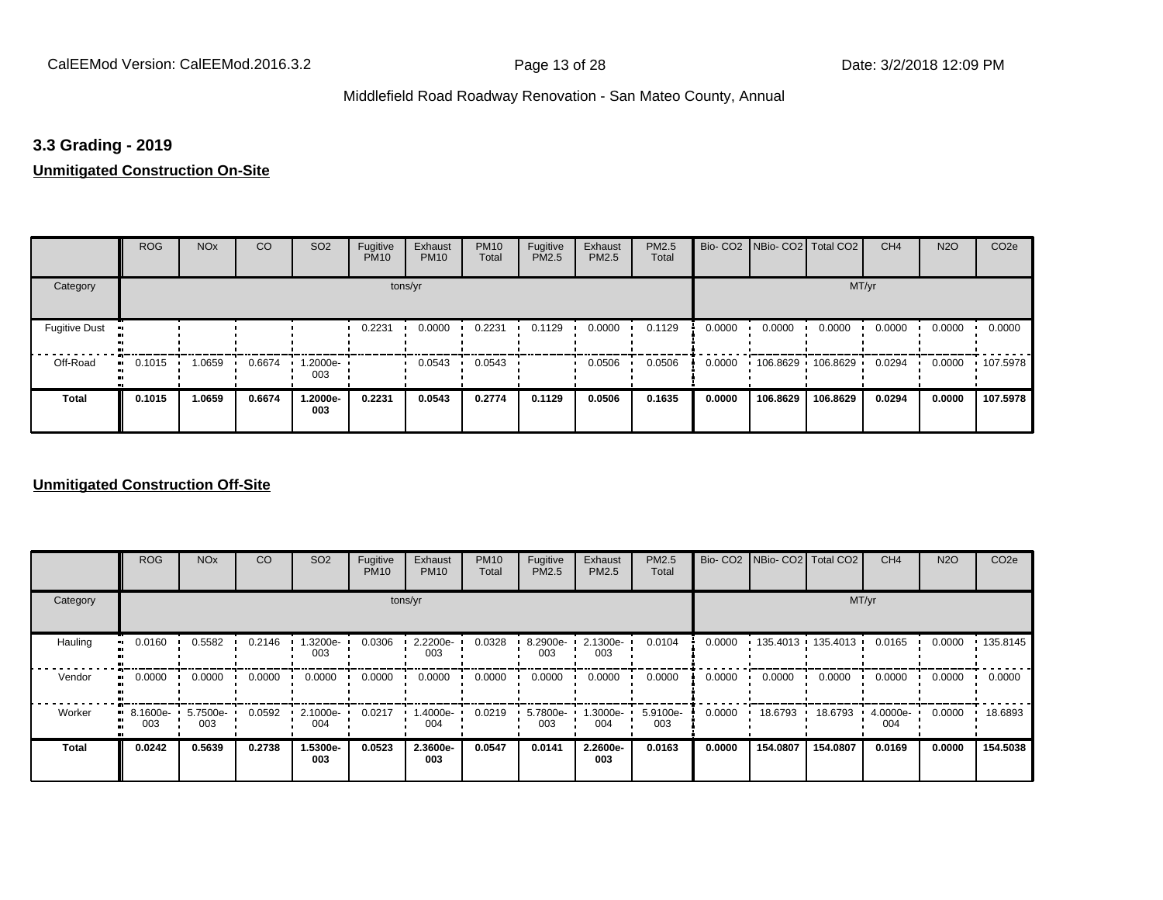### **3.3 Grading - 2019**

### **Unmitigated Construction On-Site**

|                      | <b>ROG</b>   | <b>NO<sub>x</sub></b> | CO     | SO <sub>2</sub> | Fugitive<br><b>PM10</b> | Exhaust<br><b>PM10</b> | <b>PM10</b><br>Total | Fugitive<br><b>PM2.5</b> | Exhaust<br>PM2.5 | PM2.5<br>Total |        | Bio- CO2   NBio- CO2   Total CO2 |          | CH <sub>4</sub> | <b>N2O</b> | CO <sub>2e</sub> |
|----------------------|--------------|-----------------------|--------|-----------------|-------------------------|------------------------|----------------------|--------------------------|------------------|----------------|--------|----------------------------------|----------|-----------------|------------|------------------|
| Category             |              |                       |        |                 |                         | tons/yr                |                      |                          |                  |                |        |                                  | MT/yr    |                 |            |                  |
| <b>Fugitive Dust</b> |              |                       |        |                 | 0.2231                  | 0.0000                 | 0.2231               | 0.1129                   | 0.0000           | 0.1129         | 0.0000 | 0.0000                           | 0.0000   | 0.0000          | 0.0000     | 0.0000           |
| Off-Road             | 0.1015<br>ш. | 1.0659                | 0.6674 | -2000e.<br>003  |                         | 0.0543                 | 0.0543               |                          | 0.0506           | 0.0506         | 0.0000 | $106.8629$ 106.8629 ·            |          | 0.0294          | 0.0000     | $+107.5978$      |
| <b>Total</b>         | 0.1015       | 1.0659                | 0.6674 | 1.2000e-<br>003 | 0.2231                  | 0.0543                 | 0.2774               | 0.1129                   | 0.0506           | 0.1635         | 0.0000 | 106.8629                         | 106.8629 | 0.0294          | 0.0000     | 107.5978         |

### **Unmitigated Construction Off-Site**

|                           | <b>ROG</b>                     | <b>NO<sub>x</sub></b> | CO     | SO <sub>2</sub> | Fugitive<br><b>PM10</b> | Exhaust<br><b>PM10</b> | <b>PM10</b><br>Total | Fugitive<br><b>PM2.5</b> | Exhaust<br>PM2.5 | PM2.5<br>Total  |        |          | Bio- CO2   NBio- CO2   Total CO2 | CH <sub>4</sub> | <b>N2O</b> | CO <sub>2e</sub> |
|---------------------------|--------------------------------|-----------------------|--------|-----------------|-------------------------|------------------------|----------------------|--------------------------|------------------|-----------------|--------|----------|----------------------------------|-----------------|------------|------------------|
| Category                  |                                |                       |        |                 | tons/yr                 |                        |                      |                          |                  |                 |        |          | MT/yr                            |                 |            |                  |
| Hauling<br>$\blacksquare$ | 0.0160                         | 0.5582                | 0.2146 | .3200e-<br>003  | 0.0306                  | 2.2200e-<br>003        | 0.0328               | 8.2900e-<br>003          | 2.1300e-<br>003  | 0.0104          | 0.0000 |          | $135.4013$ 135.4013              | 0.0165          | 0.0000     | 135.8145         |
| Vendor                    | 0.0000                         | 0.0000                | 0.0000 | 0.0000          | 0.0000                  | 0.0000                 | 0.0000               | 0.0000                   | 0.0000           | 0.0000          | 0.0000 | 0.0000   | 0.0000                           | 0.0000          | 0.0000     | 0.0000           |
| Worker                    | $\blacksquare$ 8.1600e-<br>003 | 5.7500e-<br>003       | 0.0592 | 2.1000e-<br>004 | 0.0217                  | -.4000e<br>004         | 0.0219               | 5.7800e-<br>003          | 1.3000e-<br>004  | 5.9100e-<br>003 | 0.0000 | 18.6793  | 18.6793                          | 4.0000e-<br>004 | 0.0000     | 18.6893          |
| <b>Total</b>              | 0.0242                         | 0.5639                | 0.2738 | 1.5300e-<br>003 | 0.0523                  | 2.3600e-<br>003        | 0.0547               | 0.0141                   | 2.2600e-<br>003  | 0.0163          | 0.0000 | 154.0807 | 154.0807                         | 0.0169          | 0.0000     | 154.5038         |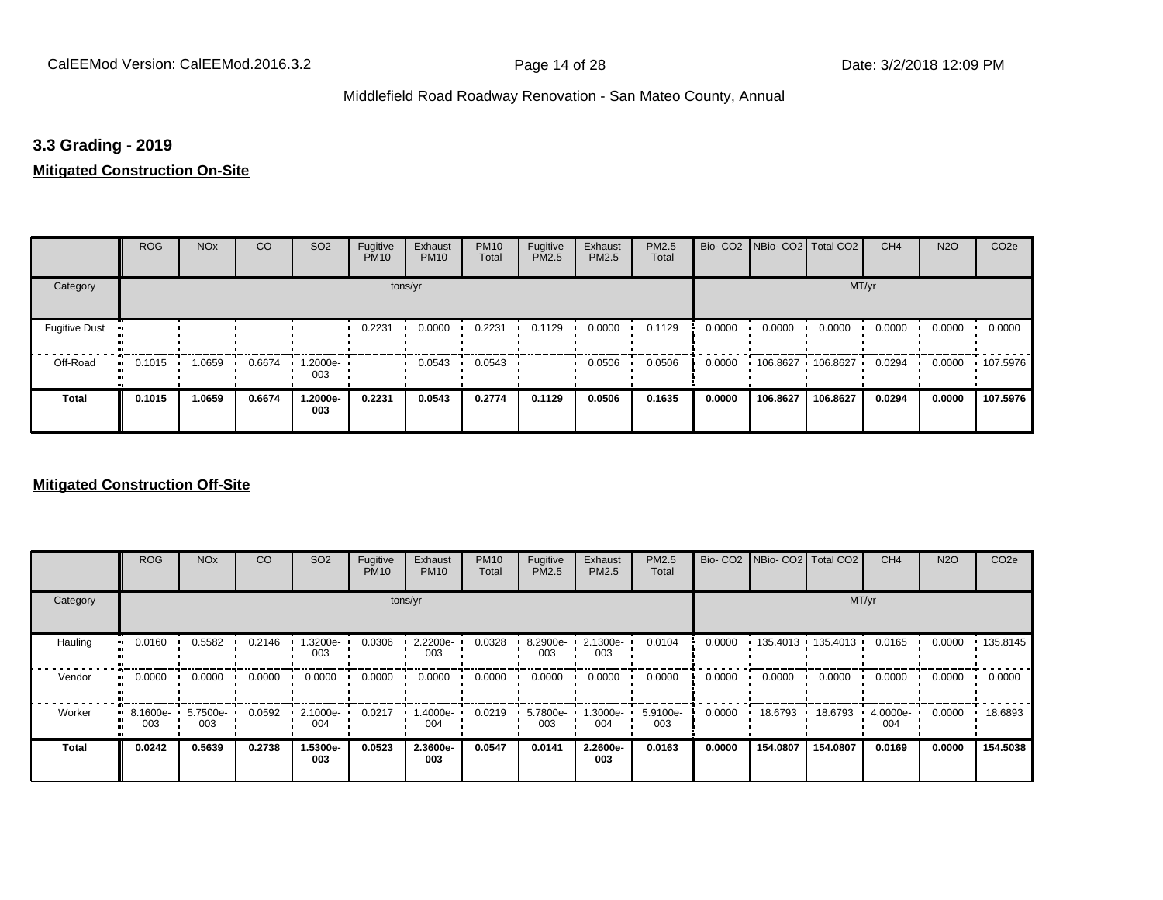### **3.3 Grading - 2019**

### **Mitigated Construction On-Site**

|                      | <b>ROG</b>   | <b>NO<sub>x</sub></b> | CO     | SO <sub>2</sub> | Fugitive<br><b>PM10</b> | Exhaust<br><b>PM10</b> | <b>PM10</b><br>Total | Fugitive<br>PM2.5 | Exhaust<br>PM2.5 | PM2.5<br>Total |        | Bio- CO2 NBio- CO2 Total CO2 |          | CH <sub>4</sub> | <b>N2O</b> | CO <sub>2e</sub> |
|----------------------|--------------|-----------------------|--------|-----------------|-------------------------|------------------------|----------------------|-------------------|------------------|----------------|--------|------------------------------|----------|-----------------|------------|------------------|
| Category             |              |                       |        |                 | tons/yr                 |                        |                      |                   |                  |                |        |                              | MT/yr    |                 |            |                  |
| <b>Fugitive Dust</b> |              |                       |        |                 | 0.2231                  | 0.0000                 | 0.2231               | 0.1129            | 0.0000           | 0.1129         | 0.0000 | 0.0000                       | 0.0000   | 0.0000          | 0.0000     | 0.0000           |
| Off-Road             | 0.1015<br>ш. | 1.0659                | 0.6674 | 1.2000e-<br>003 |                         | 0.0543                 | 0.0543               |                   | 0.0506           | 0.0506         | 0.0000 | 106.8627                     | 106.8627 | 0.0294          | 0.0000     | $+107.5976$      |
| Total                | 0.1015       | 1.0659                | 0.6674 | 1.2000e-<br>003 | 0.2231                  | 0.0543                 | 0.2774               | 0.1129            | 0.0506           | 0.1635         | 0.0000 | 106.8627                     | 106.8627 | 0.0294          | 0.0000     | 107.5976         |

### **Mitigated Construction Off-Site**

|              | <b>ROG</b>              | <b>NO<sub>x</sub></b> | CO     | SO <sub>2</sub> | Fugitive<br><b>PM10</b> | Exhaust<br><b>PM10</b> | <b>PM10</b><br>Total | Fugitive<br><b>PM2.5</b> | Exhaust<br>PM2.5 | PM2.5<br>Total  |        |          | Bio- CO2   NBio- CO2   Total CO2 | CH <sub>4</sub> | <b>N2O</b> | CO <sub>2e</sub> |
|--------------|-------------------------|-----------------------|--------|-----------------|-------------------------|------------------------|----------------------|--------------------------|------------------|-----------------|--------|----------|----------------------------------|-----------------|------------|------------------|
| Category     |                         |                       |        |                 |                         | tons/yr                |                      |                          |                  |                 |        |          | MT/yr                            |                 |            |                  |
| Hauling<br>œ | 0.0160                  | 0.5582                | 0.2146 | .3200e-<br>003  | 0.0306                  | 2.2200e-<br>003        | 0.0328               | 8.2900e-<br>003          | 2.1300e-<br>003  | 0.0104          | 0.0000 |          | $135.4013$ 135.4013              | 0.0165          | 0.0000     | .135.8145        |
| Vendor<br>œ  | 0.0000                  | 0.0000                | 0.0000 | 0.0000          | 0.0000                  | 0.0000                 | 0.0000               | 0.0000                   | 0.0000           | 0.0000          | 0.0000 | 0.0000   | 0.0000                           | 0.0000          | 0.0000     | 0.0000           |
| Worker       | $\cdot$ 8.1600e-<br>003 | 5.7500e-<br>003       | 0.0592 | 2.1000e-<br>004 | 0.0217                  | -.4000e<br>004         | 0.0219               | 5.7800e-<br>003          | 1.3000e-<br>004  | 5.9100e-<br>003 | 0.0000 | 18.6793  | 18.6793                          | 4.0000e-<br>004 | 0.0000     | 18.6893          |
| <b>Total</b> | 0.0242                  | 0.5639                | 0.2738 | 1.5300e-<br>003 | 0.0523                  | 2.3600e-<br>003        | 0.0547               | 0.0141                   | 2.2600e-<br>003  | 0.0163          | 0.0000 | 154.0807 | 154.0807                         | 0.0169          | 0.0000     | 154.5038         |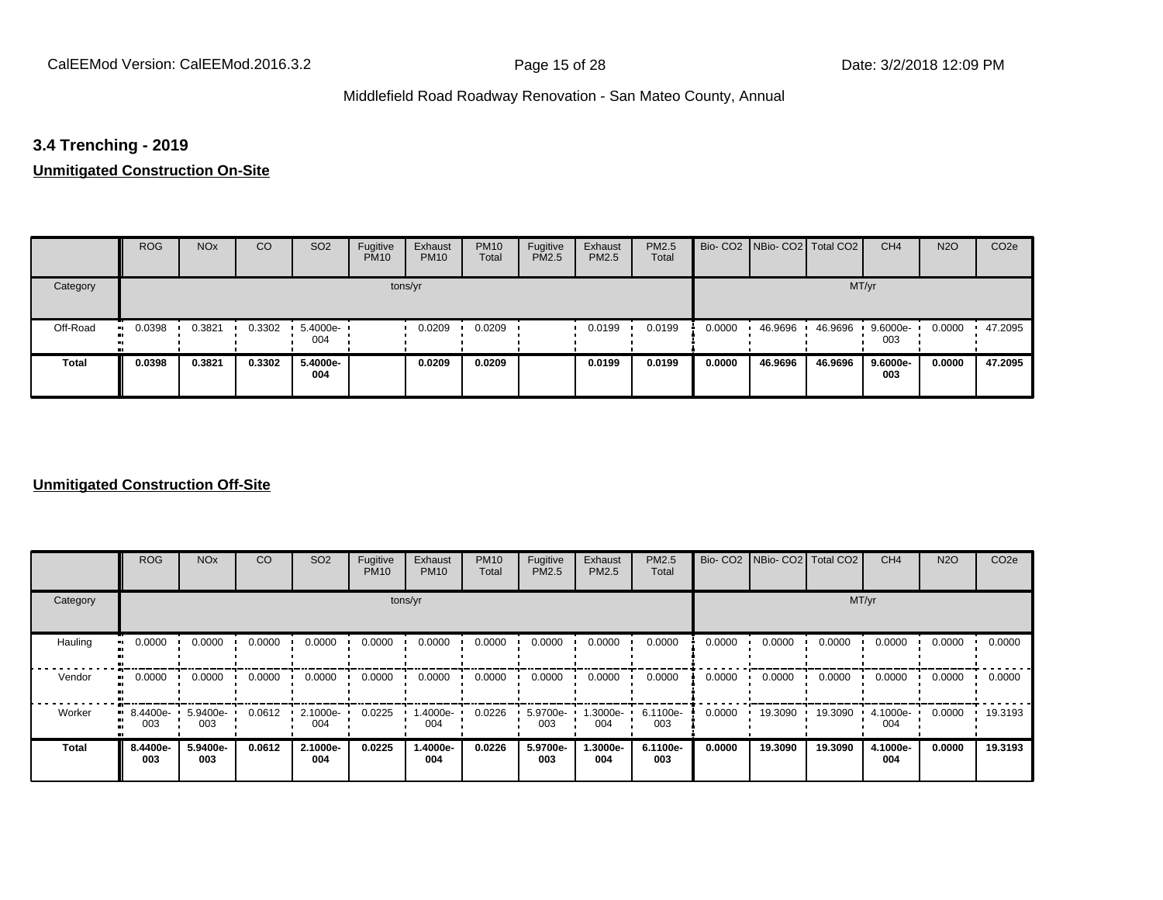# **3.4 Trenching - 2019**

# **Unmitigated Construction On-Site**

|          | <b>ROG</b> | <b>NO<sub>x</sub></b> | CO     | SO <sub>2</sub>    | Fugitive<br><b>PM10</b> | Exhaust<br><b>PM10</b> | <b>PM10</b><br>Total | Fugitive<br><b>PM2.5</b> | Exhaust<br>PM2.5 | PM2.5<br>Total |        | Bio- CO2 NBio- CO2 Total CO2 |         | CH <sub>4</sub> | <b>N2O</b> | CO <sub>2e</sub> |
|----------|------------|-----------------------|--------|--------------------|-------------------------|------------------------|----------------------|--------------------------|------------------|----------------|--------|------------------------------|---------|-----------------|------------|------------------|
| Category |            |                       |        |                    |                         | tons/yr                |                      |                          |                  |                |        |                              | MT/yr   |                 |            |                  |
| Off-Road | 0.0398     | 0.3821                | 0.3302 | $5.4000e -$<br>004 |                         | 0.0209                 | 0.0209               |                          | 0.0199           | 0.0199         | 0.0000 | 46.9696                      | 46.9696 | 9.6000e-<br>003 | 0.0000     | 47.2095          |
| Total    | 0.0398     | 0.3821                | 0.3302 | 5.4000e-<br>004    |                         | 0.0209                 | 0.0209               |                          | 0.0199           | 0.0199         | 0.0000 | 46.9696                      | 46.9696 | 9.6000e-<br>003 | 0.0000     | 47.2095          |

### **Unmitigated Construction Off-Site**

|          | <b>ROG</b>      | <b>NO<sub>x</sub></b> | CO     | SO <sub>2</sub> | Fugitive<br><b>PM10</b> | Exhaust<br><b>PM10</b> | <b>PM10</b><br>Total | Fugitive<br><b>PM2.5</b> | Exhaust<br>PM2.5 | <b>PM2.5</b><br>Total |        | Bio- CO2   NBio- CO2   Total CO2 |         | CH <sub>4</sub> | <b>N2O</b> | CO <sub>2e</sub> |
|----------|-----------------|-----------------------|--------|-----------------|-------------------------|------------------------|----------------------|--------------------------|------------------|-----------------------|--------|----------------------------------|---------|-----------------|------------|------------------|
| Category |                 |                       |        |                 |                         | tons/yr                |                      |                          |                  |                       |        |                                  |         | MT/yr           |            |                  |
| Hauling  | 0.0000          | 0.0000                | 0.0000 | 0.0000          | 0.0000                  | 0.0000                 | 0.0000               | 0.0000                   | 0.0000           | 0.0000                | 0.0000 | 0.0000                           | 0.0000  | 0.0000          | 0.0000     | 0.0000           |
| Vendor   | 0.0000          | 0.0000                | 0.0000 | 0.0000          | 0.0000                  | 0.0000                 | 0.0000               | 0.0000                   | 0.0000           | 0.0000                | 0.0000 | 0.0000                           | 0.0000  | 0.0000          | 0.0000     | 0.0000           |
| Worker   | 8.4400e-<br>003 | 5.9400e-<br>003       | 0.0612 | 2.1000e-<br>004 | 0.0225                  | 1.4000e-<br>004        | 0.0226               | 5.9700e-<br>003          | 1.3000e-<br>004  | 6.1100e-<br>003       | 0.0000 | 19.3090                          | 19.3090 | 4.1000e-<br>004 | 0.0000     | 19.3193          |
| Total    | 8.4400e-<br>003 | 5.9400e-<br>003       | 0.0612 | 2.1000e-<br>004 | 0.0225                  | 1.4000e-<br>004        | 0.0226               | 5.9700e-<br>003          | 1.3000e-<br>004  | 6.1100e-<br>003       | 0.0000 | 19.3090                          | 19,3090 | 4.1000e-<br>004 | 0.0000     | 19.3193          |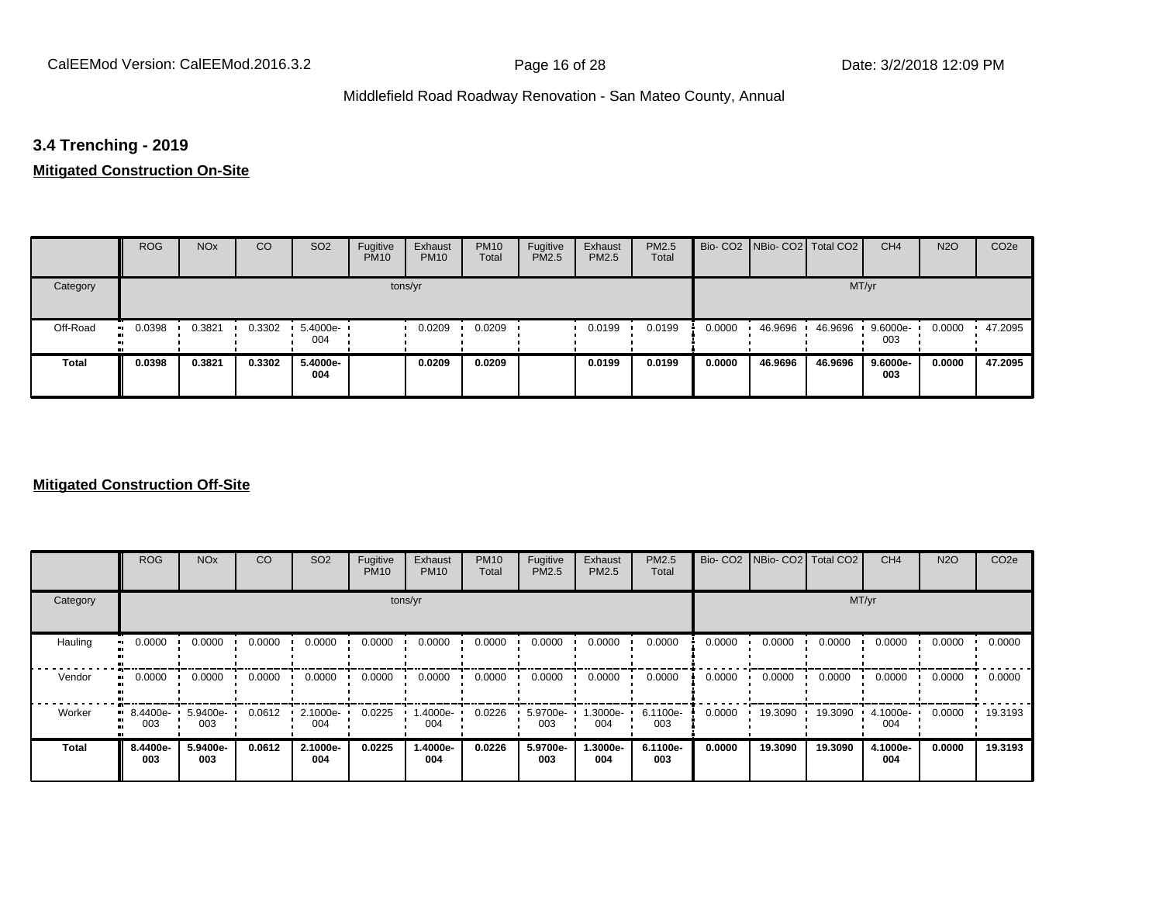# **3.4 Trenching - 2019**

# **Mitigated Construction On-Site**

|              | <b>ROG</b>          | <b>NO<sub>x</sub></b> | CO     | SO <sub>2</sub> | Fugitive<br><b>PM10</b> | Exhaust<br><b>PM10</b> | <b>PM10</b><br>Total | Fugitive<br><b>PM2.5</b> | Exhaust<br>PM2.5 | PM2.5<br>Total |        | Bio- CO2 NBio- CO2   Total CO2 |         | CH <sub>4</sub> | <b>N2O</b> | CO <sub>2e</sub> |
|--------------|---------------------|-----------------------|--------|-----------------|-------------------------|------------------------|----------------------|--------------------------|------------------|----------------|--------|--------------------------------|---------|-----------------|------------|------------------|
| Category     |                     |                       |        |                 |                         | tons/yr                |                      |                          |                  |                |        |                                | MT/yr   |                 |            |                  |
| Off-Road     | 0.0398<br>$\bullet$ | 0.3821                | 0.3302 | 5.4000e-<br>004 |                         | 0.0209                 | 0.0209               |                          | 0.0199           | 0.0199         | 0.0000 | 46.9696                        | 46.9696 | 9.6000e-<br>003 | 0.0000     | 47.2095          |
| <b>Total</b> | 0.0398              | 0.3821                | 0.3302 | 5.4000e-<br>004 |                         | 0.0209                 | 0.0209               |                          | 0.0199           | 0.0199         | 0.0000 | 46.9696                        | 46.9696 | 9.6000e-<br>003 | 0.0000     | 47.2095          |

### **Mitigated Construction Off-Site**

|          | <b>ROG</b>      | <b>NO<sub>x</sub></b> | CO     | SO <sub>2</sub> | Fugitive<br><b>PM10</b> | Exhaust<br><b>PM10</b> | <b>PM10</b><br>Total | Fugitive<br><b>PM2.5</b> | Exhaust<br>PM2.5 | PM2.5<br>Total  |        | Bio- CO2 NBio- CO2 Total CO2 |         | CH <sub>4</sub> | <b>N2O</b> | CO <sub>2e</sub> |
|----------|-----------------|-----------------------|--------|-----------------|-------------------------|------------------------|----------------------|--------------------------|------------------|-----------------|--------|------------------------------|---------|-----------------|------------|------------------|
| Category |                 |                       |        |                 |                         | tons/yr                |                      |                          |                  |                 |        |                              | MT/yr   |                 |            |                  |
| Hauling  | 0.0000          | 0.0000                | 0.0000 | 0.0000          | 0.0000                  | 0.0000                 | 0.0000               | 0.0000                   | 0.0000           | 0.0000          | 0.0000 | 0.0000                       | 0.0000  | 0.0000          | 0.0000     | 0.0000           |
| Vendor   | 0.0000          | 0.0000                | 0.0000 | 0.0000          | 0.0000                  | 0.0000                 | 0.0000               | 0.0000                   | 0.0000           | 0.0000          | 0.0000 | 0.0000                       | 0.0000  | 0.0000          | 0.0000     | 0.0000           |
| Worker   | 8.4400e-<br>003 | 5.9400e-<br>003       | 0.0612 | 2.1000e-<br>004 | 0.0225                  | .4000e-<br>004         | 0.0226               | 5.9700e-<br>003          | --3000e.<br>004  | 6.1100e-<br>003 | 0.0000 | 19.3090                      | 19.3090 | 4.1000e-<br>004 | 0.0000     | 19.3193          |
| Total    | 8.4400e-<br>003 | 5.9400e-<br>003       | 0.0612 | 2.1000e-<br>004 | 0.0225                  | 1.4000e-<br>004        | 0.0226               | 5.9700e-<br>003          | -.3000e<br>004   | 6.1100e-<br>003 | 0.0000 | 19,3090                      | 19.3090 | 4.1000e-<br>004 | 0.0000     | 19.3193          |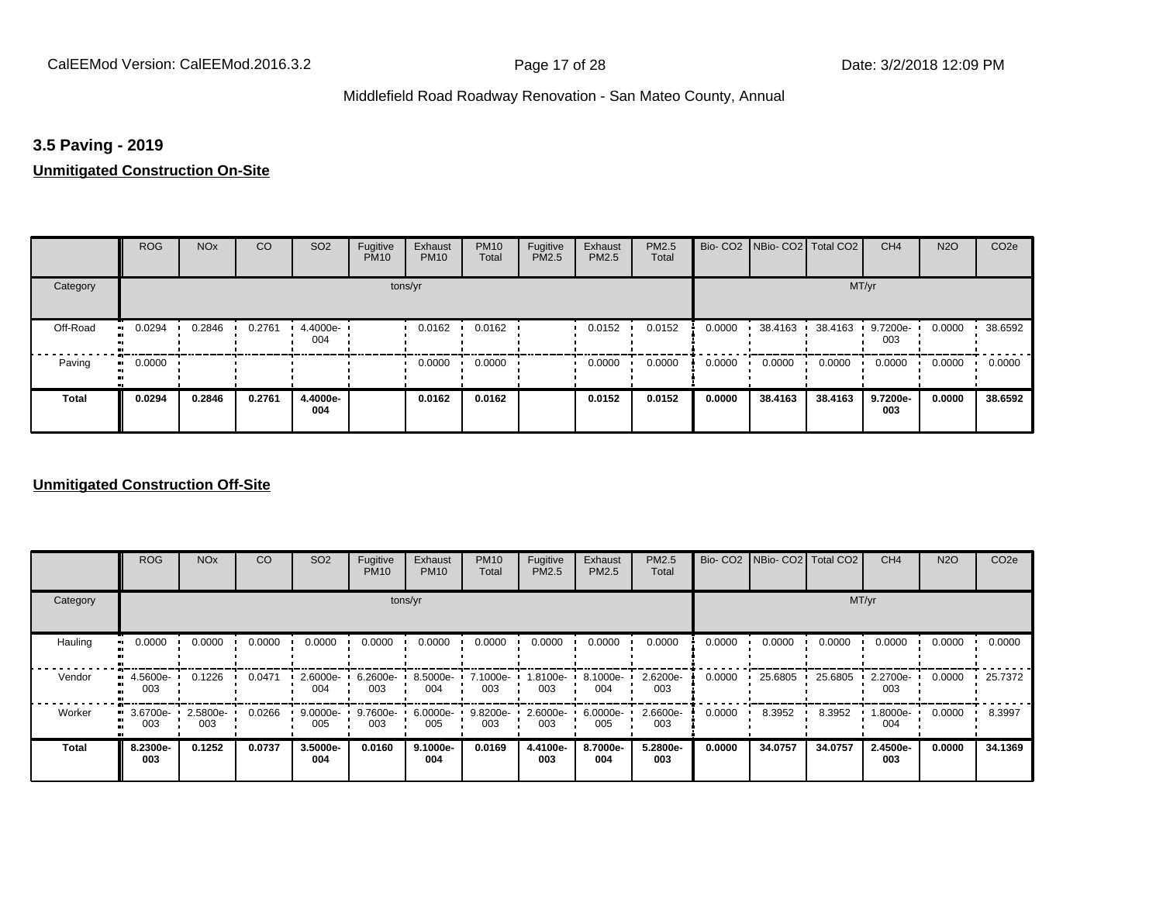### **3.5 Paving - 2019**

### **Unmitigated Construction On-Site**

|              | <b>ROG</b>                 | <b>NO<sub>x</sub></b> | CO     | SO <sub>2</sub> | Fugitive<br><b>PM10</b> | Exhaust<br><b>PM10</b> | <b>PM10</b><br>Total | Fugitive<br><b>PM2.5</b> | Exhaust<br>PM2.5 | PM2.5<br>Total |        | Bio- CO2   NBio- CO2   Total CO2 |         | CH <sub>4</sub> | <b>N2O</b> | CO <sub>2e</sub> |
|--------------|----------------------------|-----------------------|--------|-----------------|-------------------------|------------------------|----------------------|--------------------------|------------------|----------------|--------|----------------------------------|---------|-----------------|------------|------------------|
| Category     |                            |                       |        |                 | tons/yr                 |                        |                      |                          |                  |                |        |                                  | MT/yr   |                 |            |                  |
| Off-Road     | 0.0294<br>$\bullet$        | 0.2846                | 0.2761 | 4.4000e-<br>004 |                         | 0.0162                 | 0.0162               |                          | 0.0152           | 0.0152         | 0.0000 | 38.4163                          | 38.4163 | 9.7200e-<br>003 | 0.0000     | 38.6592          |
| Paving       | 0.0000<br>$\bullet\bullet$ |                       |        |                 |                         | 0.0000                 | 0.0000               |                          | 0.0000           | 0.0000         | 0.0000 | 0.0000                           | 0.0000  | 0.0000          | 0.0000     | 0.0000           |
| <b>Total</b> | 0.0294                     | 0.2846                | 0.2761 | 4.4000e-<br>004 |                         | 0.0162                 | 0.0162               |                          | 0.0152           | 0.0152         | 0.0000 | 38.4163                          | 38.4163 | 9.7200e-<br>003 | 0.0000     | 38.6592          |

### **Unmitigated Construction Off-Site**

|          | <b>ROG</b>      | <b>NO<sub>x</sub></b> | CO     | SO <sub>2</sub> | Fugitive<br><b>PM10</b> | Exhaust<br><b>PM10</b> | <b>PM10</b><br>Total | Fugitive<br><b>PM2.5</b> | Exhaust<br>PM2.5 | <b>PM2.5</b><br>Total |        | Bio- CO2 NBio- CO2 Total CO2 |         | CH <sub>4</sub> | <b>N2O</b> | CO <sub>2e</sub> |
|----------|-----------------|-----------------------|--------|-----------------|-------------------------|------------------------|----------------------|--------------------------|------------------|-----------------------|--------|------------------------------|---------|-----------------|------------|------------------|
| Category |                 |                       |        |                 |                         | tons/yr                |                      |                          |                  |                       |        |                              |         | MT/yr           |            |                  |
| Hauling  | 0.0000          | 0.0000                | 0.0000 | 0.0000          | 0.0000                  | 0.0000                 | 0.0000               | 0.0000                   | 0.0000           | 0.0000                | 0.0000 | 0.0000                       | 0.0000  | 0.0000          | 0.0000     | 0.0000           |
| Vendor   | 4.5600e-<br>003 | 0.1226                | 0.0471 | 2.6000e-<br>004 | 6.2600e-<br>003         | 8.5000e-<br>004        | 7.1000e-<br>003      | 1.8100e-<br>003          | 8.1000e-<br>004  | 2.6200e-<br>003       | 0.0000 | 25.6805                      | 25.6805 | 2.2700e-<br>003 | 0.0000     | 25.7372          |
| Worker   | 3.6700e-<br>003 | 2.5800e-<br>003       | 0.0266 | 9.0000e-<br>005 | 9.7600e-<br>003         | 6.0000e-<br>005        | 9.8200e-<br>003      | 2.6000e-<br>003          | 6.0000e-<br>005  | 2.6600e-<br>003       | 0.0000 | 8.3952                       | 8.3952  | 1.8000e-<br>004 | 0.0000     | 8.3997           |
| Total    | 8.2300e-<br>003 | 0.1252                | 0.0737 | 3.5000e-<br>004 | 0.0160                  | $9.1000e -$<br>004     | 0.0169               | 4.4100e-<br>003          | 8.7000e-<br>004  | 5.2800e-<br>003       | 0.0000 | 34.0757                      | 34.0757 | 2.4500e-<br>003 | 0.0000     | 34.1369          |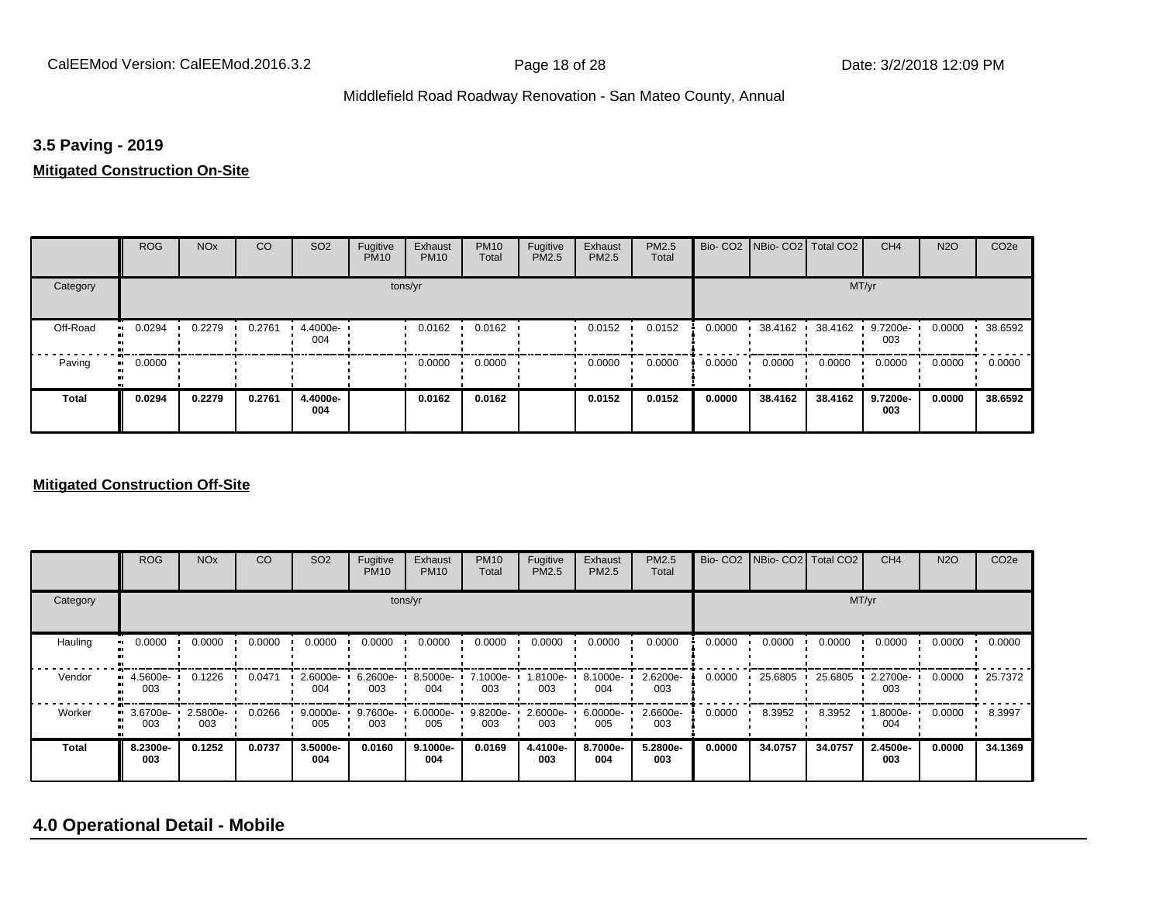### **3.5 Paving - 2019**

### **Mitigated Construction On-Site**

|                       | <b>ROG</b>   | <b>NO<sub>x</sub></b> | CO     | SO <sub>2</sub> | Fugitive<br><b>PM10</b> | Exhaust<br><b>PM10</b> | <b>PM10</b><br>Total | Fugitive<br>PM2.5 | Exhaust<br>PM2.5 | PM2.5<br>Total |        | Bio- CO2 NBio- CO2 Total CO2 |         | CH <sub>4</sub> | <b>N2O</b> | CO <sub>2e</sub> |
|-----------------------|--------------|-----------------------|--------|-----------------|-------------------------|------------------------|----------------------|-------------------|------------------|----------------|--------|------------------------------|---------|-----------------|------------|------------------|
| Category              |              |                       |        |                 |                         | tons/yr                |                      |                   |                  |                |        |                              | MT/yr   |                 |            |                  |
| Off-Road<br>$\bullet$ | 0.0294       | 0.2279                | 0.2761 | 4.4000e-<br>004 |                         | 0.0162                 | 0.0162               |                   | 0.0152           | 0.0152         | 0.0000 | 38.4162                      | 38.4162 | 9.7200e-<br>003 | 0.0000     | 38.6592          |
| Paving                | 0.0000<br>ш. |                       |        |                 |                         | 0.0000                 | 0.0000               |                   | 0.0000           | 0.0000         | 0.0000 | 0.0000                       | 0.0000  | 0.0000          | 0.0000     | 0.0000           |
| Total                 | 0.0294       | 0.2279                | 0.2761 | 4.4000e-<br>004 |                         | 0.0162                 | 0.0162               |                   | 0.0152           | 0.0152         | 0.0000 | 38.4162                      | 38.4162 | 9.7200e-<br>003 | 0.0000     | 38.6592          |

### **Mitigated Construction Off-Site**

|          | <b>ROG</b>      | <b>NO<sub>x</sub></b> | CO     | SO <sub>2</sub> | Fugitive<br><b>PM10</b> | Exhaust<br><b>PM10</b> | <b>PM10</b><br>Total | Fugitive<br><b>PM2.5</b> | Exhaust<br>PM2.5 | <b>PM2.5</b><br>Total |        | Bio- CO2   NBio- CO2   Total CO2 |         | CH <sub>4</sub> | <b>N2O</b> | CO <sub>2e</sub> |
|----------|-----------------|-----------------------|--------|-----------------|-------------------------|------------------------|----------------------|--------------------------|------------------|-----------------------|--------|----------------------------------|---------|-----------------|------------|------------------|
| Category |                 |                       |        |                 |                         | tons/yr                |                      |                          |                  |                       |        |                                  |         | MT/yr           |            |                  |
| Hauling  | 0.0000          | 0.0000                | 0.0000 | 0.0000          | 0.0000                  | 0.0000                 | 0.0000               | 0.0000                   | 0.0000           | 0.0000                | 0.0000 | 0.0000                           | 0.0000  | 0.0000          | 0.0000     | 0.0000           |
| Vendor   | 4.5600e-<br>003 | 0.1226                | 0.0471 | 2.6000e-<br>004 | 6.2600e-<br>003         | 8.5000e-<br>004        | 7.1000e-<br>003      | 1.8100e-<br>003          | 8.1000e-<br>004  | 2.6200e-<br>003       | 0.0000 | 25.6805                          | 25.6805 | 2.2700e-<br>003 | 0.0000     | 25.7372          |
| Worker   | 3.6700e-<br>003 | 2.5800e-<br>003       | 0.0266 | 9.0000e-<br>005 | 9.7600e-<br>003         | 6.0000e-<br>005        | 9.8200e-<br>003      | 2.6000e-<br>003          | 6.0000e-<br>005  | 2.6600e-<br>003       | 0.0000 | 8.3952                           | 8.3952  | 1.8000e-<br>004 | 0.0000     | 8.3997           |
| Total    | 8.2300e-<br>003 | 0.1252                | 0.0737 | 3.5000e-<br>004 | 0.0160                  | $9.1000e -$<br>004     | 0.0169               | 4.4100e-<br>003          | 8.7000e-<br>004  | 5.2800e-<br>003       | 0.0000 | 34.0757                          | 34.0757 | 2.4500e-<br>003 | 0.0000     | 34.1369          |

# **4.0 Operational Detail - Mobile**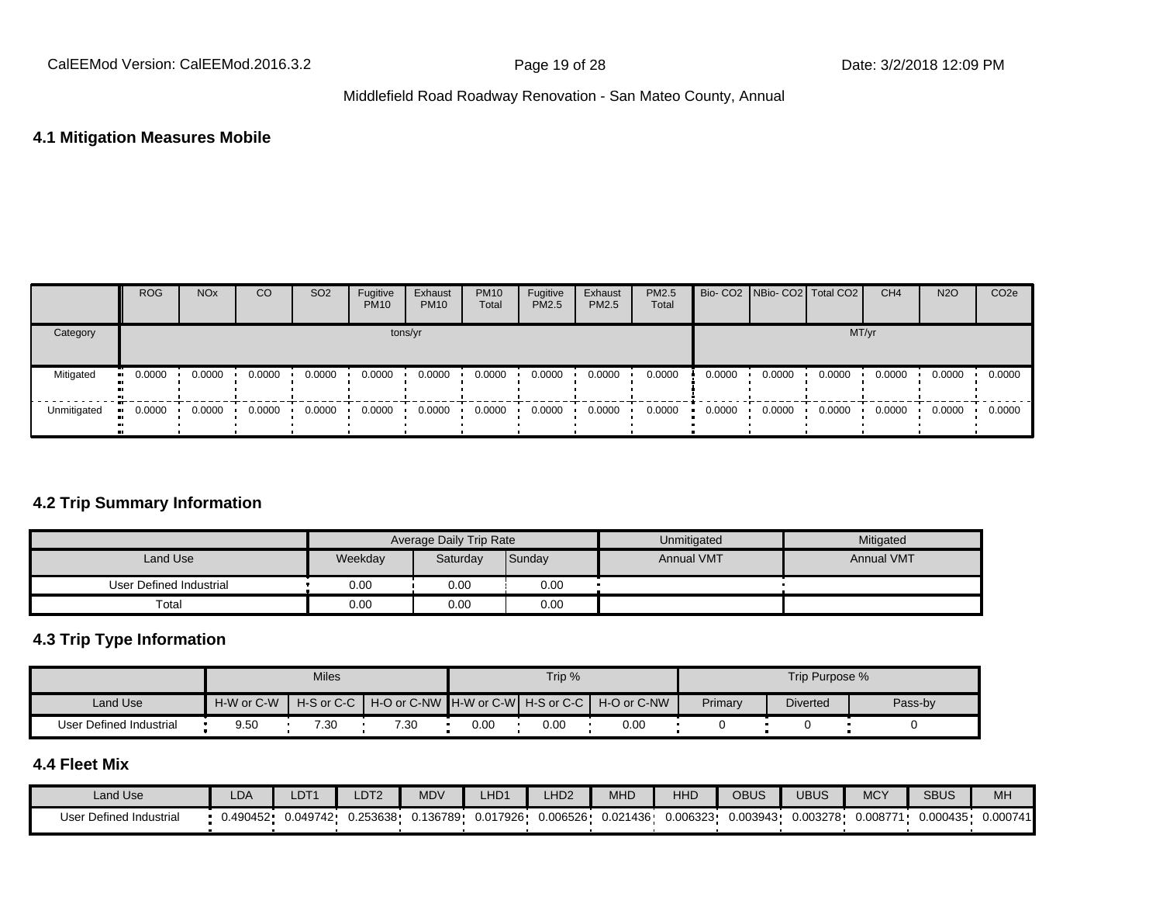### **4.1 Mitigation Measures Mobile**

|             | <b>ROG</b>            | <b>NO<sub>x</sub></b> | CO     | SO <sub>2</sub> | Fugitive<br><b>PM10</b> | Exhaust<br><b>PM10</b> | <b>PM10</b><br>Total | Fugitive<br>PM2.5 | Exhaust<br>PM2.5 | <b>PM2.5</b><br>Total |        |        | Bio- CO2 NBio- CO2 Total CO2 | CH <sub>4</sub> | <b>N2O</b> | CO <sub>2</sub> e |
|-------------|-----------------------|-----------------------|--------|-----------------|-------------------------|------------------------|----------------------|-------------------|------------------|-----------------------|--------|--------|------------------------------|-----------------|------------|-------------------|
| Category    |                       |                       |        |                 | tons/yr                 |                        |                      |                   |                  |                       |        |        | MT/yr                        |                 |            |                   |
| Mitigated   | $\blacksquare$ 0.0000 | 0.0000                | 0.0000 | 0.0000          | 0.0000                  | 0.0000                 | 0.0000               | 0.0000            | 0.0000           | 0.0000                | 0.0000 | 0.0000 | 0.0000                       | 0.0000          | 0.0000     | 0.0000            |
| Unmitigated | $\blacksquare$ 0.0000 | 0.0000                | 0.0000 | 0.0000          | 0.0000                  | 0.0000                 | 0.0000               | 0.0000            | 0.0000           | 0.0000                | 0.0000 | 0.0000 | 0.0000                       | 0.0000          | 0.0000     | 0.0000            |

### **4.2 Trip Summary Information**

|                         |         | <b>Average Daily Trip Rate</b> |        | Unmitigated       | Mitigated         |
|-------------------------|---------|--------------------------------|--------|-------------------|-------------------|
| Land Use                | Weekday | Saturday                       | Sunday | <b>Annual VMT</b> | <b>Annual VMT</b> |
| User Defined Industrial | 0.00    | 0.00                           | 0.00   |                   |                   |
| Total                   | 0.00    | 0.00                           | 0.00   |                   |                   |

# **4.3 Trip Type Information**

|                         |            | <b>Miles</b> |                                                            |      | Trip % |      |         | Trip Purpose %  |         |
|-------------------------|------------|--------------|------------------------------------------------------------|------|--------|------|---------|-----------------|---------|
| Land Use                | H-W or C-W |              | H-S or C-C H + O or C-NW H-W or C-W H-S or C-C H-O or C-NW |      |        |      | Primary | <b>Diverted</b> | Pass-by |
| User Defined Industrial | 9.50       | 7.30         | 7.30                                                       | 0.00 | 0.00   | 0.00 |         |                 |         |

# **4.4 Fleet Mix**

| Land Use                | LDA      | $\_DT^{\prime}$ | DT <sub>2</sub> | <b>MDV</b> | LHD <sub>1</sub> | LHD <sub>2</sub> | MHD      | HHD      | <b>OBUS</b> | UBUS     | <b>MCY</b> | <b>SBUS</b> | MH       |
|-------------------------|----------|-----------------|-----------------|------------|------------------|------------------|----------|----------|-------------|----------|------------|-------------|----------|
| User Defined Industrial | 0.490452 | 0.049742        | 0.253638        | J.136789   | 0.017926         | 0.006526         | 0.021436 | 0.006323 | 0.003943    | 0.003278 | 0.008771   | 0.000435    | 0.000741 |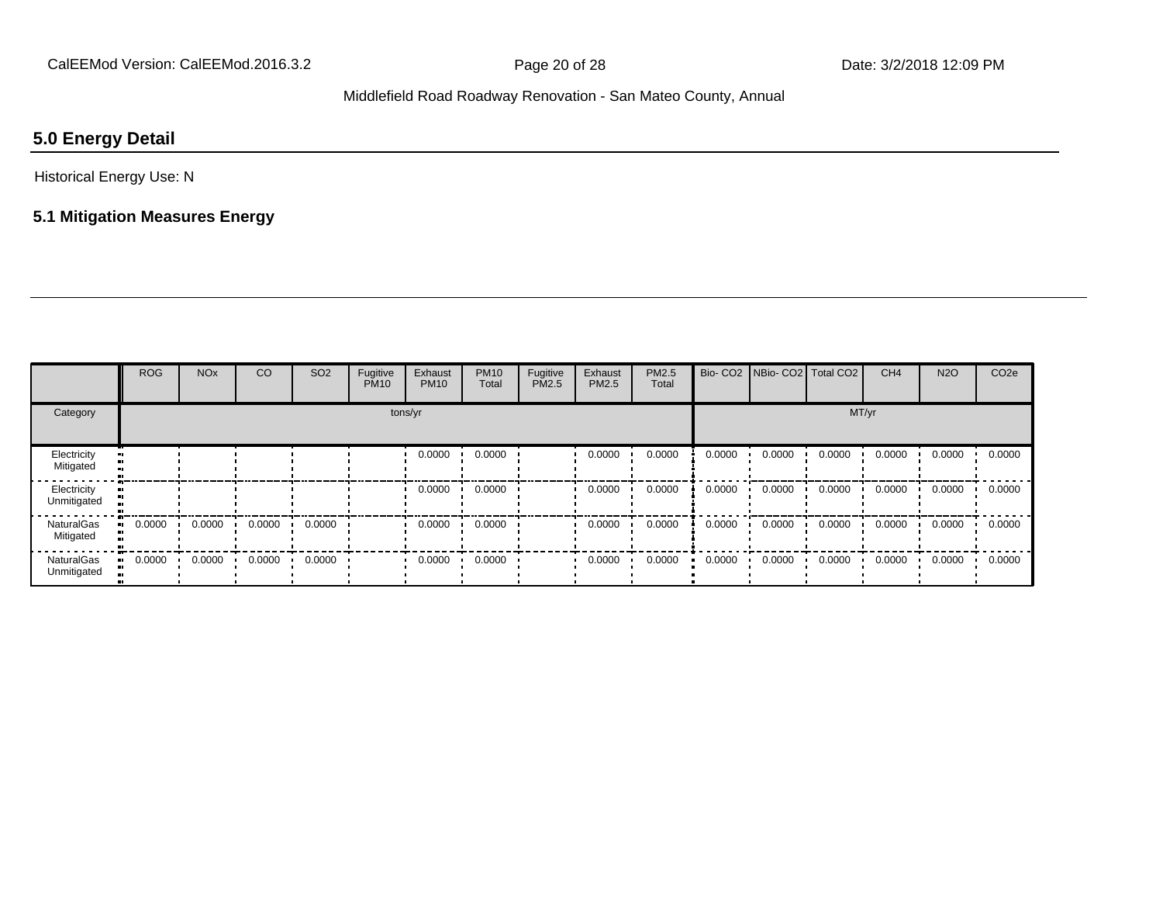# **5.0 Energy Detail**

Historical Energy Use: N

# **5.1 Mitigation Measures Energy**

|                                  | <b>ROG</b> | <b>NO<sub>x</sub></b> | CO     | SO <sub>2</sub> | Fugitive<br><b>PM10</b> | Exhaust<br><b>PM10</b> | <b>PM10</b><br>Total | Fugitive<br>PM2.5 | Exhaust<br>PM2.5 | PM2.5<br>Total | Bio-CO <sub>2</sub> | NBio- CO2   Total CO2 |        | CH <sub>4</sub> | <b>N2O</b> | CO <sub>2e</sub> |
|----------------------------------|------------|-----------------------|--------|-----------------|-------------------------|------------------------|----------------------|-------------------|------------------|----------------|---------------------|-----------------------|--------|-----------------|------------|------------------|
| Category                         |            |                       |        |                 |                         | tons/yr                |                      |                   |                  |                |                     |                       | MT/yr  |                 |            |                  |
| Electricity<br>Mitigated         |            |                       |        |                 |                         | 0.0000                 | 0.0000               |                   | 0.0000           | 0.0000         | 0.0000              | 0.0000                | 0.0000 | 0.0000          | 0.0000     | 0.0000           |
| Electricity<br>Unmitigated       |            |                       |        |                 |                         | 0.0000                 | 0.0000               |                   | 0.0000           | 0.0000         | 0.0000              | 0.0000                | 0.0000 | 0.0000          | 0.0000     | 0.0000           |
| <b>NaturalGas</b><br>Mitigated   | 0.0000     | 0.0000                | 0.0000 | 0.0000          |                         | 0.0000                 | 0.0000               |                   | 0.0000           | 0.0000         | 0.0000              | 0.0000                | 0.0000 | 0.0000          | 0.0000     | 0.0000           |
| <b>NaturalGas</b><br>Unmitigated | 0.0000     | 0.0000                | 0.0000 | 0.0000          |                         | 0.0000                 | 0.0000               |                   | 0.0000           | 0.0000         | 0.0000              | 0.0000                | 0.0000 | 0.0000          | 0.0000     | 0.0000           |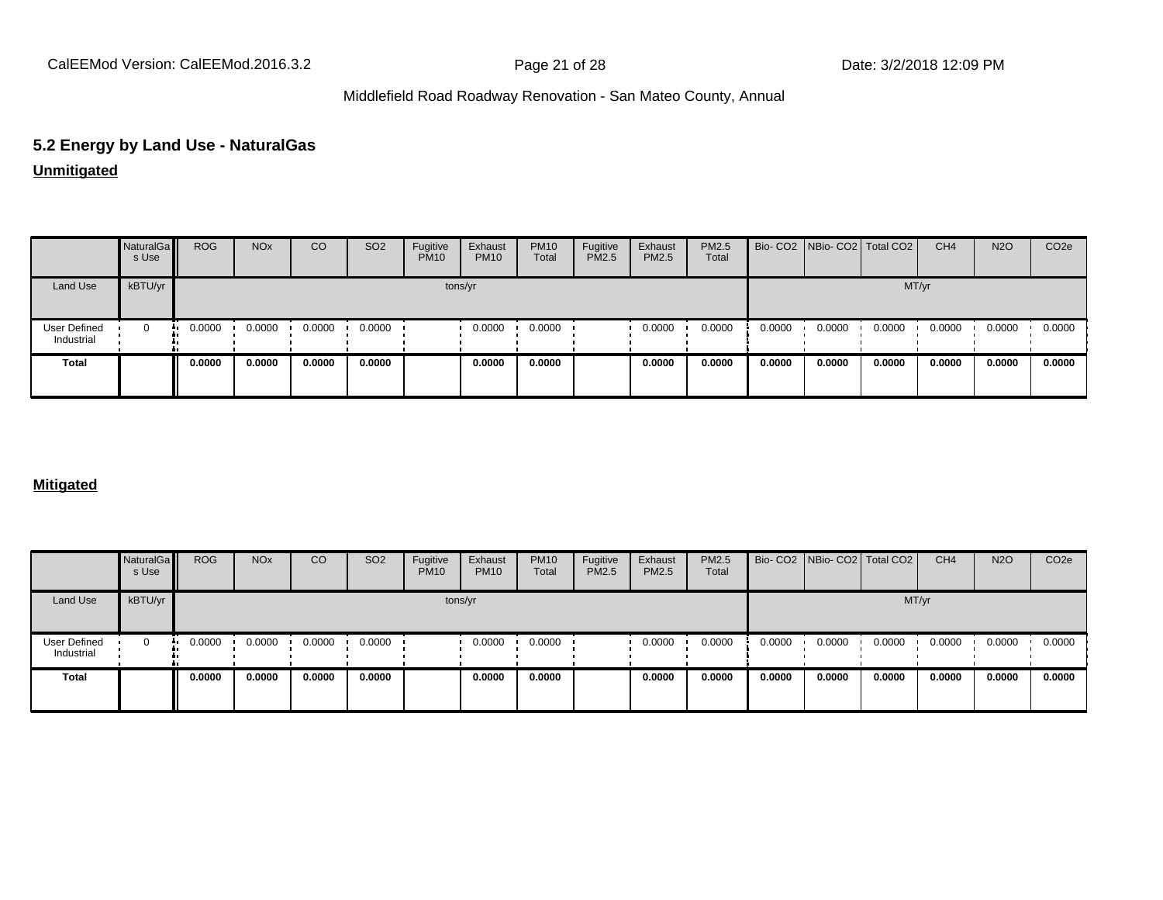# **5.2 Energy by Land Use - NaturalGas**

### **Unmitigated**

|                                   | NaturalGa<br>s Use | <b>ROG</b> | <b>NO<sub>x</sub></b> | CO     | SO <sub>2</sub> | Fugitive<br><b>PM10</b> | Exhaust<br><b>PM10</b> | <b>PM10</b><br>Total | Fugitive<br>PM2.5 | Exhaust<br>PM2.5 | PM2.5<br>Total |        | Bio- CO2   NBio- CO2   Total CO2 |        | CH <sub>4</sub> | <b>N2O</b> | CO <sub>2e</sub> |
|-----------------------------------|--------------------|------------|-----------------------|--------|-----------------|-------------------------|------------------------|----------------------|-------------------|------------------|----------------|--------|----------------------------------|--------|-----------------|------------|------------------|
| Land Use                          | kBTU/yr            |            |                       |        |                 |                         | tons/yr                |                      |                   |                  |                |        |                                  |        | MT/yr           |            |                  |
| <b>User Defined</b><br>Industrial | 0                  | 0.0000     | 0.0000                | 0.0000 | 0.0000          |                         | 0.0000                 | 0.0000               |                   | 0.0000           | 0.0000         | 0.0000 | 0.0000                           | 0.0000 | 0.0000          | 0.0000     | 0.0000           |
| <b>Total</b>                      |                    | 0.0000     | 0.0000                | 0.0000 | 0.0000          |                         | 0.0000                 | 0.0000               |                   | 0.0000           | 0.0000         | 0.0000 | 0.0000                           | 0.0000 | 0.0000          | 0.0000     | 0.0000           |

### **Mitigated**

|                                   | NaturalGa<br>s Use | <b>ROG</b> | <b>NO<sub>x</sub></b> | CO     | SO <sub>2</sub> | Fugitive<br><b>PM10</b> | Exhaust<br><b>PM10</b> | <b>PM10</b><br>Total | Fugitive<br><b>PM2.5</b> | Exhaust<br><b>PM2.5</b> | PM2.5<br>Total |        | Bio- CO2 NBio- CO2 Total CO2 |        | CH <sub>4</sub> | <b>N2O</b> | CO <sub>2e</sub> |
|-----------------------------------|--------------------|------------|-----------------------|--------|-----------------|-------------------------|------------------------|----------------------|--------------------------|-------------------------|----------------|--------|------------------------------|--------|-----------------|------------|------------------|
| Land Use                          | kBTU/yr            |            |                       |        |                 |                         | tons/yr                |                      |                          |                         |                |        |                              | MT/yr  |                 |            |                  |
| <b>User Defined</b><br>Industrial | $\mathbf 0$<br>    | 0.0000     | 0.0000                | 0.0000 | 0.0000          |                         | 0.0000                 | 0.0000               |                          | 0.0000                  | 0.0000         | 0.0000 | 0.0000                       | 0.0000 | 0.0000          | 0.0000     | 0.0000           |
| Total                             |                    | 0.0000     | 0.0000                | 0.0000 | 0.0000          |                         | 0.0000                 | 0.0000               |                          | 0.0000                  | 0.0000         | 0.0000 | 0.0000                       | 0.0000 | 0.0000          | 0.0000     | 0.0000           |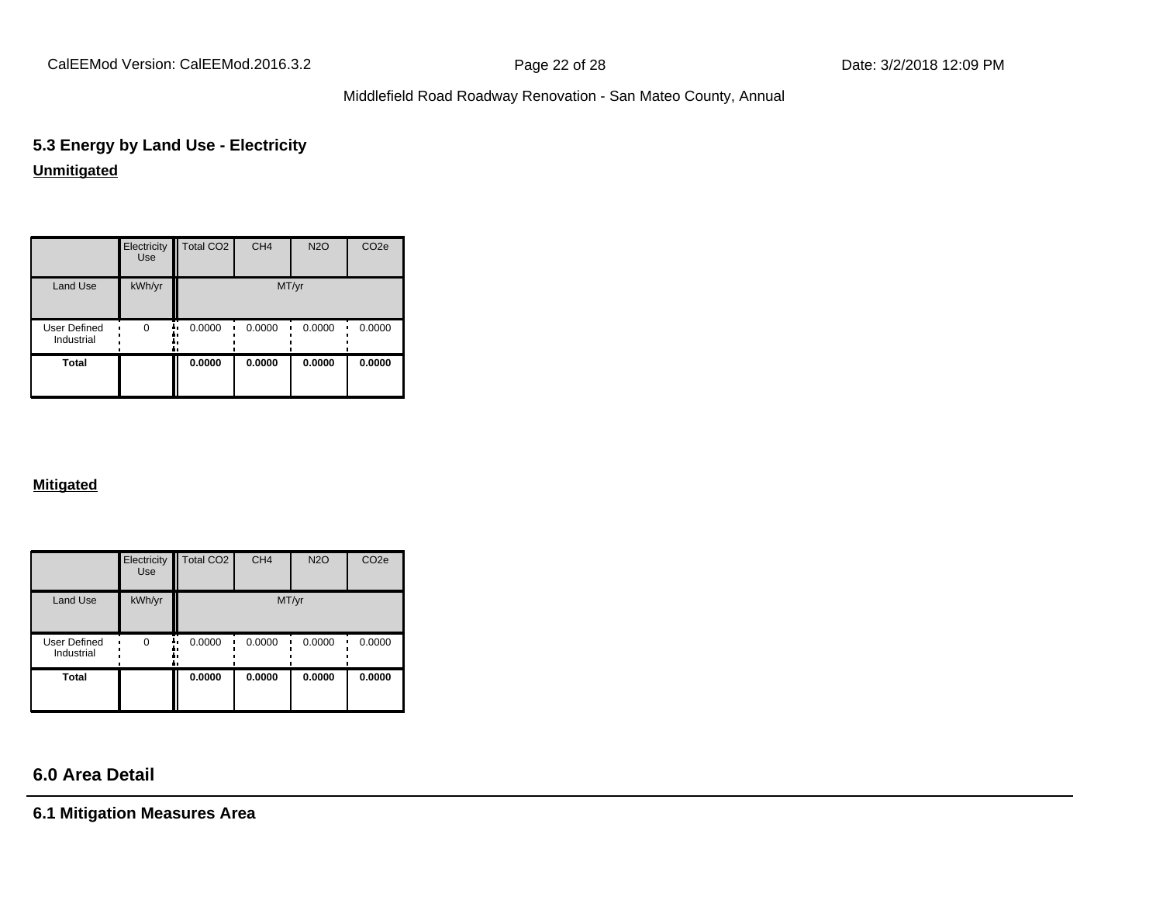CalEEMod Version: CalEEMod.2016.3.2 **Page 22 of 28** Page 22 of 28 Date: 3/2/2018 12:09 PM

### Middlefield Road Roadway Renovation - San Mateo County, Annual

# **5.3 Energy by Land Use - Electricity Unmitigated**

|                                   | Electricity<br>Use | Total CO <sub>2</sub> | CH <sub>4</sub> | <b>N2O</b> | CO <sub>2e</sub> |  |  |  |
|-----------------------------------|--------------------|-----------------------|-----------------|------------|------------------|--|--|--|
| <b>Land Use</b>                   | kWh/yr             | MT/yr                 |                 |            |                  |  |  |  |
| <b>User Defined</b><br>Industrial | $\Omega$           | 0.0000                | 0.0000          | 0.0000     | 0.0000           |  |  |  |
| <b>Total</b>                      |                    | 0.0000                | 0.0000          | 0.0000     | 0.0000           |  |  |  |

### **Mitigated**

|                            | Electricity<br><b>Use</b> | Total CO <sub>2</sub> | CH <sub>4</sub> | <b>N2O</b> | CO <sub>2e</sub> |  |  |
|----------------------------|---------------------------|-----------------------|-----------------|------------|------------------|--|--|
| Land Use                   | kWh/yr                    | MT/yr                 |                 |            |                  |  |  |
| User Defined<br>Industrial | $\Omega$                  | 0.0000<br>ā ı         | 0.0000          | 0.0000     | 0.0000           |  |  |
| <b>Total</b>               |                           | 0.0000                | 0.0000          | 0.0000     | 0.0000           |  |  |

# **6.0 Area Detail**

**6.1 Mitigation Measures Area**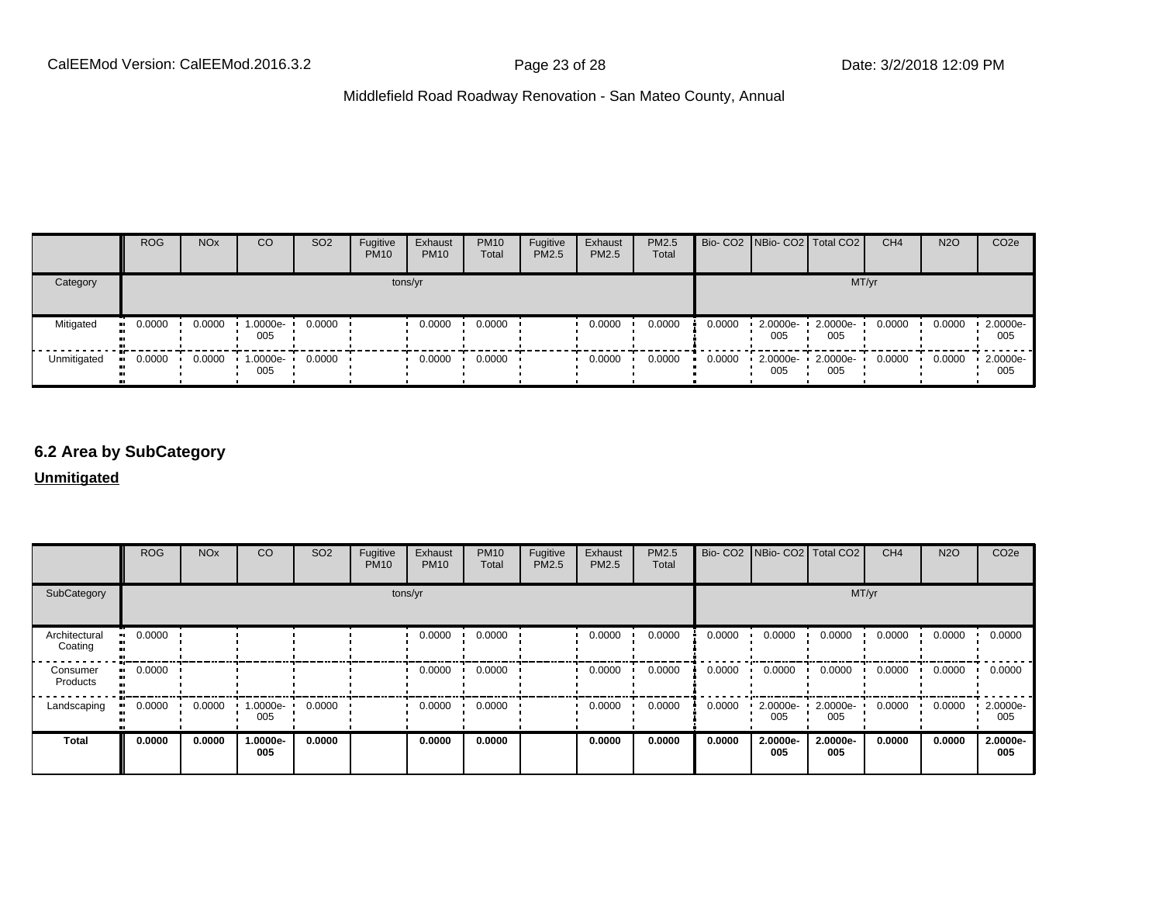|             | <b>ROG</b> | <b>NO<sub>x</sub></b> | CO                 | SO <sub>2</sub> | Fugitive<br><b>PM10</b> | Exhaust<br><b>PM10</b> | <b>PM10</b><br>Total | Fugitive<br><b>PM2.5</b> | Exhaust<br>PM2.5 | <b>PM2.5</b><br>Total |        |                    | Bio- CO2 NBio- CO2 Total CO2 | CH <sub>4</sub> | <b>N2O</b> | CO <sub>2e</sub> |
|-------------|------------|-----------------------|--------------------|-----------------|-------------------------|------------------------|----------------------|--------------------------|------------------|-----------------------|--------|--------------------|------------------------------|-----------------|------------|------------------|
| Category    |            |                       |                    |                 |                         | tons/yr                |                      |                          |                  |                       |        |                    | MT/yr                        |                 |            |                  |
| Mitigated   | 0.0000<br> | 0.0000                | 1.0000e-<br>005    | 0.0000          |                         | 0.0000                 | 0.0000               |                          | 0.0000           | 0.0000                | 0.0000 | 2.0000e-<br>005    | 2.0000e-<br>005              | 0.0000          | 0.0000     | 2.0000e-<br>005  |
| Unmitigated | 0.0000     | 0.0000                | $1.0000e -$<br>005 | 0.0000          |                         | 0.0000                 | 0.0000               |                          | 0.0000           | 0.0000                | 0.0000 | $2.0000e -$<br>005 | 2.0000e-<br>005              | 0.0000          | 0.0000     | 2.0000e-<br>005  |

### **6.2 Area by SubCategory**

**Unmitigated**

|                          | <b>ROG</b> | <b>NO<sub>x</sub></b> | CO              | SO <sub>2</sub> | Fugitive<br><b>PM10</b> | Exhaust<br><b>PM10</b> | <b>PM10</b><br>Total | Fugitive<br>PM2.5 | Exhaust<br>PM2.5 | PM2.5<br>Total |        | Bio- CO2   NBio- CO2   Total CO2 |                 | CH <sub>4</sub> | <b>N2O</b> | CO <sub>2</sub> e |
|--------------------------|------------|-----------------------|-----------------|-----------------|-------------------------|------------------------|----------------------|-------------------|------------------|----------------|--------|----------------------------------|-----------------|-----------------|------------|-------------------|
| SubCategory              |            | tons/yr               |                 |                 |                         |                        |                      |                   | MT/yr            |                |        |                                  |                 |                 |            |                   |
| Architectural<br>Coating | 0.0000     |                       |                 |                 |                         | 0.0000                 | 0.0000               |                   | 0.0000           | 0.0000         | 0.0000 | 0.0000                           | 0.0000          | 0.0000          | 0.0000     | 0.0000            |
| Consumer<br>Products     | 0.0000     |                       |                 |                 |                         | 0.0000                 | 0.0000               |                   | 0.0000           | 0.0000         | 0.0000 | 0.0000                           | 0.0000          | 0.0000          | 0.0000     | 0.0000            |
| Landscaping              | 0.0000     | 0.0000                | 1.0000e-<br>005 | 0.0000          |                         | 0.0000                 | 0.0000               |                   | 0.0000           | 0.0000         | 0.0000 | 2.0000e-<br>005                  | 2.0000e-<br>005 | 0.0000          | 0.0000     | 2.0000e-<br>005   |
| <b>Total</b>             | 0.0000     | 0.0000                | 1.0000e-<br>005 | 0.0000          |                         | 0.0000                 | 0.0000               |                   | 0.0000           | 0.0000         | 0.0000 | 2.0000e-<br>005                  | 2.0000e-<br>005 | 0.0000          | 0.0000     | 2.0000e-<br>005   |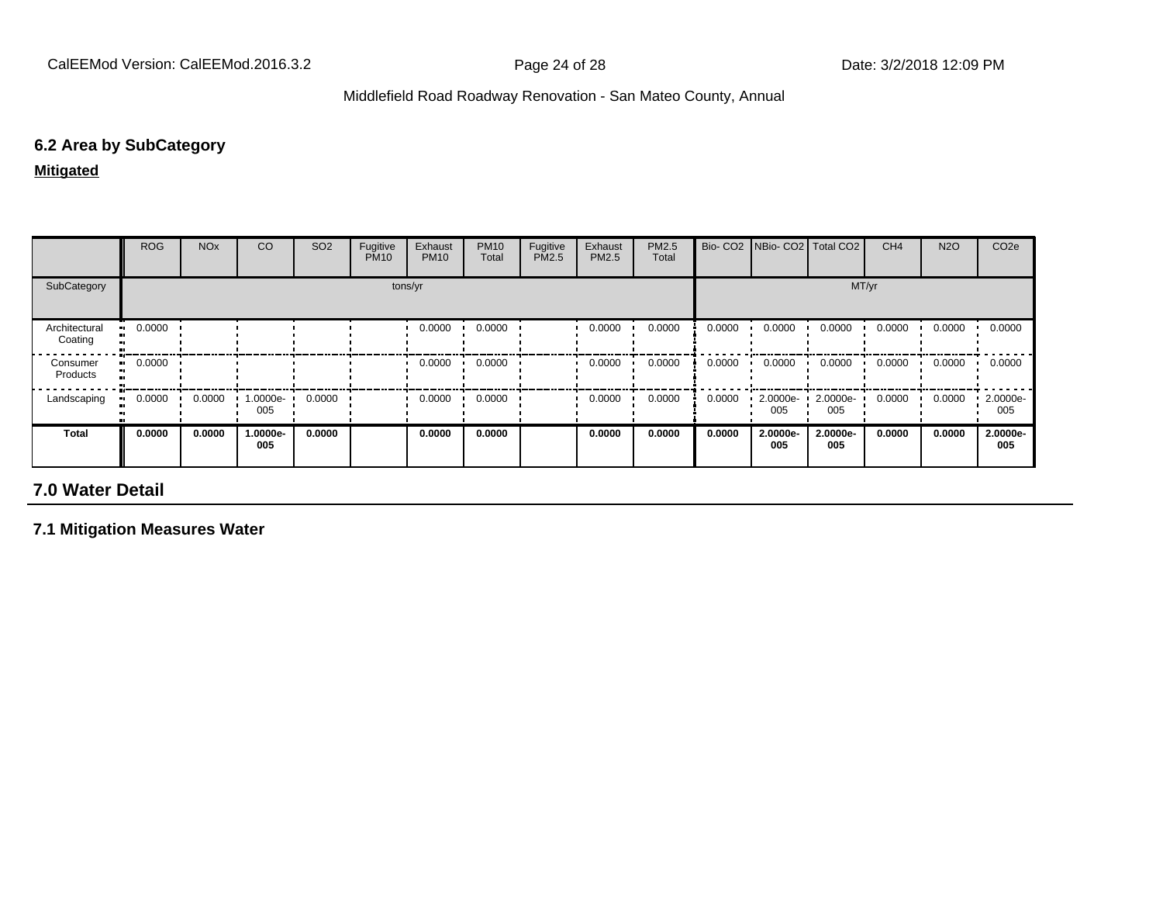### **6.2 Area by SubCategory**

**Mitigated**

|                          | <b>ROG</b>            | <b>NO<sub>x</sub></b> | CO              | SO <sub>2</sub> | Fugitive<br><b>PM10</b> | Exhaust<br><b>PM10</b> | <b>PM10</b><br>Total | Fugitive<br>PM2.5 | Exhaust<br><b>PM2.5</b> | PM2.5<br>Total | Bio-CO <sub>2</sub> | NBio- CO2   Total CO2 |                 | CH <sub>4</sub> | <b>N2O</b> | CO <sub>2e</sub> |
|--------------------------|-----------------------|-----------------------|-----------------|-----------------|-------------------------|------------------------|----------------------|-------------------|-------------------------|----------------|---------------------|-----------------------|-----------------|-----------------|------------|------------------|
| SubCategory              |                       | tons/yr               |                 |                 |                         |                        |                      |                   | MT/yr                   |                |                     |                       |                 |                 |            |                  |
| Architectural<br>Coating | $\blacksquare$ 0.0000 |                       |                 |                 |                         | 0.0000                 | 0.0000               |                   | 0.0000                  | 0.0000         | 0.0000              | 0.0000                | 0.0000          | 0.0000          | 0.0000     | 0.0000           |
| Consumer<br>Products     | $\blacksquare$ 0.0000 |                       |                 |                 |                         | 0.0000                 | 0.0000               |                   | 0.0000                  | 0.0000         | 0.0000              | 0.0000                | 0.0000          | 0.0000          | 0.0000     | 0.0000           |
| Landscaping              | 0.0000                | 0.0000                | 1.0000e-<br>005 | 0.0000          |                         | 0.0000                 | 0.0000               |                   | 0.0000                  | 0.0000         | 0.0000              | 2.0000e-<br>005       | 2.0000e-<br>005 | 0.0000          | 0.0000     | 2.0000e-<br>005  |
| <b>Total</b>             | 0.0000                | 0.0000                | 1.0000e-<br>005 | 0.0000          |                         | 0.0000                 | 0.0000               |                   | 0.0000                  | 0.0000         | 0.0000              | 2.0000e-<br>005       | 2.0000e-<br>005 | 0.0000          | 0.0000     | 2.0000e-<br>005  |

# **7.0 Water Detail**

**7.1 Mitigation Measures Water**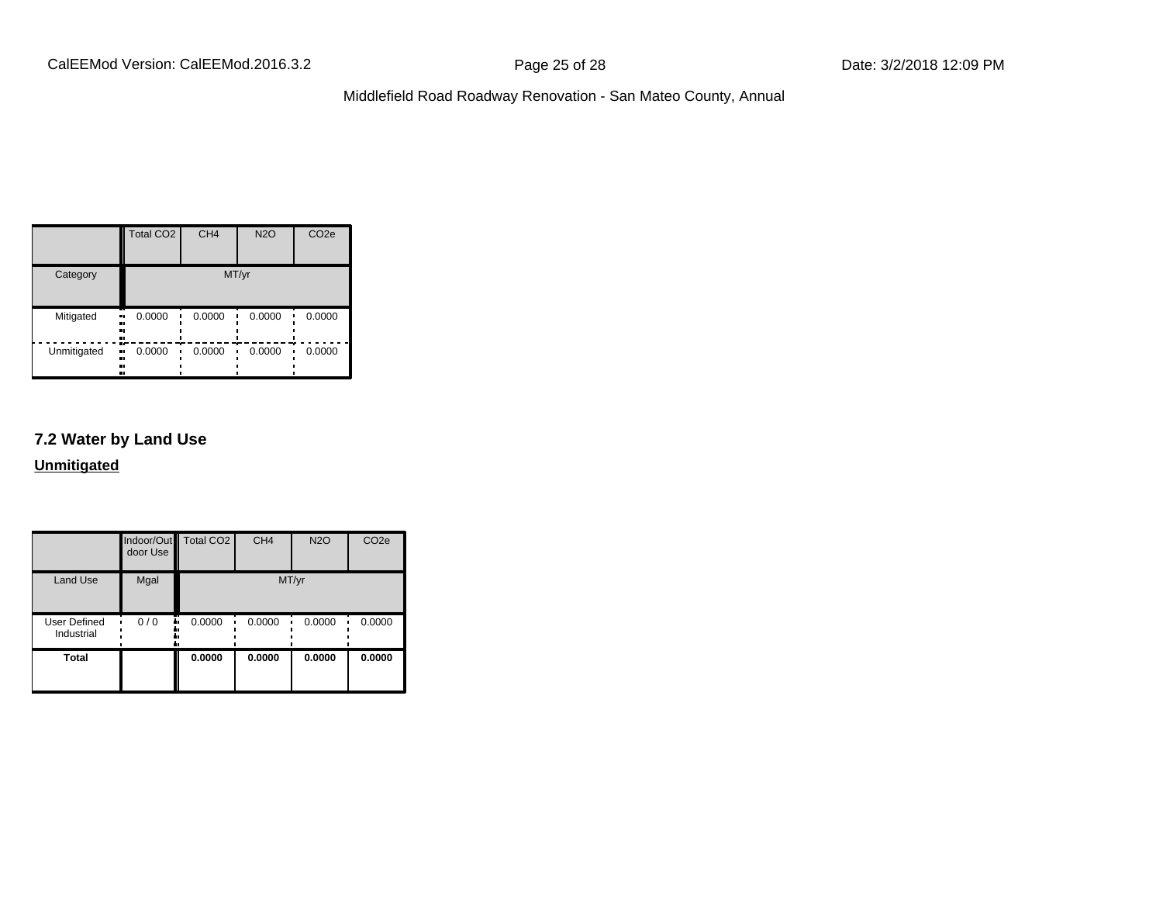|                   | Total CO <sub>2</sub>    | CH <sub>4</sub> | <b>N2O</b> | CO <sub>2e</sub> |  |  |  |
|-------------------|--------------------------|-----------------|------------|------------------|--|--|--|
| Category          | MT/yr                    |                 |            |                  |  |  |  |
| Mitigated<br><br> | 0.0000<br>.,<br>         | 0.0000          | 0.0000     | 0.0000           |  |  |  |
| Unmitigated       | 0.0000<br>ш,<br><br><br> | 0.0000          | 0.0000     | 0.0000           |  |  |  |

# **7.2 Water by Land Use**

**Unmitigated**

|                            | door Use | Indoor/Out Total CO2 | CH <sub>4</sub> | <b>N2O</b> | CO <sub>2e</sub> |
|----------------------------|----------|----------------------|-----------------|------------|------------------|
| <b>Land Use</b>            | Mgal     |                      | MT/yr           |            |                  |
| User Defined<br>Industrial | 0/0      | 0.0000<br>۰.         | 0.0000          | 0.0000     | 0.0000           |
| <b>Total</b>               |          | 0.0000               | 0.0000          | 0.0000     | 0.0000           |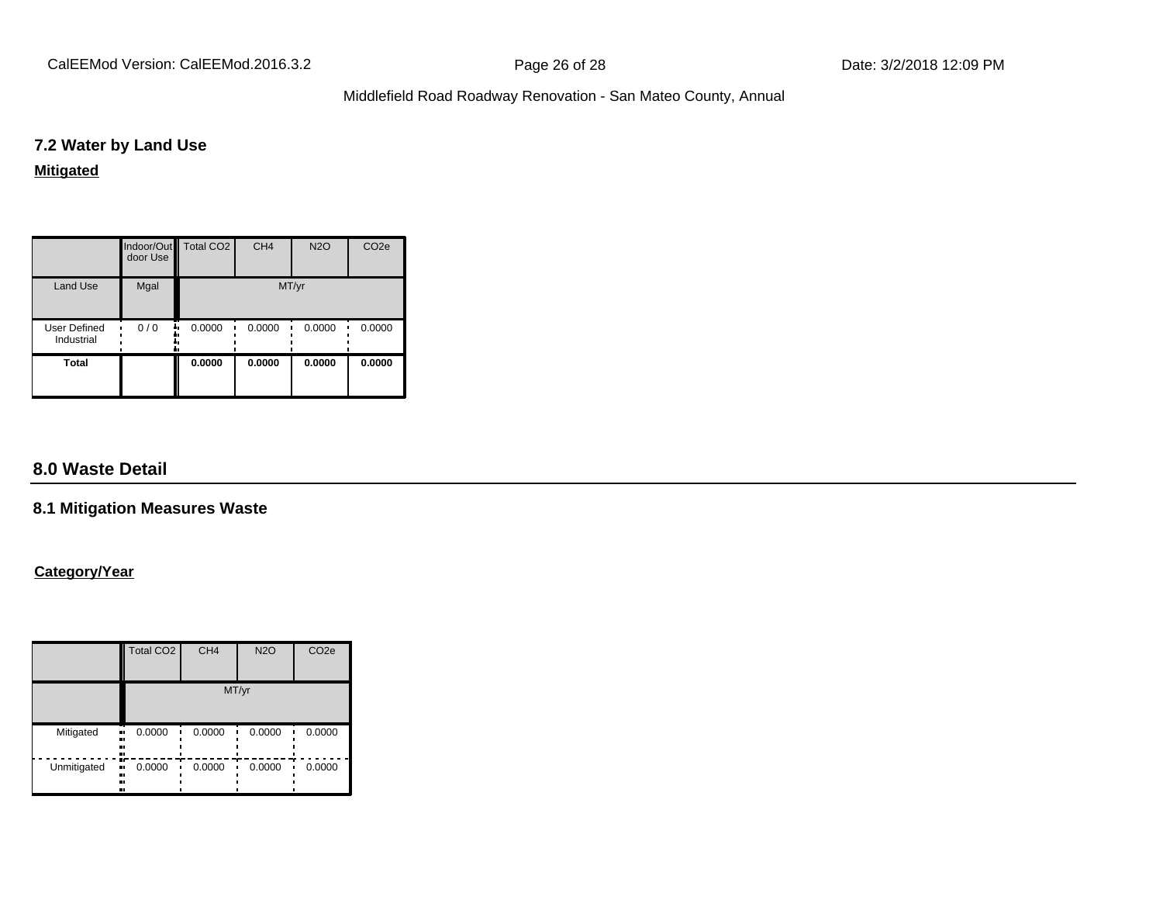CalEEMod Version: CalEEMod.2016.3.2 **Page 26 of 28** Page 26 of 28 Date: 3/2/2018 12:09 PM

### Middlefield Road Roadway Renovation - San Mateo County, Annual

### **7.2 Water by Land Use**

### **Mitigated**

|                            | door Use | Indoor/Out Total CO2 | CH <sub>4</sub> | <b>N2O</b> | CO <sub>2e</sub> |  |  |
|----------------------------|----------|----------------------|-----------------|------------|------------------|--|--|
| <b>Land Use</b>            | Mgal     | MT/yr                |                 |            |                  |  |  |
| User Defined<br>Industrial | 0/0      | 0.0000               | 0.0000          | 0.0000     | 0.0000           |  |  |
| <b>Total</b>               |          | 0.0000               | 0.0000          | 0.0000     | 0.0000           |  |  |

# **8.0 Waste Detail**

### **8.1 Mitigation Measures Waste**

### **Category/Year**

|                     | <b>Total CO2</b>           | CH <sub>4</sub> | <b>N2O</b> | CO <sub>2e</sub> |  |  |  |  |
|---------------------|----------------------------|-----------------|------------|------------------|--|--|--|--|
|                     | MT/yr                      |                 |            |                  |  |  |  |  |
| Mitigated<br>.,<br> | 0.0000<br><br>.,           | 0.0000          | 0.0000     | 0.0000           |  |  |  |  |
| Unmitigated<br>     | m<br>0.0000<br>п,<br>ш<br> | 0.0000          | 0.0000     | 0.0000           |  |  |  |  |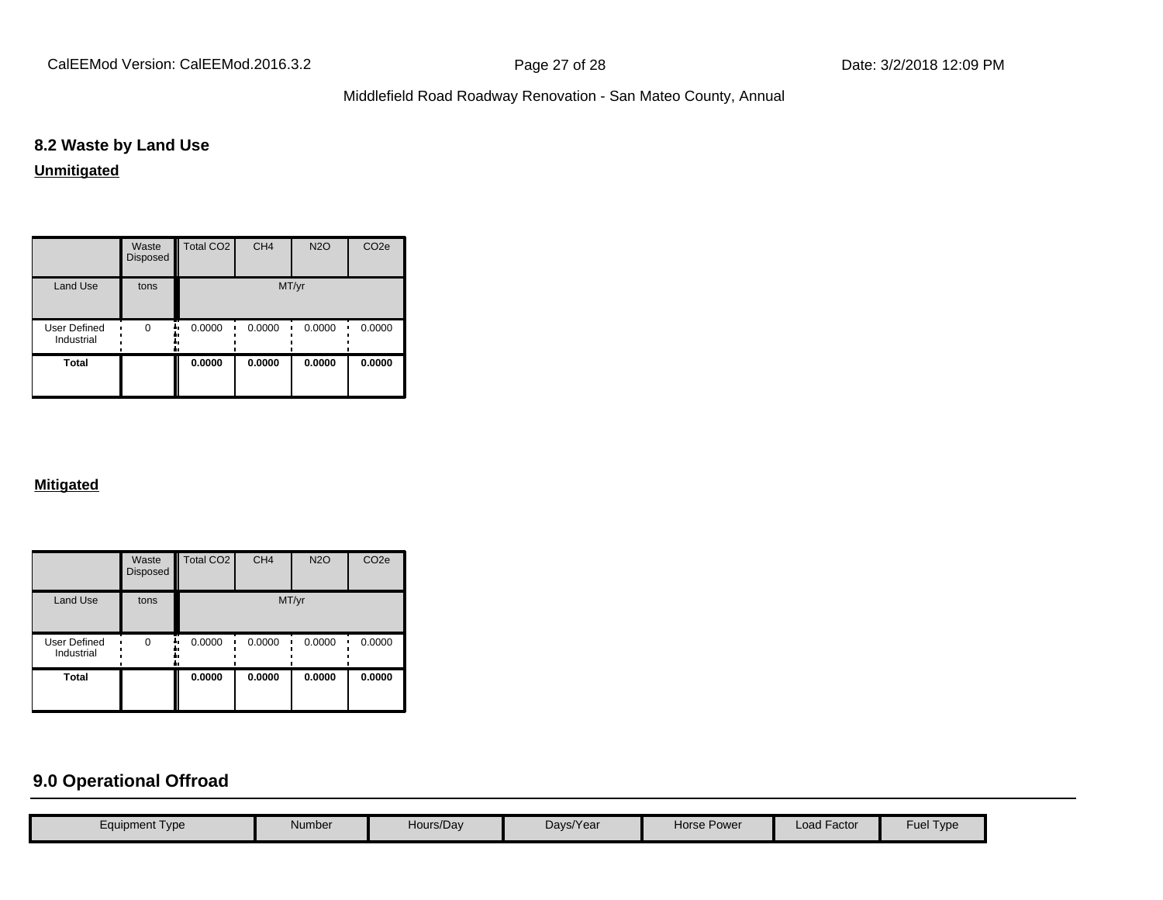CalEEMod Version: CalEEMod.2016.3.2 **Page 27 of 28** Page 27 of 28 Date: 3/2/2018 12:09 PM

# Middlefield Road Roadway Renovation - San Mateo County, Annual

# **8.2 Waste by Land Use**

**Unmitigated**

|                                   | Waste<br><b>Disposed</b> | <b>Total CO2</b> | CH <sub>4</sub> | <b>N2O</b> | CO <sub>2e</sub> |  |  |  |
|-----------------------------------|--------------------------|------------------|-----------------|------------|------------------|--|--|--|
| <b>Land Use</b>                   | tons                     | MT/yr            |                 |            |                  |  |  |  |
| <b>User Defined</b><br>Industrial | 0                        | 0.0000           | 0.0000<br>٠     | 0.0000     | 0.0000           |  |  |  |
| <b>Total</b>                      |                          | 0.0000           | 0.0000          | 0.0000     | 0.0000           |  |  |  |

### **Mitigated**

|                                   | Waste<br><b>Disposed</b> | <b>Total CO2</b> | CH <sub>4</sub> | <b>N2O</b> | CO <sub>2e</sub> |  |  |  |
|-----------------------------------|--------------------------|------------------|-----------------|------------|------------------|--|--|--|
| <b>Land Use</b>                   | tons                     | MT/yr            |                 |            |                  |  |  |  |
| <b>User Defined</b><br>Industrial | $\Omega$                 | 0.0000           | 0.0000          | 0.0000     | 0.0000           |  |  |  |
| <b>Total</b>                      |                          | 0.0000           | 0.0000          | 0.0000     | 0.0000           |  |  |  |

# **9.0 Operational Offroad**

| <b>Fuel Type</b><br><b>Load Factor</b><br>Hours/Day<br>Days/Year<br>Horse Power<br>Number<br>Equipment Type |  |  |  |  |
|-------------------------------------------------------------------------------------------------------------|--|--|--|--|
|                                                                                                             |  |  |  |  |